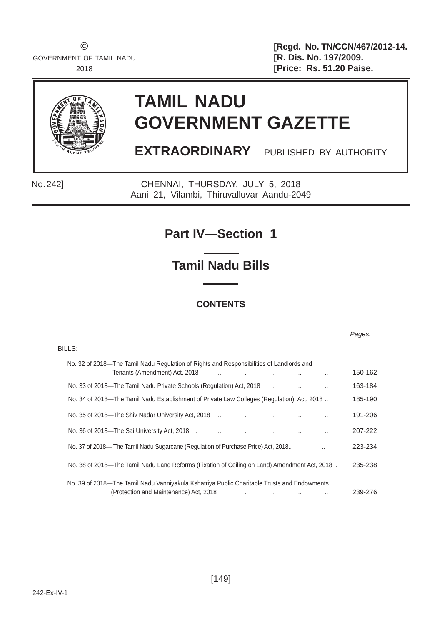© **[Regd. No. TN/CCN/467/2012-14.** 2018 **[Price: Rs. 51.20 Paise.** 



BILLS:

# **TAMIL NADU GOVERNMENT GAZETTE**

**EXTRAORDINARY** PUBLISHED BY AUTHORITY

No. 242] CHENNAI, THURSDAY, JULY 5, 2018 Aani 21, Vilambi, Thiruvalluvar Aandu-2049

# **Part IV—Section 1**

**Tamil Nadu Bills**

# **CONTENTS**

*Pages.*

| No. 32 of 2018—The Tamil Nadu Regulation of Rights and Responsibilities of Landlords and<br>Tenants (Amendment) Act, 2018                             | 150-162 |
|-------------------------------------------------------------------------------------------------------------------------------------------------------|---------|
| No. 33 of 2018—The Tamil Nadu Private Schools (Regulation) Act, 2018<br>$\ddot{\phantom{a}}$                                                          | 163-184 |
| No. 34 of 2018—The Tamil Nadu Establishment of Private Law Colleges (Regulation) Act, 2018                                                            | 185-190 |
| No. 35 of 2018—The Shiv Nadar University Act, 2018<br>                                                                                                | 191-206 |
| No. 36 of 2018—The Sai University Act, 2018.<br>$\ddot{\phantom{a}}$                                                                                  | 207-222 |
| No. 37 of 2018— The Tamil Nadu Sugarcane (Regulation of Purchase Price) Act, 2018<br>$\ddot{\phantom{a}}$                                             | 223-234 |
| No. 38 of 2018—The Tamil Nadu Land Reforms (Fixation of Ceiling on Land) Amendment Act, 2018                                                          | 235-238 |
| No. 39 of 2018—The Tamil Nadu Vanniyakula Kshatriya Public Charitable Trusts and Endowments<br>(Protection and Maintenance) Act, 2018<br><br>$\cdots$ | 239-276 |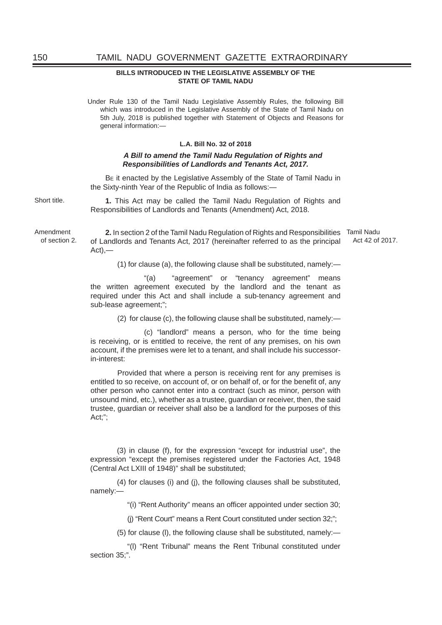#### **BILLS INTRODUCED IN THE LEGISLATIVE ASSEMBLY OF THE STATE OF TAMIL NADU**

Under Rule 130 of the Tamil Nadu Legislative Assembly Rules, the following Bill which was introduced in the Legislative Assembly of the State of Tamil Nadu on 5th July, 2018 is published together with Statement of Objects and Reasons for general information:—

#### **L.A. Bill No. 32 of 2018**

#### *A Bill to amend the Tamil Nadu Regulation of Rights and Responsibilities of Landlords and Tenants Act, 2017.*

BE it enacted by the Legislative Assembly of the State of Tamil Nadu in the Sixty-ninth Year of the Republic of India as follows:—

Short title. **1.** This Act may be called the Tamil Nadu Regulation of Rights and Responsibilities of Landlords and Tenants (Amendment) Act, 2018.

> **2.** In section 2 of the Tamil Nadu Regulation of Rights and Responsibilities Tamil Nadu of Landlords and Tenants Act, 2017 (hereinafter referred to as the principal  $Act)$ Act 42 of 2017.

> > (1) for clause (a), the following clause shall be substituted, namely:—

 "(a) "agreement" or "tenancy agreement" means the written agreement executed by the landlord and the tenant as required under this Act and shall include a sub-tenancy agreement and sub-lease agreement;";

(2) for clause (c), the following clause shall be substituted, namely:—

 (c) "landlord" means a person, who for the time being is receiving, or is entitled to receive, the rent of any premises, on his own account, if the premises were let to a tenant, and shall include his successorin-interest:

 Provided that where a person is receiving rent for any premises is entitled to so receive, on account of, or on behalf of, or for the benefit of, any other person who cannot enter into a contract (such as minor, person with unsound mind, etc.), whether as a trustee, guardian or receiver, then, the said trustee, guardian or receiver shall also be a landlord for the purposes of this Act;";

 (3) in clause (f), for the expression "except for industrial use", the expression "except the premises registered under the Factories Act, 1948 (Central Act LXIII of 1948)" shall be substituted;

 (4) for clauses (i) and (j), the following clauses shall be substituted, namely:—

"(i) "Rent Authority" means an officer appointed under section 30;

(j) "Rent Court" means a Rent Court constituted under section 32;";

(5) for clause (l), the following clause shall be substituted, namely:—

 "(l) "Rent Tribunal" means the Rent Tribunal constituted under section 35:".

Amendment of section 2.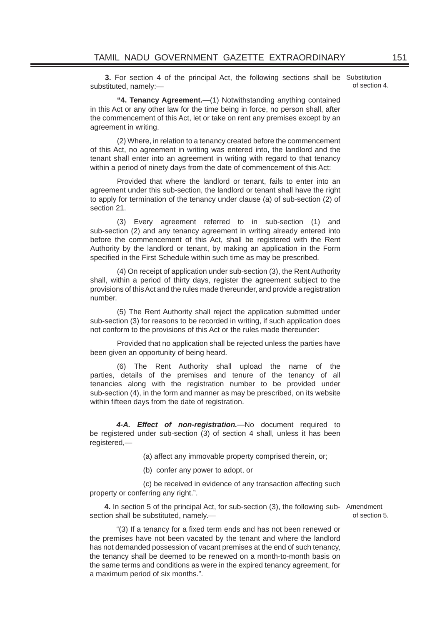**3.** For section 4 of the principal Act, the following sections shall be Substitution substituted, namely:—

of section 4.

 **"4. Tenancy Agreement.**—(1) Notwithstanding anything contained in this Act or any other law for the time being in force, no person shall, after the commencement of this Act, let or take on rent any premises except by an agreement in writing.

 (2) Where, in relation to a tenancy created before the commencement of this Act, no agreement in writing was entered into, the landlord and the tenant shall enter into an agreement in writing with regard to that tenancy within a period of ninety days from the date of commencement of this Act:

 Provided that where the landlord or tenant, fails to enter into an agreement under this sub-section, the landlord or tenant shall have the right to apply for termination of the tenancy under clause (a) of sub-section (2) of section 21.

 (3) Every agreement referred to in sub-section (1) and sub-section (2) and any tenancy agreement in writing already entered into before the commencement of this Act, shall be registered with the Rent Authority by the landlord or tenant, by making an application in the Form specified in the First Schedule within such time as may be prescribed.

 (4) On receipt of application under sub-section (3), the Rent Authority shall, within a period of thirty days, register the agreement subject to the provisions of this Act and the rules made thereunder, and provide a registration number.

 (5) The Rent Authority shall reject the application submitted under sub-section (3) for reasons to be recorded in writing, if such application does not conform to the provisions of this Act or the rules made thereunder:

 Provided that no application shall be rejected unless the parties have been given an opportunity of being heard.

 (6) The Rent Authority shall upload the name of the parties, details of the premises and tenure of the tenancy of all tenancies along with the registration number to be provided under sub-section (4), in the form and manner as may be prescribed, on its website within fifteen days from the date of registration.

*4-A. Effect of non-registration.*—No document required to be registered under sub-section (3) of section 4 shall, unless it has been registered,—

(a) affect any immovable property comprised therein, or;

(b) confer any power to adopt, or

 (c) be received in evidence of any transaction affecting such property or conferring any right.".

**4.** In section 5 of the principal Act, for sub-section (3), the following sub-Amendment section shall be substituted, namely.—

of section 5.

"(3) If a tenancy for a fixed term ends and has not been renewed or the premises have not been vacated by the tenant and where the landlord has not demanded possession of vacant premises at the end of such tenancy, the tenancy shall be deemed to be renewed on a month-to-month basis on the same terms and conditions as were in the expired tenancy agreement, for a maximum period of six months.".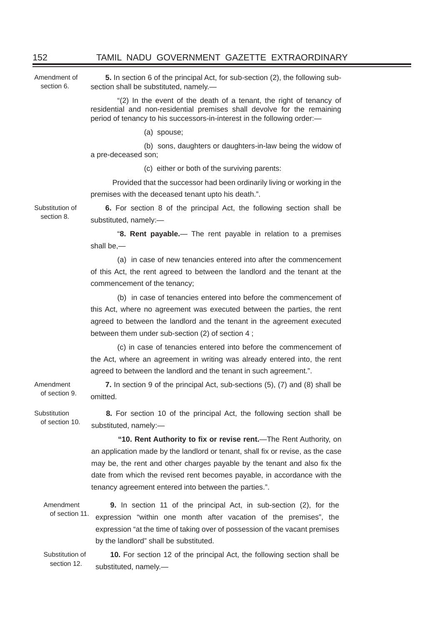Amendment of section 6. **5.** In section 6 of the principal Act, for sub-section (2), the following subsection shall be substituted, namely.—

> "(2) In the event of the death of a tenant, the right of tenancy of residential and non-residential premises shall devolve for the remaining period of tenancy to his successors-in-interest in the following order:—

> > (a) spouse;

 (b) sons, daughters or daughters-in-law being the widow of a pre-deceased son;

(c) either or both of the surviving parents:

 Provided that the successor had been ordinarily living or working in the premises with the deceased tenant upto his death.".

Substitution of section 8.

**6.** For section 8 of the principal Act, the following section shall be substituted, namely:—

 "**8. Rent payable.**— The rent payable in relation to a premises shall be,—

 (a) in case of new tenancies entered into after the commencement of this Act, the rent agreed to between the landlord and the tenant at the commencement of the tenancy;

 (b) in case of tenancies entered into before the commencement of this Act, where no agreement was executed between the parties, the rent agreed to between the landlord and the tenant in the agreement executed between them under sub-section (2) of section 4 ;

 (c) in case of tenancies entered into before the commencement of the Act, where an agreement in writing was already entered into, the rent agreed to between the landlord and the tenant in such agreement.".

Amendment of section 9. **7.** In section 9 of the principal Act, sub-sections (5), (7) and (8) shall be omitted.

Substitution of section 10. **8.** For section 10 of the principal Act, the following section shall be substituted, namely:—

> **"10. Rent Authority to fi x or revise rent.**—The Rent Authority, on an application made by the landlord or tenant, shall fix or revise, as the case may be, the rent and other charges payable by the tenant and also fix the date from which the revised rent becomes payable, in accordance with the tenancy agreement entered into between the parties.".

Amendment of section 11. **9.** In section 11 of the principal Act, in sub-section (2), for the expression "within one month after vacation of the premises", the expression "at the time of taking over of possession of the vacant premises by the landlord" shall be substituted.

Substitution of section 12. **10.** For section 12 of the principal Act, the following section shall be substituted, namely.—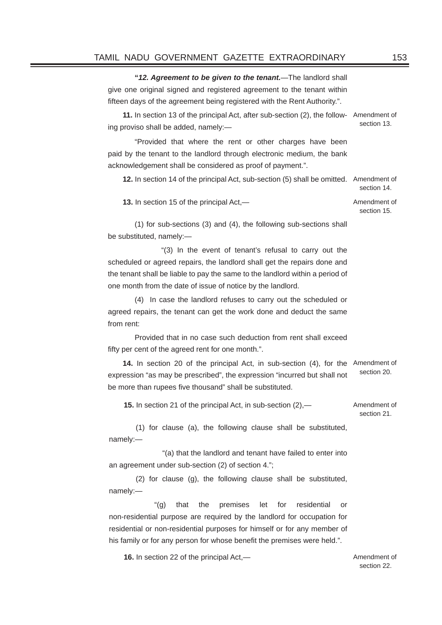**"***12. Agreement to be given to the tenant.*—The landlord shall give one original signed and registered agreement to the tenant within fifteen days of the agreement being registered with the Rent Authority.".

**11.** In section 13 of the principal Act, after sub-section (2), the follow-Amendment of ing proviso shall be added, namely: section 13.

 "Provided that where the rent or other charges have been paid by the tenant to the landlord through electronic medium, the bank acknowledgement shall be considered as proof of payment.".

**12.** In section 14 of the principal Act, sub-section (5) shall be omitted. Amendment of section 14. **13.** In section 15 of the principal Act,—

section 15.

 (1) for sub-sections (3) and (4), the following sub-sections shall be substituted, namely:—

 "(3) In the event of tenant's refusal to carry out the scheduled or agreed repairs, the landlord shall get the repairs done and the tenant shall be liable to pay the same to the landlord within a period of one month from the date of issue of notice by the landlord.

 (4) In case the landlord refuses to carry out the scheduled or agreed repairs, the tenant can get the work done and deduct the same from rent:

 Provided that in no case such deduction from rent shall exceed fifty per cent of the agreed rent for one month.".

**14.** In section 20 of the principal Act, in sub-section (4), for the Amendment of expression "as may be prescribed", the expression "incurred but shall not be more than rupees five thousand" shall be substituted. section 20.

**15.** In section 21 of the principal Act, in sub-section (2),— Amendment of

section 21.

 (1) for clause (a), the following clause shall be substituted, namely:—

 "(a) that the landlord and tenant have failed to enter into an agreement under sub-section (2) of section 4.";

 (2) for clause (g), the following clause shall be substituted, namely:—

"(g) that the premises let for residential or non-residential purpose are required by the landlord for occupation for residential or non-residential purposes for himself or for any member of his family or for any person for whose benefit the premises were held.".

**16.** In section 22 of the principal Act,—

section 22.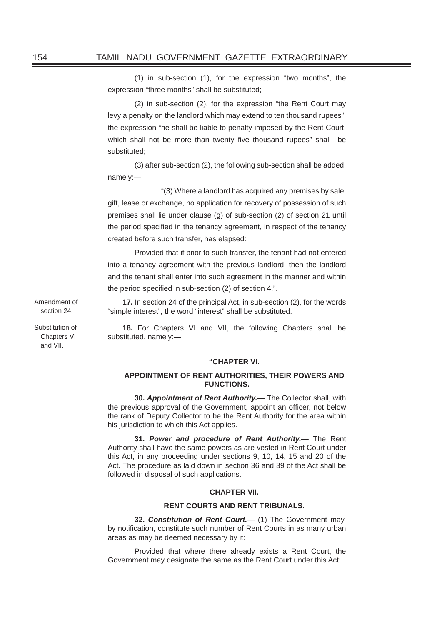(1) in sub-section (1), for the expression "two months", the expression "three months" shall be substituted;

 (2) in sub-section (2), for the expression "the Rent Court may levy a penalty on the landlord which may extend to ten thousand rupees", the expression "he shall be liable to penalty imposed by the Rent Court, which shall not be more than twenty five thousand rupees" shall be substituted;

 (3) after sub-section (2), the following sub-section shall be added, namely:—

 "(3) Where a landlord has acquired any premises by sale, gift, lease or exchange, no application for recovery of possession of such premises shall lie under clause (g) of sub-section (2) of section 21 until the period specified in the tenancy agreement, in respect of the tenancy created before such transfer, has elapsed:

Provided that if prior to such transfer, the tenant had not entered into a tenancy agreement with the previous landlord, then the landlord and the tenant shall enter into such agreement in the manner and within the period specified in sub-section  $(2)$  of section 4.".

**17.** In section 24 of the principal Act, in sub-section (2), for the words "simple interest", the word "interest" shall be substituted.

**18.** For Chapters VI and VII, the following Chapters shall be substituted, namely:—

#### **"CHAPTER VI.**

#### **APPOINTMENT OF RENT AUTHORITIES, THEIR POWERS AND FUNCTIONS.**

 **30.** *Appointment of Rent Authority.*— The Collector shall, with the previous approval of the Government, appoint an officer, not below the rank of Deputy Collector to be the Rent Authority for the area within his jurisdiction to which this Act applies.

 **31.** *Power and procedure of Rent Authority.*— The Rent Authority shall have the same powers as are vested in Rent Court under this Act, in any proceeding under sections 9, 10, 14, 15 and 20 of the Act. The procedure as laid down in section 36 and 39 of the Act shall be followed in disposal of such applications.

#### **CHAPTER VII.**

#### **RENT COURTS AND RENT TRIBUNALS.**

 **32.** *Constitution of Rent Court.*— (1) The Government may, by notification, constitute such number of Rent Courts in as many urban areas as may be deemed necessary by it:

 Provided that where there already exists a Rent Court, the Government may designate the same as the Rent Court under this Act:

Amendment of section 24.

Substitution of Chapters VI and VII.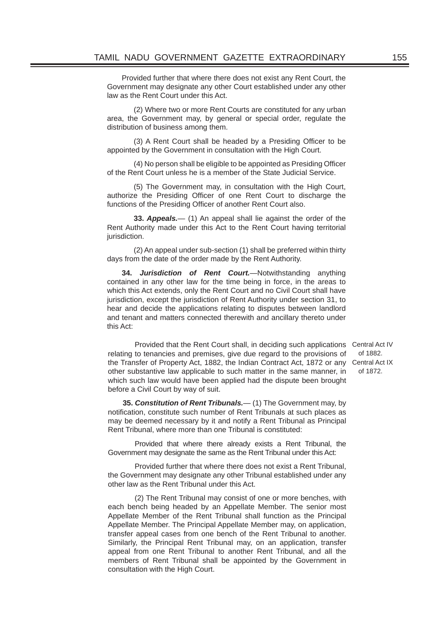Provided further that where there does not exist any Rent Court, the Government may designate any other Court established under any other law as the Rent Court under this Act.

 (2) Where two or more Rent Courts are constituted for any urban area, the Government may, by general or special order, regulate the distribution of business among them.

(3) A Rent Court shall be headed by a Presiding Officer to be appointed by the Government in consultation with the High Court.

(4) No person shall be eligible to be appointed as Presiding Officer of the Rent Court unless he is a member of the State Judicial Service.

 (5) The Government may, in consultation with the High Court, authorize the Presiding Officer of one Rent Court to discharge the functions of the Presiding Officer of another Rent Court also.

 **33.** *Appeals.*— (1) An appeal shall lie against the order of the Rent Authority made under this Act to the Rent Court having territorial jurisdiction.

 (2) An appeal under sub-section (1) shall be preferred within thirty days from the date of the order made by the Rent Authority.

**34.** *Jurisdiction of Rent Court.*—Notwithstanding anything contained in any other law for the time being in force, in the areas to which this Act extends, only the Rent Court and no Civil Court shall have jurisdiction, except the jurisdiction of Rent Authority under section 31, to hear and decide the applications relating to disputes between landlord and tenant and matters connected therewith and ancillary thereto under this Act:

 Provided that the Rent Court shall, in deciding such applications Central Act IV relating to tenancies and premises, give due regard to the provisions of the Transfer of Property Act, 1882, the Indian Contract Act, 1872 or any Central Act IX other substantive law applicable to such matter in the same manner, in which such law would have been applied had the dispute been brought before a Civil Court by way of suit.

**35.** *Constitution of Rent Tribunals.*— (1) The Government may, by notification, constitute such number of Rent Tribunals at such places as may be deemed necessary by it and notify a Rent Tribunal as Principal Rent Tribunal, where more than one Tribunal is constituted:

 Provided that where there already exists a Rent Tribunal, the Government may designate the same as the Rent Tribunal under this Act:

 Provided further that where there does not exist a Rent Tribunal, the Government may designate any other Tribunal established under any other law as the Rent Tribunal under this Act.

 (2) The Rent Tribunal may consist of one or more benches, with each bench being headed by an Appellate Member. The senior most Appellate Member of the Rent Tribunal shall function as the Principal Appellate Member. The Principal Appellate Member may, on application, transfer appeal cases from one bench of the Rent Tribunal to another. Similarly, the Principal Rent Tribunal may, on an application, transfer appeal from one Rent Tribunal to another Rent Tribunal, and all the members of Rent Tribunal shall be appointed by the Government in consultation with the High Court.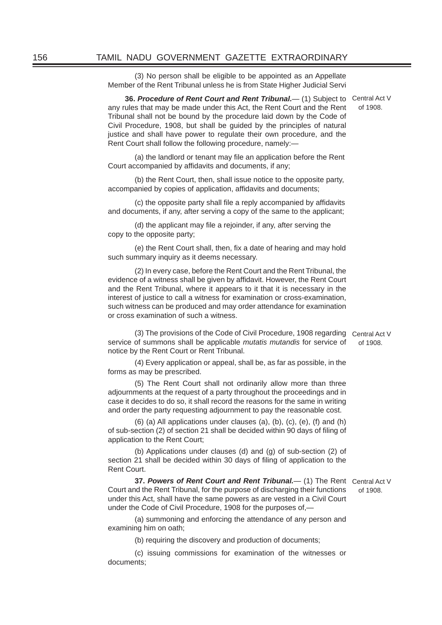(3) No person shall be eligible to be appointed as an Appellate Member of the Rent Tribunal unless he is from State Higher Judicial Servi

**36. Procedure of Rent Court and Rent Tribunal.** (1) Subject to Central Act V any rules that may be made under this Act, the Rent Court and the Rent Tribunal shall not be bound by the procedure laid down by the Code of Civil Procedure, 1908, but shall be guided by the principles of natural justice and shall have power to regulate their own procedure, and the Rent Court shall follow the following procedure, namely:—

of 1908.

(a) the landlord or tenant may file an application before the Rent Court accompanied by affidavits and documents, if any;

 (b) the Rent Court, then, shall issue notice to the opposite party, accompanied by copies of application, affidavits and documents;

(c) the opposite party shall file a reply accompanied by affidavits and documents, if any, after serving a copy of the same to the applicant;

(d) the applicant may file a reioinder, if any, after serving the copy to the opposite party;

(e) the Rent Court shall, then, fix a date of hearing and may hold such summary inquiry as it deems necessary.

 (2) In every case, before the Rent Court and the Rent Tribunal, the evidence of a witness shall be given by affidavit. However, the Rent Court and the Rent Tribunal, where it appears to it that it is necessary in the interest of justice to call a witness for examination or cross-examination, such witness can be produced and may order attendance for examination or cross examination of such a witness.

 (3) The provisions of the Code of Civil Procedure, 1908 regarding Central Act V service of summons shall be applicable *mutatis mutandis* for service of notice by the Rent Court or Rent Tribunal. of 1908.

 (4) Every application or appeal, shall be, as far as possible, in the forms as may be prescribed.

 (5) The Rent Court shall not ordinarily allow more than three adjournments at the request of a party throughout the proceedings and in case it decides to do so, it shall record the reasons for the same in writing and order the party requesting adjournment to pay the reasonable cost.

 (6) (a) All applications under clauses (a), (b), (c), (e), (f) and (h) of sub-section (2) of section 21 shall be decided within 90 days of filing of application to the Rent Court;

 (b) Applications under clauses (d) and (g) of sub-section (2) of section 21 shall be decided within 30 days of filing of application to the Rent Court.

**37. Powers of Rent Court and Rent Tribunal.** (1) The Rent Central Act V Court and the Rent Tribunal, for the purpose of discharging their functions under this Act, shall have the same powers as are vested in a Civil Court under the Code of Civil Procedure, 1908 for the purposes of,—

of 1908.

 (a) summoning and enforcing the attendance of any person and examining him on oath;

(b) requiring the discovery and production of documents;

 (c) issuing commissions for examination of the witnesses or documents;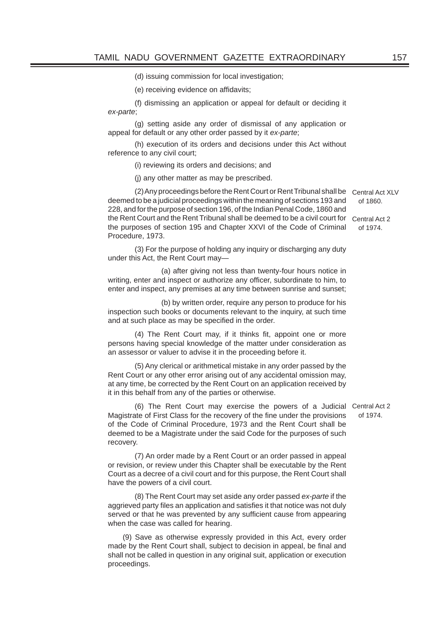(d) issuing commission for local investigation;

(e) receiving evidence on affidavits;

 (f) dismissing an application or appeal for default or deciding it *ex-parte*;

 (g) setting aside any order of dismissal of any application or appeal for default or any other order passed by it *ex-parte*;

 (h) execution of its orders and decisions under this Act without reference to any civil court;

(i) reviewing its orders and decisions; and

(j) any other matter as may be prescribed.

 (2) Any proceedings before the Rent Court or Rent Tribunal shall be Central Act XLV deemed to be a judicial proceedings within the meaning of sections 193 and 228, and for the purpose of section 196, of the Indian Penal Code, 1860 and the Rent Court and the Rent Tribunal shall be deemed to be a civil court for Central Act 2 the purposes of section 195 and Chapter XXVI of the Code of Criminal Procedure, 1973. of 1860. of 1974.

 (3) For the purpose of holding any inquiry or discharging any duty under this Act, the Rent Court may—

 (a) after giving not less than twenty-four hours notice in writing, enter and inspect or authorize any officer, subordinate to him, to enter and inspect, any premises at any time between sunrise and sunset;

 (b) by written order, require any person to produce for his inspection such books or documents relevant to the inquiry, at such time and at such place as may be specified in the order.

(4) The Rent Court may, if it thinks fit, appoint one or more persons having special knowledge of the matter under consideration as an assessor or valuer to advise it in the proceeding before it.

 (5) Any clerical or arithmetical mistake in any order passed by the Rent Court or any other error arising out of any accidental omission may, at any time, be corrected by the Rent Court on an application received by it in this behalf from any of the parties or otherwise.

 (6) The Rent Court may exercise the powers of a Judicial Central Act 2 Magistrate of First Class for the recovery of the fine under the provisions of the Code of Criminal Procedure, 1973 and the Rent Court shall be deemed to be a Magistrate under the said Code for the purposes of such recovery.

 (7) An order made by a Rent Court or an order passed in appeal or revision, or review under this Chapter shall be executable by the Rent Court as a decree of a civil court and for this purpose, the Rent Court shall have the powers of a civil court.

 (8) The Rent Court may set aside any order passed *ex-parte* if the aggrieved party files an application and satisfies it that notice was not duly served or that he was prevented by any sufficient cause from appearing when the case was called for hearing.

(9) Save as otherwise expressly provided in this Act, every order made by the Rent Court shall, subject to decision in appeal, be final and shall not be called in question in any original suit, application or execution proceedings.

of 1974.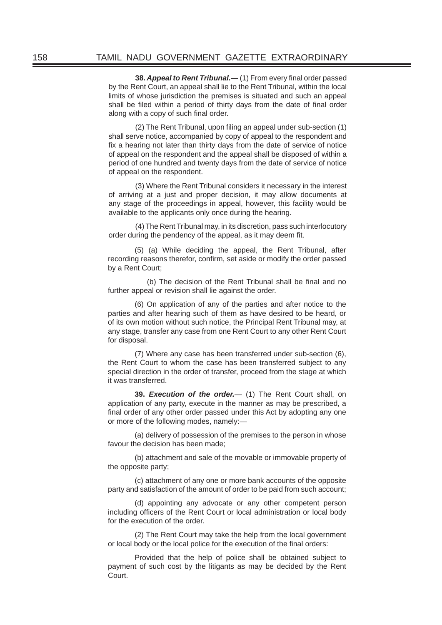**38. Appeal to Rent Tribunal.**— (1) From every final order passed by the Rent Court, an appeal shall lie to the Rent Tribunal, within the local limits of whose jurisdiction the premises is situated and such an appeal shall be filed within a period of thirty days from the date of final order along with a copy of such final order.

(2) The Rent Tribunal, upon filing an appeal under sub-section (1) shall serve notice, accompanied by copy of appeal to the respondent and fix a hearing not later than thirty days from the date of service of notice of appeal on the respondent and the appeal shall be disposed of within a period of one hundred and twenty days from the date of service of notice of appeal on the respondent.

 (3) Where the Rent Tribunal considers it necessary in the interest of arriving at a just and proper decision, it may allow documents at any stage of the proceedings in appeal, however, this facility would be available to the applicants only once during the hearing.

 (4) The Rent Tribunal may, in its discretion, pass such interlocutory order during the pendency of the appeal, as it may deem fit.

 (5) (a) While deciding the appeal, the Rent Tribunal, after recording reasons therefor, confirm, set aside or modify the order passed by a Rent Court;

(b) The decision of the Rent Tribunal shall be final and no further appeal or revision shall lie against the order.

 (6) On application of any of the parties and after notice to the parties and after hearing such of them as have desired to be heard, or of its own motion without such notice, the Principal Rent Tribunal may, at any stage, transfer any case from one Rent Court to any other Rent Court for disposal.

 (7) Where any case has been transferred under sub-section (6), the Rent Court to whom the case has been transferred subject to any special direction in the order of transfer, proceed from the stage at which it was transferred.

 **39.** *Execution of the order.*— (1) The Rent Court shall, on application of any party, execute in the manner as may be prescribed, a final order of any other order passed under this Act by adopting any one or more of the following modes, namely:—

 (a) delivery of possession of the premises to the person in whose favour the decision has been made;

 (b) attachment and sale of the movable or immovable property of the opposite party;

 (c) attachment of any one or more bank accounts of the opposite party and satisfaction of the amount of order to be paid from such account;

 (d) appointing any advocate or any other competent person including officers of the Rent Court or local administration or local body for the execution of the order.

 (2) The Rent Court may take the help from the local government or local body or the local police for the execution of the final orders:

 Provided that the help of police shall be obtained subject to payment of such cost by the litigants as may be decided by the Rent Court.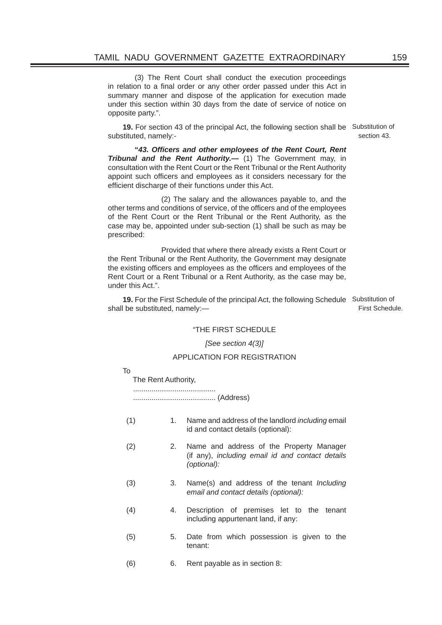(3) The Rent Court shall conduct the execution proceedings in relation to a final order or any other order passed under this Act in summary manner and dispose of the application for execution made under this section within 30 days from the date of service of notice on opposite party.".

**19.** For section 43 of the principal Act, the following section shall be Substitution of substituted, namely:-

 **"***43. Offi cers and other employees of the Rent Court, Rent Tribunal and the Rent Authority.—* (1) The Government may, in consultation with the Rent Court or the Rent Tribunal or the Rent Authority appoint such officers and employees as it considers necessary for the efficient discharge of their functions under this Act.

 (2) The salary and the allowances payable to, and the other terms and conditions of service, of the officers and of the employees of the Rent Court or the Rent Tribunal or the Rent Authority, as the case may be, appointed under sub-section (1) shall be such as may be prescribed:

 Provided that where there already exists a Rent Court or the Rent Tribunal or the Rent Authority, the Government may designate the existing officers and employees as the officers and employees of the Rent Court or a Rent Tribunal or a Rent Authority, as the case may be, under this Act.".

**19.** For the First Schedule of the principal Act, the following Schedule Substitution of shall be substituted, namely:—

First Schedule.

#### "THE FIRST SCHEDULE

#### *[See section 4(3)]*

#### APPLICATION FOR REGISTRATION

#### To

The Rent Authority,

 ........................................ ........................................ (Address)

- (1) 1. Name and address of the landlord *including* email id and contact details (optional):
- (2) 2. Name and address of the Property Manager (if any), *including email id and contact details (optional):*
- (3) 3. Name(s) and address of the tenant *Including email and contact details (optional):*
- (4) 4. Description of premises let to the tenant including appurtenant land, if any:
- (5) 5. Date from which possession is given to the tenant:
- (6) 6. Rent payable as in section 8:

section 43.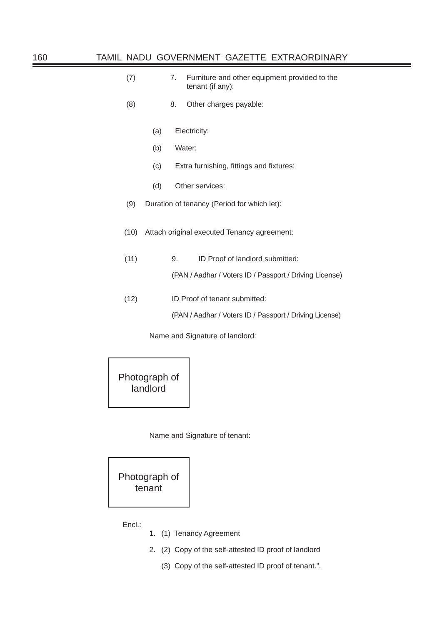| (7) | Furniture and other equipment provided to the |
|-----|-----------------------------------------------|
|     | tenant (if any):                              |

- (8) 8. Other charges payable:
	- (a) Electricity:
	- (b) Water:
	- (c) Extra furnishing, fittings and fixtures:
	- (d) Other services:
- (9) Duration of tenancy (Period for which let):
- (10) Attach original executed Tenancy agreement:
- (11) 9. ID Proof of landlord submitted:

(PAN / Aadhar / Voters ID / Passport / Driving License)

(12) ID Proof of tenant submitted:

(PAN / Aadhar / Voters ID / Passport / Driving License)

Name and Signature of landlord:

Photograph of landlord

Name and Signature of tenant:



Encl.:

- 1. (1) Tenancy Agreement
- 2. (2) Copy of the self-attested ID proof of landlord
	- (3) Copy of the self-attested ID proof of tenant.".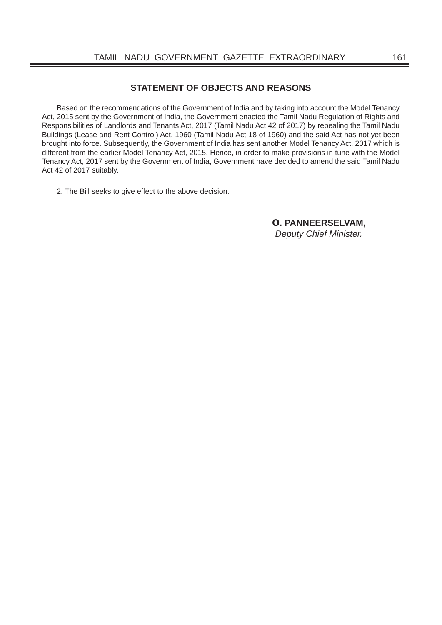### **STATEMENT OF OBJECTS AND REASONS**

Based on the recommendations of the Government of India and by taking into account the Model Tenancy Act, 2015 sent by the Government of India, the Government enacted the Tamil Nadu Regulation of Rights and Responsibilities of Landlords and Tenants Act, 2017 (Tamil Nadu Act 42 of 2017) by repealing the Tamil Nadu Buildings (Lease and Rent Control) Act, 1960 (Tamil Nadu Act 18 of 1960) and the said Act has not yet been brought into force. Subsequently, the Government of India has sent another Model Tenancy Act, 2017 which is different from the earlier Model Tenancy Act, 2015. Hence, in order to make provisions in tune with the Model Tenancy Act, 2017 sent by the Government of India, Government have decided to amend the said Tamil Nadu Act 42 of 2017 suitably.

2. The Bill seeks to give effect to the above decision.

 **O. PANNEERSELVAM,** *Deputy Chief Minister.*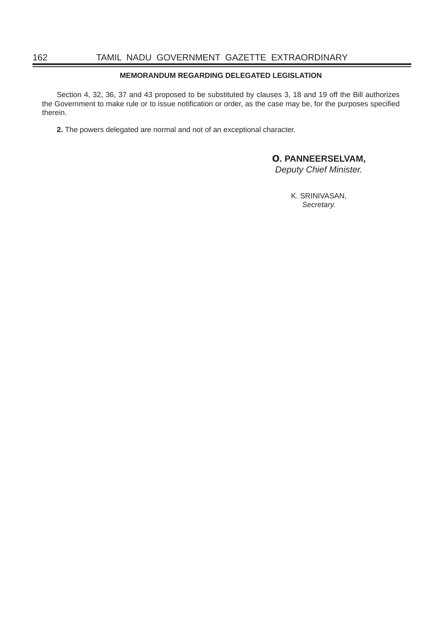#### **MEMORANDUM REGARDING DELEGATED LEGISLATION**

Section 4, 32, 36, 37 and 43 proposed to be substituted by clauses 3, 18 and 19 off the Bill authorizes the Government to make rule or to issue notification or order, as the case may be, for the purposes specified therein.

**2.** The powers delegated are normal and not of an exceptional character.

## **O. PANNEERSELVAM,**

*Deputy Chief Minister.*

K. SRINIVASAN, *Secretary.*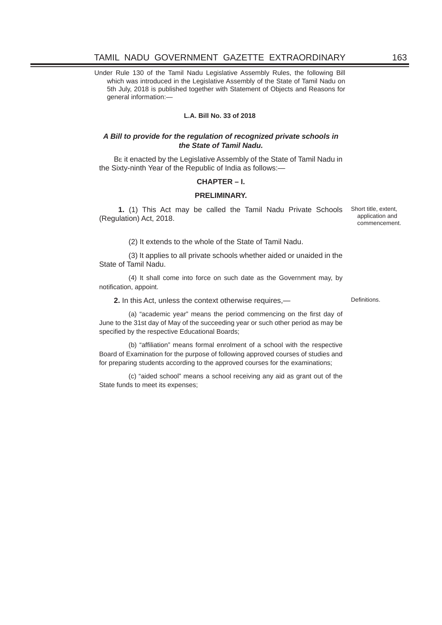Under Rule 130 of the Tamil Nadu Legislative Assembly Rules, the following Bill which was introduced in the Legislative Assembly of the State of Tamil Nadu on 5th July, 2018 is published together with Statement of Objects and Reasons for general information:—

#### **L.A. Bill No. 33 of 2018**

#### *A Bill to provide for the regulation of recognized private schools in the State of Tamil Nadu.*

BE it enacted by the Legislative Assembly of the State of Tamil Nadu in the Sixty-ninth Year of the Republic of India as follows:—

#### **CHAPTER – I.**

#### **PRELIMINARY.**

**1.** (1) This Act may be called the Tamil Nadu Private Schools Short title, extent, (Regulation) Act, 2018.

application and commencement.

(2) It extends to the whole of the State of Tamil Nadu.

(3) It applies to all private schools whether aided or unaided in the State of Tamil Nadu.

(4) It shall come into force on such date as the Government may, by notification, appoint.

**2.** In this Act, unless the context otherwise requires,—

(a) "academic year" means the period commencing on the first day of June to the 31st day of May of the succeeding year or such other period as may be specified by the respective Educational Boards;

(b) "affiliation" means formal enrolment of a school with the respective Board of Examination for the purpose of following approved courses of studies and for preparing students according to the approved courses for the examinations;

(c) "aided school" means a school receiving any aid as grant out of the State funds to meet its expenses;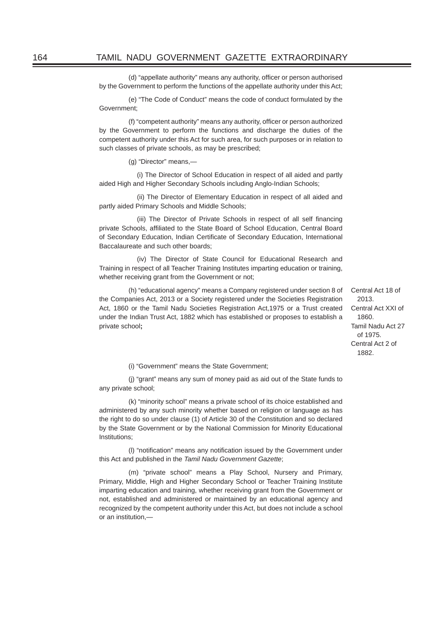(d) "appellate authority" means any authority, officer or person authorised by the Government to perform the functions of the appellate authority under this Act;

(e) "The Code of Conduct" means the code of conduct formulated by the Government;

(f) "competent authority" means any authority, officer or person authorized by the Government to perform the functions and discharge the duties of the competent authority under this Act for such area, for such purposes or in relation to such classes of private schools, as may be prescribed;

(g) "Director" means,—

(i) The Director of School Education in respect of all aided and partly aided High and Higher Secondary Schools including Anglo-Indian Schools;

(ii) The Director of Elementary Education in respect of all aided and partly aided Primary Schools and Middle Schools;

(iii) The Director of Private Schools in respect of all self financing private Schools, affiliated to the State Board of School Education, Central Board of Secondary Education, Indian Certificate of Secondary Education, International Baccalaureate and such other boards;

(iv) The Director of State Council for Educational Research and Training in respect of all Teacher Training Institutes imparting education or training, whether receiving grant from the Government or not;

(h) "educational agency" means a Company registered under section 8 of the Companies Act, 2013 or a Society registered under the Societies Registration Act, 1860 or the Tamil Nadu Societies Registration Act,1975 or a Trust created under the Indian Trust Act, 1882 which has established or proposes to establish a private school**;**

Central Act 18 of 2013. Central Act XXI of 1860. Tamil Nadu Act 27 of 1975. Central Act 2 of 1882.

(i) "Government" means the State Government;

(j) "grant" means any sum of money paid as aid out of the State funds to any private school;

(k) "minority school" means a private school of its choice established and administered by any such minority whether based on religion or language as has the right to do so under clause (1) of Article 30 of the Constitution and so declared by the State Government or by the National Commission for Minority Educational Institutions;

(I) "notification" means any notification issued by the Government under this Act and published in the *Tamil Nadu Government Gazette*;

(m) "private school" means a Play School, Nursery and Primary, Primary, Middle, High and Higher Secondary School or Teacher Training Institute imparting education and training, whether receiving grant from the Government or not, established and administered or maintained by an educational agency and recognized by the competent authority under this Act, but does not include a school or an institution,—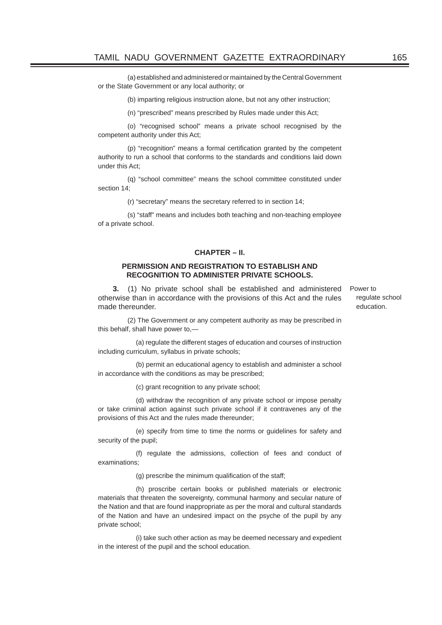(a) established and administered or maintained by the Central Government or the State Government or any local authority; or

(b) imparting religious instruction alone, but not any other instruction;

(n) "prescribed" means prescribed by Rules made under this Act;

(o) "recognised school" means a private school recognised by the competent authority under this Act;

(p) "recognition" means a formal certification granted by the competent authority to run a school that conforms to the standards and conditions laid down under this Act;

(q) "school committee" means the school committee constituted under section 14;

(r) "secretary" means the secretary referred to in section 14;

(s) "staff" means and includes both teaching and non-teaching employee of a private school.

#### **CHAPTER – II.**

#### **PERMISSION AND REGISTRATION TO ESTABLISH AND RECOGNITION TO ADMINISTER PRIVATE SCHOOLS.**

**3.** (1) No private school shall be established and administered otherwise than in accordance with the provisions of this Act and the rules made thereunder.

(2) The Government or any competent authority as may be prescribed in this behalf, shall have power to,—

(a) regulate the different stages of education and courses of instruction including curriculum, syllabus in private schools;

(b) permit an educational agency to establish and administer a school in accordance with the conditions as may be prescribed;

(c) grant recognition to any private school;

(d) withdraw the recognition of any private school or impose penalty or take criminal action against such private school if it contravenes any of the provisions of this Act and the rules made thereunder;

(e) specify from time to time the norms or guidelines for safety and security of the pupil;

(f) regulate the admissions, collection of fees and conduct of examinations;

 $(q)$  prescribe the minimum qualification of the staff;

(h) proscribe certain books or published materials or electronic materials that threaten the sovereignty, communal harmony and secular nature of the Nation and that are found inappropriate as per the moral and cultural standards of the Nation and have an undesired impact on the psyche of the pupil by any private school;

(i) take such other action as may be deemed necessary and expedient in the interest of the pupil and the school education.

Power to regulate school education.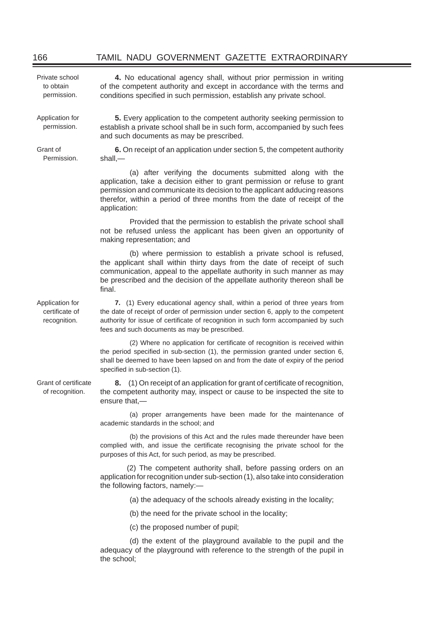**4.** No educational agency shall, without prior permission in writing of the competent authority and except in accordance with the terms and conditions specified in such permission, establish any private school.

Private school to obtain permission.

Application for permission.

Grant of Permission.

**5.** Every application to the competent authority seeking permission to establish a private school shall be in such form, accompanied by such fees and such documents as may be prescribed.

**6.** On receipt of an application under section 5, the competent authority shall,—

(a) after verifying the documents submitted along with the application, take a decision either to grant permission or refuse to grant permission and communicate its decision to the applicant adducing reasons therefor, within a period of three months from the date of receipt of the application:

 Provided that the permission to establish the private school shall not be refused unless the applicant has been given an opportunity of making representation; and

(b) where permission to establish a private school is refused, the applicant shall within thirty days from the date of receipt of such communication, appeal to the appellate authority in such manner as may be prescribed and the decision of the appellate authority thereon shall be final.

**7.** (1) Every educational agency shall, within a period of three years from the date of receipt of order of permission under section 6, apply to the competent authority for issue of certificate of recognition in such form accompanied by such fees and such documents as may be prescribed.

(2) Where no application for certificate of recognition is received within the period specified in sub-section  $(1)$ , the permission granted under section 6, shall be deemed to have been lapsed on and from the date of expiry of the period specified in sub-section (1).

Grant of certificate of recognition. **8.** (1) On receipt of an application for grant of certificate of recognition, the competent authority may, inspect or cause to be inspected the site to ensure that,—

> (a) proper arrangements have been made for the maintenance of academic standards in the school; and

> (b) the provisions of this Act and the rules made thereunder have been complied with, and issue the certificate recognising the private school for the purposes of this Act, for such period, as may be prescribed.

> (2) The competent authority shall, before passing orders on an application for recognition under sub-section (1), also take into consideration the following factors, namely:—

> > (a) the adequacy of the schools already existing in the locality;

(b) the need for the private school in the locality;

(c) the proposed number of pupil;

(d) the extent of the playground available to the pupil and the adequacy of the playground with reference to the strength of the pupil in the school;

Application for certificate of recognition.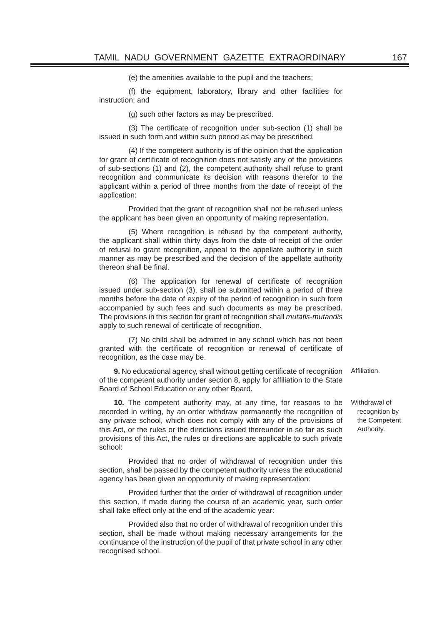(e) the amenities available to the pupil and the teachers;

(f) the equipment, laboratory, library and other facilities for instruction; and

(g) such other factors as may be prescribed.

 $(3)$  The certificate of recognition under sub-section  $(1)$  shall be issued in such form and within such period as may be prescribed.

(4) If the competent authority is of the opinion that the application for grant of certificate of recognition does not satisfy any of the provisions of sub-sections (1) and (2), the competent authority shall refuse to grant recognition and communicate its decision with reasons therefor to the applicant within a period of three months from the date of receipt of the application:

 Provided that the grant of recognition shall not be refused unless the applicant has been given an opportunity of making representation.

(5) Where recognition is refused by the competent authority, the applicant shall within thirty days from the date of receipt of the order of refusal to grant recognition, appeal to the appellate authority in such manner as may be prescribed and the decision of the appellate authority thereon shall be final

(6) The application for renewal of certificate of recognition issued under sub-section (3), shall be submitted within a period of three months before the date of expiry of the period of recognition in such form accompanied by such fees and such documents as may be prescribed. The provisions in this section for grant of recognition shall *mutatis-mutandis* apply to such renewal of certificate of recognition.

(7) No child shall be admitted in any school which has not been granted with the certificate of recognition or renewal of certificate of recognition, as the case may be.

**9.** No educational agency, shall without getting certificate of recognition of the competent authority under section 8, apply for affiliation to the State Board of School Education or any other Board. Affiliation.

**10.** The competent authority may, at any time, for reasons to be recorded in writing, by an order withdraw permanently the recognition of any private school, which does not comply with any of the provisions of this Act, or the rules or the directions issued thereunder in so far as such provisions of this Act, the rules or directions are applicable to such private school:

 Provided that no order of withdrawal of recognition under this section, shall be passed by the competent authority unless the educational agency has been given an opportunity of making representation:

 Provided further that the order of withdrawal of recognition under this section, if made during the course of an academic year, such order shall take effect only at the end of the academic year:

 Provided also that no order of withdrawal of recognition under this section, shall be made without making necessary arrangements for the continuance of the instruction of the pupil of that private school in any other recognised school.

Withdrawal of recognition by the Competent Authority.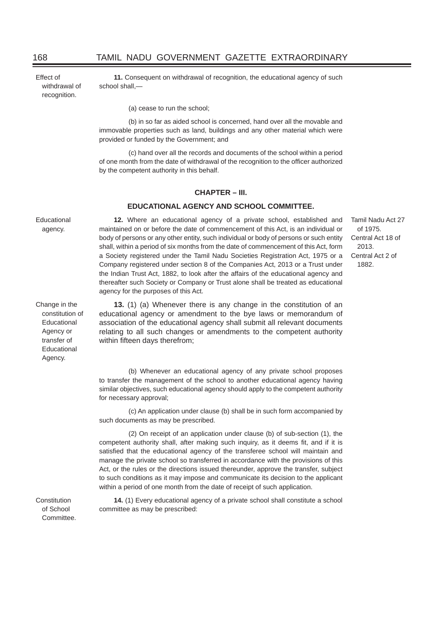Effect of withdrawal of recognition.

**11.** Consequent on withdrawal of recognition, the educational agency of such school shall,—

(a) cease to run the school;

within fifteen days therefrom;

for necessary approval;

(b) in so far as aided school is concerned, hand over all the movable and immovable properties such as land, buildings and any other material which were provided or funded by the Government; and

(c) hand over all the records and documents of the school within a period of one month from the date of withdrawal of the recognition to the officer authorized by the competent authority in this behalf.

#### **CHAPTER – III.**

#### **EDUCATIONAL AGENCY AND SCHOOL COMMITTEE.**

Educational

agency.

**12.** Where an educational agency of a private school, established and maintained on or before the date of commencement of this Act, is an individual or body of persons or any other entity, such individual or body of persons or such entity shall, within a period of six months from the date of commencement of this Act, form a Society registered under the Tamil Nadu Societies Registration Act, 1975 or a Company registered under section 8 of the Companies Act, 2013 or a Trust under the Indian Trust Act, 1882, to look after the affairs of the educational agency and thereafter such Society or Company or Trust alone shall be treated as educational agency for the purposes of this Act.

**13.** (1) (a) Whenever there is any change in the constitution of an educational agency or amendment to the bye laws or memorandum of association of the educational agency shall submit all relevant documents relating to all such changes or amendments to the competent authority

Tamil Nadu Act 27 of 1975. Central Act 18 of 2013. Central Act 2 of 1882.

Change in the constitution of **Educational** Agency or transfer of **Educational** Agency.

(b) Whenever an educational agency of any private school proposes to transfer the management of the school to another educational agency having similar objectives, such educational agency should apply to the competent authority

(c) An application under clause (b) shall be in such form accompanied by such documents as may be prescribed.

 (2) On receipt of an application under clause (b) of sub-section (1), the competent authority shall, after making such inquiry, as it deems fit, and if it is satisfied that the educational agency of the transferee school will maintain and manage the private school so transferred in accordance with the provisions of this Act, or the rules or the directions issued thereunder, approve the transfer, subject to such conditions as it may impose and communicate its decision to the applicant within a period of one month from the date of receipt of such application.

**14.** (1) Every educational agency of a private school shall constitute a school committee as may be prescribed:

Constitution of School Committee.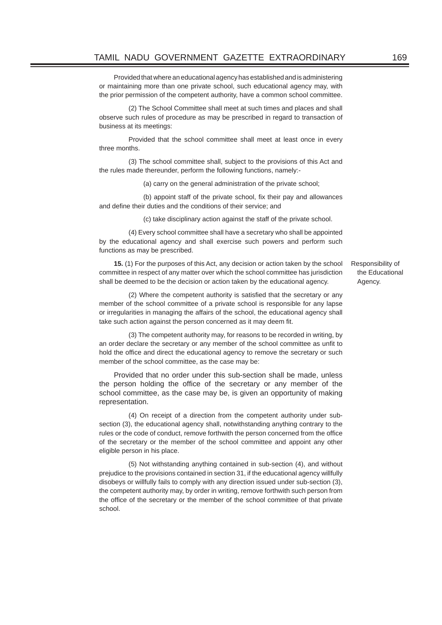Provided that where an educational agency has established and is administering or maintaining more than one private school, such educational agency may, with the prior permission of the competent authority, have a common school committee.

(2) The School Committee shall meet at such times and places and shall observe such rules of procedure as may be prescribed in regard to transaction of business at its meetings:

 Provided that the school committee shall meet at least once in every three months.

(3) The school committee shall, subject to the provisions of this Act and the rules made thereunder, perform the following functions, namely:-

(a) carry on the general administration of the private school;

(b) appoint staff of the private school, fix their pay and allowances and define their duties and the conditions of their service; and

(c) take disciplinary action against the staff of the private school.

(4) Every school committee shall have a secretary who shall be appointed by the educational agency and shall exercise such powers and perform such functions as may be prescribed.

**15.** (1) For the purposes of this Act, any decision or action taken by the school committee in respect of any matter over which the school committee has jurisdiction shall be deemed to be the decision or action taken by the educational agency.

(2) Where the competent authority is satisfied that the secretary or any member of the school committee of a private school is responsible for any lapse or irregularities in managing the affairs of the school, the educational agency shall take such action against the person concerned as it may deem fit.

(3) The competent authority may, for reasons to be recorded in writing, by an order declare the secretary or any member of the school committee as unfit to hold the office and direct the educational agency to remove the secretary or such member of the school committee, as the case may be:

Provided that no order under this sub-section shall be made, unless the person holding the office of the secretary or any member of the school committee, as the case may be, is given an opportunity of making representation.

(4) On receipt of a direction from the competent authority under subsection (3), the educational agency shall, notwithstanding anything contrary to the rules or the code of conduct, remove forthwith the person concerned from the office of the secretary or the member of the school committee and appoint any other eligible person in his place.

(5) Not withstanding anything contained in sub-section (4), and without prejudice to the provisions contained in section 31, if the educational agency willfully disobeys or willfully fails to comply with any direction issued under sub-section (3), the competent authority may, by order in writing, remove forthwith such person from the office of the secretary or the member of the school committee of that private school.

Responsibility of the Educational Agency.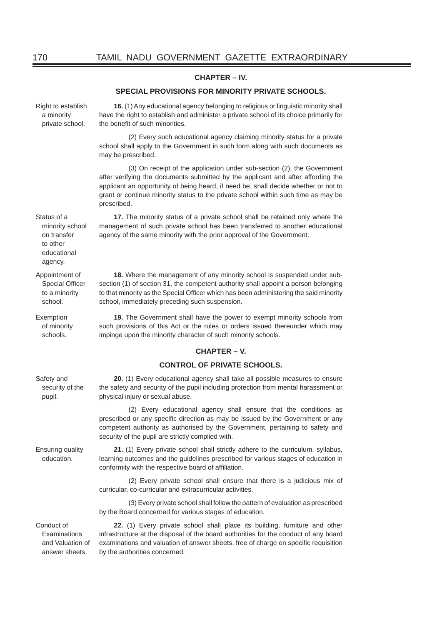#### **CHAPTER – IV.**

#### **SPECIAL PROVISIONS FOR MINORITY PRIVATE SCHOOLS.**

**16.** (1) Any educational agency belonging to religious or linguistic minority shall

private school. school shall apply to the Government in such form along with such documents as may be prescribed. (3) On receipt of the application under sub-section (2), the Government after verifying the documents submitted by the applicant and after affording the applicant an opportunity of being heard, if need be, shall decide whether or not to grant or continue minority status to the private school within such time as may be prescribed. Status of a minority school **17.** The minority status of a private school shall be retained only where the management of such private school has been transferred to another educational agency of the same minority with the prior approval of the Government.

> **18.** Where the management of any minority school is suspended under subsection (1) of section 31, the competent authority shall appoint a person belonging to that minority as the Special Officer which has been administering the said minority school, immediately preceding such suspension.

> **19.** The Government shall have the power to exempt minority schools from such provisions of this Act or the rules or orders issued thereunder which may impinge upon the minority character of such minority schools.

#### **CHAPTER – V.**

#### **CONTROL OF PRIVATE SCHOOLS.**

Safety and security of the pupil. **20.** (1) Every educational agency shall take all possible measures to ensure the safety and security of the pupil including protection from mental harassment or physical injury or sexual abuse.

> (2) Every educational agency shall ensure that the conditions as prescribed or any specific direction as may be issued by the Government or any competent authority as authorised by the Government, pertaining to safety and security of the pupil are strictly complied with.

Ensuring quality education.

**21.** (1) Every private school shall strictly adhere to the curriculum, syllabus, learning outcomes and the guidelines prescribed for various stages of education in conformity with the respective board of affiliation.

(2) Every private school shall ensure that there is a judicious mix of curricular, co-curricular and extracurricular activities.

(3) Every private school shall follow the pattern of evaluation as prescribed by the Board concerned for various stages of education.

Conduct of Examinations and Valuation of answer sheets.

**22.** (1) Every private school shall place its building, furniture and other infrastructure at the disposal of the board authorities for the conduct of any board examinations and valuation of answer sheets, free of charge on specific requisition by the authorities concerned.

on transfer to other educational agency.

Right to establish a minority

Appointment of Special Officer to a minority school.

Exemption of minority schools.

have the right to establish and administer a private school of its choice primarily for the benefit of such minorities. (2) Every such educational agency claiming minority status for a private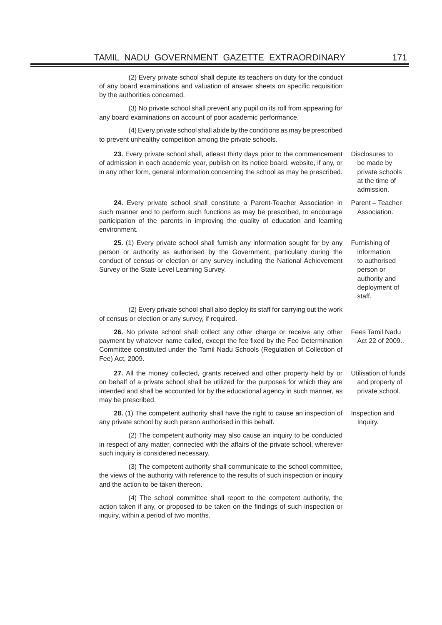(2) Every private school shall depute its teachers on duty for the conduct of any board examinations and valuation of answer sheets on specific requisition by the authorities concerned.

(3) No private school shall prevent any pupil on its roll from appearing for any board examinations on account of poor academic performance.

(4) Every private school shall abide by the conditions as may be prescribed to prevent unhealthy competition among the private schools.

**23.** Every private school shall, atleast thirty days prior to the commencement of admission in each academic year, publish on its notice board, website, if any, or in any other form, general information concerning the school as may be prescribed.

**24.** Every private school shall constitute a Parent-Teacher Association in such manner and to perform such functions as may be prescribed, to encourage participation of the parents in improving the quality of education and learning environment. Parent – Teacher

**25.** (1) Every private school shall furnish any information sought for by any person or authority as authorised by the Government, particularly during the conduct of census or election or any survey including the National Achievement Survey or the State Level Learning Survey.

(2) Every private school shall also deploy its staff for carrying out the work of census or election or any survey, if required.

**26.** No private school shall collect any other charge or receive any other payment by whatever name called, except the fee fixed by the Fee Determination Committee constituted under the Tamil Nadu Schools (Regulation of Collection of Fee) Act, 2009. Fees Tamil Nadu Act 22 of 2009..

**27.** All the money collected, grants received and other property held by or on behalf of a private school shall be utilized for the purposes for which they are intended and shall be accounted for by the educational agency in such manner, as may be prescribed. Utilisation of funds and property of private school.

**28.** (1) The competent authority shall have the right to cause an inspection of any private school by such person authorised in this behalf. Inspection and

(2) The competent authority may also cause an inquiry to be conducted in respect of any matter, connected with the affairs of the private school, wherever such inquiry is considered necessary.

(3) The competent authority shall communicate to the school committee, the views of the authority with reference to the results of such inspection or inquiry and the action to be taken thereon.

(4) The school committee shall report to the competent authority, the action taken if any, or proposed to be taken on the findings of such inspection or inquiry, within a period of two months.

Disclosures to be made by private schools at the time of admission.

Association.

Furnishing of information to authorised person or authority and deployment of

staff.

Inquiry.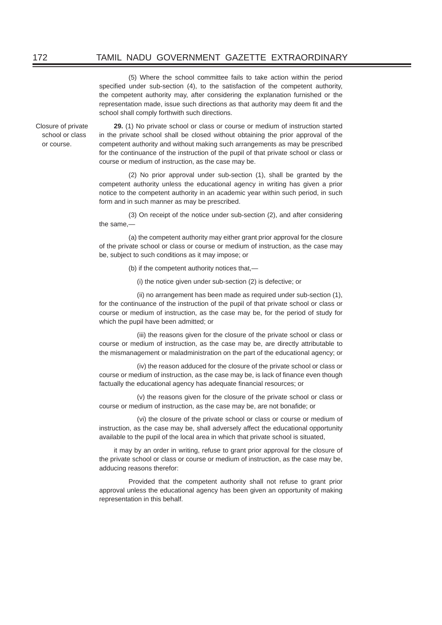(5) Where the school committee fails to take action within the period specified under sub-section  $(4)$ , to the satisfaction of the competent authority, the competent authority may, after considering the explanation furnished or the representation made, issue such directions as that authority may deem fit and the school shall comply forthwith such directions.

Closure of private school or class or course.

**29.** (1) No private school or class or course or medium of instruction started in the private school shall be closed without obtaining the prior approval of the competent authority and without making such arrangements as may be prescribed for the continuance of the instruction of the pupil of that private school or class or course or medium of instruction, as the case may be.

(2) No prior approval under sub-section (1), shall be granted by the competent authority unless the educational agency in writing has given a prior notice to the competent authority in an academic year within such period, in such form and in such manner as may be prescribed.

(3) On receipt of the notice under sub-section (2), and after considering the same,—

(a) the competent authority may either grant prior approval for the closure of the private school or class or course or medium of instruction, as the case may be, subject to such conditions as it may impose; or

(b) if the competent authority notices that,—

(i) the notice given under sub-section (2) is defective; or

(ii) no arrangement has been made as required under sub-section (1), for the continuance of the instruction of the pupil of that private school or class or course or medium of instruction, as the case may be, for the period of study for which the pupil have been admitted; or

(iii) the reasons given for the closure of the private school or class or course or medium of instruction, as the case may be, are directly attributable to the mismanagement or maladministration on the part of the educational agency; or

(iv) the reason adduced for the closure of the private school or class or course or medium of instruction, as the case may be, is lack of finance even though factually the educational agency has adequate financial resources; or

(v) the reasons given for the closure of the private school or class or course or medium of instruction, as the case may be, are not bonafide; or

(vi) the closure of the private school or class or course or medium of instruction, as the case may be, shall adversely affect the educational opportunity available to the pupil of the local area in which that private school is situated,

it may by an order in writing, refuse to grant prior approval for the closure of the private school or class or course or medium of instruction, as the case may be, adducing reasons therefor:

 Provided that the competent authority shall not refuse to grant prior approval unless the educational agency has been given an opportunity of making representation in this behalf.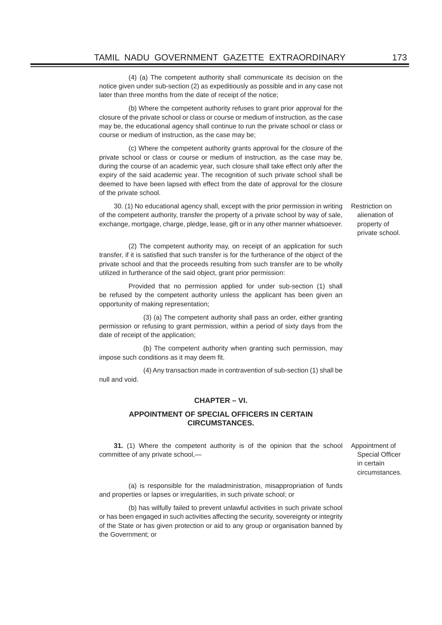(4) (a) The competent authority shall communicate its decision on the notice given under sub-section (2) as expeditiously as possible and in any case not later than three months from the date of receipt of the notice;

(b) Where the competent authority refuses to grant prior approval for the closure of the private school or class or course or medium of instruction, as the case may be, the educational agency shall continue to run the private school or class or course or medium of instruction, as the case may be;

(c) Where the competent authority grants approval for the closure of the private school or class or course or medium of instruction, as the case may be, during the course of an academic year, such closure shall take effect only after the expiry of the said academic year. The recognition of such private school shall be deemed to have been lapsed with effect from the date of approval for the closure of the private school.

30. (1) No educational agency shall, except with the prior permission in writing of the competent authority, transfer the property of a private school by way of sale, exchange, mortgage, charge, pledge, lease, gift or in any other manner whatsoever.

Restriction on alienation of property of private school.

(2) The competent authority may, on receipt of an application for such transfer, if it is satisfied that such transfer is for the furtherance of the object of the private school and that the proceeds resulting from such transfer are to be wholly utilized in furtherance of the said object, grant prior permission:

 Provided that no permission applied for under sub-section (1) shall be refused by the competent authority unless the applicant has been given an opportunity of making representation;

 (3) (a) The competent authority shall pass an order, either granting permission or refusing to grant permission, within a period of sixty days from the date of receipt of the application;

 (b) The competent authority when granting such permission, may impose such conditions as it may deem fit.

 (4) Any transaction made in contravention of sub-section (1) shall be null and void.

#### **CHAPTER – VI.**

#### **APPOINTMENT OF SPECIAL OFFICERS IN CERTAIN CIRCUMSTANCES.**

**31.** (1) Where the competent authority is of the opinion that the school committee of any private school,—

Appointment of Special Officer in certain circumstances.

(a) is responsible for the maladministration, misappropriation of funds and properties or lapses or irregularities, in such private school; or

(b) has wilfully failed to prevent unlawful activities in such private school or has been engaged in such activities affecting the security, sovereignty or integrity of the State or has given protection or aid to any group or organisation banned by the Government; or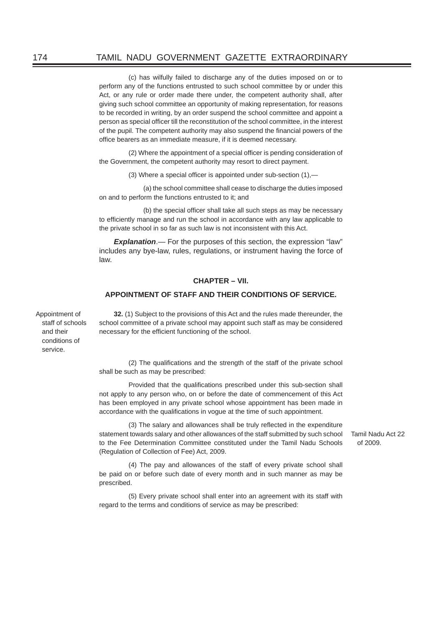(c) has wilfully failed to discharge any of the duties imposed on or to perform any of the functions entrusted to such school committee by or under this Act, or any rule or order made there under, the competent authority shall, after giving such school committee an opportunity of making representation, for reasons to be recorded in writing, by an order suspend the school committee and appoint a person as special officer till the reconstitution of the school committee, in the interest of the pupil. The competent authority may also suspend the financial powers of the office bearers as an immediate measure, if it is deemed necessary.

(2) Where the appointment of a special officer is pending consideration of the Government, the competent authority may resort to direct payment.

(3) Where a special officer is appointed under sub-section  $(1)$ ,—

 (a) the school committee shall cease to discharge the duties imposed on and to perform the functions entrusted to it; and

(b) the special officer shall take all such steps as may be necessary to efficiently manage and run the school in accordance with any law applicable to the private school in so far as such law is not inconsistent with this Act.

*Explanation*.— For the purposes of this section, the expression "law" includes any bye-law, rules, regulations, or instrument having the force of law.

#### **CHAPTER – VII.**

#### **APPOINTMENT OF STAFF AND THEIR CONDITIONS OF SERVICE.**

Appointment of staff of schools and their conditions of service.

**32.** (1) Subject to the provisions of this Act and the rules made thereunder, the school committee of a private school may appoint such staff as may be considered necessary for the efficient functioning of the school.

(2) The qualifications and the strength of the staff of the private school shall be such as may be prescribed:

Provided that the qualifications prescribed under this sub-section shall not apply to any person who, on or before the date of commencement of this Act has been employed in any private school whose appointment has been made in accordance with the qualifications in voque at the time of such appointment.

(3) The salary and allowances shall be truly reflected in the expenditure statement towards salary and other allowances of the staff submitted by such school to the Fee Determination Committee constituted under the Tamil Nadu Schools (Regulation of Collection of Fee) Act, 2009.

(4) The pay and allowances of the staff of every private school shall be paid on or before such date of every month and in such manner as may be prescribed.

(5) Every private school shall enter into an agreement with its staff with regard to the terms and conditions of service as may be prescribed:

Tamil Nadu Act 22 of 2009.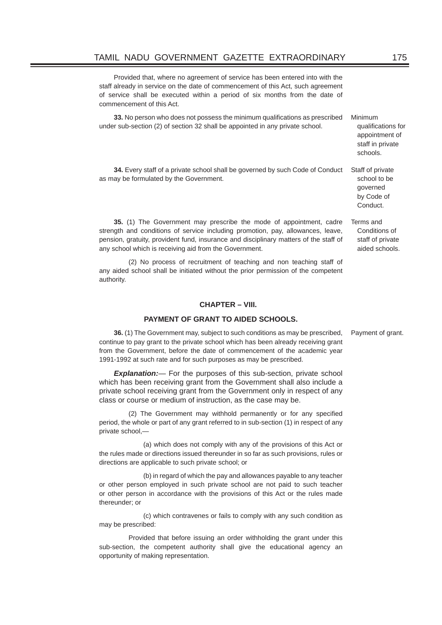Provided that, where no agreement of service has been entered into with the staff already in service on the date of commencement of this Act, such agreement of service shall be executed within a period of six months from the date of commencement of this Act.

**33.** No person who does not possess the minimum qualifications as prescribed under sub-section (2) of section 32 shall be appointed in any private school.

**34.** Every staff of a private school shall be governed by such Code of Conduct as may be formulated by the Government.

**35.** (1) The Government may prescribe the mode of appointment, cadre strength and conditions of service including promotion, pay, allowances, leave, pension, gratuity, provident fund, insurance and disciplinary matters of the staff of any school which is receiving aid from the Government.

(2) No process of recruitment of teaching and non teaching staff of any aided school shall be initiated without the prior permission of the competent authority.

#### **CHAPTER – VIII.**

#### **PAYMENT OF GRANT TO AIDED SCHOOLS.**

**36.** (1) The Government may, subject to such conditions as may be prescribed, continue to pay grant to the private school which has been already receiving grant from the Government, before the date of commencement of the academic year 1991-1992 at such rate and for such purposes as may be prescribed.

**Explanation:**— For the purposes of this sub-section, private school which has been receiving grant from the Government shall also include a private school receiving grant from the Government only in respect of any class or course or medium of instruction, as the case may be.

(2) The Government may withhold permanently or for any specified period, the whole or part of any grant referred to in sub-section (1) in respect of any private school,—

 (a) which does not comply with any of the provisions of this Act or the rules made or directions issued thereunder in so far as such provisions, rules or directions are applicable to such private school; or

 (b) in regard of which the pay and allowances payable to any teacher or other person employed in such private school are not paid to such teacher or other person in accordance with the provisions of this Act or the rules made thereunder; or

 (c) which contravenes or fails to comply with any such condition as may be prescribed:

 Provided that before issuing an order withholding the grant under this sub-section, the competent authority shall give the educational agency an opportunity of making representation.

Payment of grant.

appointment of staff in private schools. Staff of private school to be

qualifications for

Minimum

governed by Code of Conduct.

Terms and Conditions of staff of private

aided schools.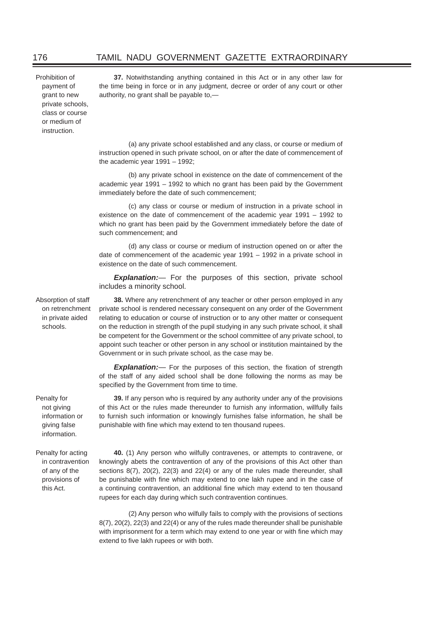Prohibition of payment of grant to new private schools, class or course or medium of instruction.

**37.** Notwithstanding anything contained in this Act or in any other law for the time being in force or in any judgment, decree or order of any court or other authority, no grant shall be payable to,—

(a) any private school established and any class, or course or medium of instruction opened in such private school, on or after the date of commencement of the academic year 1991 – 1992;

(b) any private school in existence on the date of commencement of the academic year 1991 – 1992 to which no grant has been paid by the Government immediately before the date of such commencement;

(c) any class or course or medium of instruction in a private school in existence on the date of commencement of the academic year 1991 – 1992 to which no grant has been paid by the Government immediately before the date of such commencement; and

(d) any class or course or medium of instruction opened on or after the date of commencement of the academic year 1991 – 1992 in a private school in existence on the date of such commencement.

*Explanation:*— For the purposes of this section, private school includes a minority school.

Absorption of staff on retrenchment in private aided schools.

**38.** Where any retrenchment of any teacher or other person employed in any private school is rendered necessary consequent on any order of the Government relating to education or course of instruction or to any other matter or consequent on the reduction in strength of the pupil studying in any such private school, it shall be competent for the Government or the school committee of any private school, to appoint such teacher or other person in any school or institution maintained by the Government or in such private school, as the case may be.

**Explanation:**— For the purposes of this section, the fixation of strength of the staff of any aided school shall be done following the norms as may be specified by the Government from time to time.

**39.** If any person who is required by any authority under any of the provisions of this Act or the rules made thereunder to furnish any information, willfully fails to furnish such information or knowingly furnishes false information, he shall be punishable with fine which may extend to ten thousand rupees.

Penalty for acting in contravention of any of the provisions of this Act.

Penalty for not giving information or giving false information.

> **40.** (1) Any person who wilfully contravenes, or attempts to contravene, or knowingly abets the contravention of any of the provisions of this Act other than sections 8(7), 20(2), 22(3) and 22(4) or any of the rules made thereunder, shall be punishable with fine which may extend to one lakh rupee and in the case of a continuing contravention, an additional fine which may extend to ten thousand rupees for each day during which such contravention continues.

> (2) Any person who wilfully fails to comply with the provisions of sections 8(7), 20(2), 22(3) and 22(4) or any of the rules made thereunder shall be punishable with imprisonment for a term which may extend to one year or with fine which may extend to five lakh rupees or with both.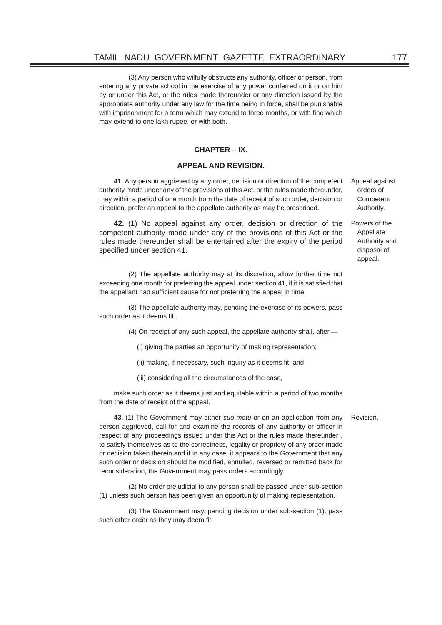(3) Any person who wilfully obstructs any authority, officer or person, from entering any private school in the exercise of any power conferred on it or on him by or under this Act, or the rules made thereunder or any direction issued by the appropriate authority under any law for the time being in force, shall be punishable with imprisonment for a term which may extend to three months, or with fine which may extend to one lakh rupee, or with both.

#### **CHAPTER – IX.**

#### **APPEAL AND REVISION.**

**41.** Any person aggrieved by any order, decision or direction of the competent authority made under any of the provisions of this Act, or the rules made thereunder, may within a period of one month from the date of receipt of such order, decision or direction, prefer an appeal to the appellate authority as may be prescribed.

**42.** (1) No appeal against any order, decision or direction of the competent authority made under any of the provisions of this Act or the rules made thereunder shall be entertained after the expiry of the period specified under section 41.

(2) The appellate authority may at its discretion, allow further time not exceeding one month for preferring the appeal under section 41, if it is satisfied that the appellant had sufficient cause for not preferring the appeal in time.

(3) The appellate authority may, pending the exercise of its powers, pass such order as it deems fit.

(4) On receipt of any such appeal, the appellate authority shall, after,—

(i) giving the parties an opportunity of making representation;

(ii) making, if necessary, such inquiry as it deems fit; and

(iii) considering all the circumstances of the case,

make such order as it deems just and equitable within a period of two months from the date of receipt of the appeal.

**43.** (1) The Government may either *suo-motu* or on an application from any person aggrieved, call for and examine the records of any authority or officer in respect of any proceedings issued under this Act or the rules made thereunder , to satisfy themselves as to the correctness, legality or propriety of any order made or decision taken therein and if in any case, it appears to the Government that any such order or decision should be modified, annulled, reversed or remitted back for reconsideration, the Government may pass orders accordingly. Revision.

(2) No order prejudicial to any person shall be passed under sub-section (1) unless such person has been given an opportunity of making representation.

(3) The Government may, pending decision under sub-section (1), pass such other order as they may deem fit.

Appeal against orders of **Competent** Authority.

Powers of the Appellate Authority and disposal of appeal.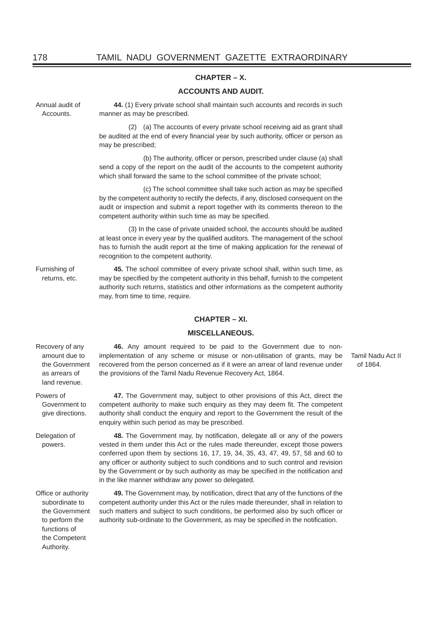#### **CHAPTER – X.**

#### **ACCOUNTS AND AUDIT.**

Annual audit of Accounts.

**44.** (1) Every private school shall maintain such accounts and records in such manner as may be prescribed.

(2) (a) The accounts of every private school receiving aid as grant shall be audited at the end of every financial year by such authority, officer or person as may be prescribed;

(b) The authority, officer or person, prescribed under clause (a) shall send a copy of the report on the audit of the accounts to the competent authority which shall forward the same to the school committee of the private school:

(c) The school committee shall take such action as may be specified by the competent authority to rectify the defects, if any, disclosed consequent on the audit or inspection and submit a report together with its comments thereon to the competent authority within such time as may be specified.

(3) In the case of private unaided school, the accounts should be audited at least once in every year by the qualified auditors. The management of the school has to furnish the audit report at the time of making application for the renewal of recognition to the competent authority.

Furnishing of returns, etc.

**45.** The school committee of every private school shall, within such time, as may be specified by the competent authority in this behalf, furnish to the competent authority such returns, statistics and other informations as the competent authority may, from time to time, require.

#### **CHAPTER – XI.**

#### **MISCELLANEOUS.**

the provisions of the Tamil Nadu Revenue Recovery Act, 1864.

enquiry within such period as may be prescribed.

**46.** Any amount required to be paid to the Government due to nonimplementation of any scheme or misuse or non-utilisation of grants, may be recovered from the person concerned as if it were an arrear of land revenue under

**47.** The Government may, subject to other provisions of this Act, direct the competent authority to make such enquiry as they may deem fit. The competent authority shall conduct the enquiry and report to the Government the result of the

Recovery of any amount due to the Government as arrears of land revenue.

Powers of Government to give directions.

Delegation of powers.

**48.** The Government may, by notification, delegate all or any of the powers vested in them under this Act or the rules made thereunder, except those powers conferred upon them by sections 16, 17, 19, 34, 35, 43, 47, 49, 57, 58 and 60 to any officer or authority subject to such conditions and to such control and revision by the Government or by such authority as may be specified in the notification and in the like manner withdraw any power so delegated.

Office or authority subordinate to the Government to perform the functions of the Competent Authority.

**49.** The Government may, by notification, direct that any of the functions of the competent authority under this Act or the rules made thereunder, shall in relation to such matters and subject to such conditions, be performed also by such officer or authority sub-ordinate to the Government, as may be specified in the notification.

Tamil Nadu Act II of 1864.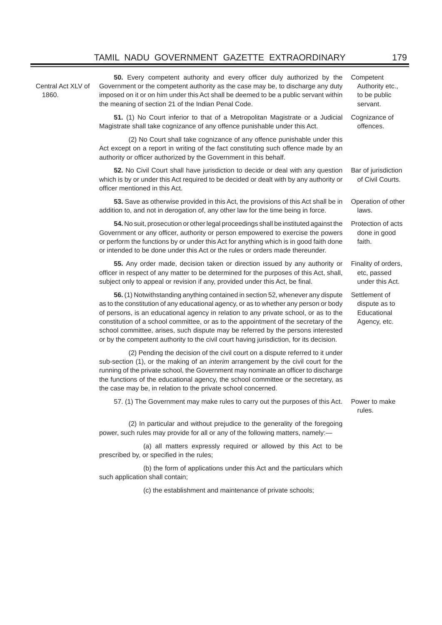#### TAMIL NADU GOVERNMENT GAZETTE EXTRAORDINARY 179

Central Act XLV of 1860.

**50.** Every competent authority and every officer duly authorized by the Government or the competent authority as the case may be, to discharge any duty imposed on it or on him under this Act shall be deemed to be a public servant within the meaning of section 21 of the Indian Penal Code.

**51.** (1) No Court inferior to that of a Metropolitan Magistrate or a Judicial Magistrate shall take cognizance of any offence punishable under this Act.

(2) No Court shall take cognizance of any offence punishable under this Act except on a report in writing of the fact constituting such offence made by an authority or officer authorized by the Government in this behalf.

**52.** No Civil Court shall have jurisdiction to decide or deal with any question which is by or under this Act required to be decided or dealt with by any authority or officer mentioned in this Act. Bar of jurisdiction

**53.** Save as otherwise provided in this Act, the provisions of this Act shall be in addition to, and not in derogation of, any other law for the time being in force. Operation of other

**54.** No suit, prosecution or other legal proceedings shall be instituted against the Government or any officer, authority or person empowered to exercise the powers or perform the functions by or under this Act for anything which is in good faith done or intended to be done under this Act or the rules or orders made thereunder.

**55.** Any order made, decision taken or direction issued by any authority or officer in respect of any matter to be determined for the purposes of this Act, shall, subject only to appeal or revision if any, provided under this Act, be final.

**56.** (1) Notwithstanding anything contained in section 52, whenever any dispute as to the constitution of any educational agency, or as to whether any person or body of persons, is an educational agency in relation to any private school, or as to the constitution of a school committee, or as to the appointment of the secretary of the school committee, arises, such dispute may be referred by the persons interested or by the competent authority to the civil court having jurisdiction, for its decision.

(2) Pending the decision of the civil court on a dispute referred to it under sub-section (1), or the making of an *interim* arrangement by the civil court for the running of the private school, the Government may nominate an officer to discharge the functions of the educational agency, the school committee or the secretary, as the case may be, in relation to the private school concerned.

57. (1) The Government may make rules to carry out the purposes of this Act. Power to make

(2) In particular and without prejudice to the generality of the foregoing power, such rules may provide for all or any of the following matters, namely:-

 (a) all matters expressly required or allowed by this Act to be prescribed by, or specified in the rules;

 (b) the form of applications under this Act and the particulars which such application shall contain:

(c) the establishment and maintenance of private schools;

rules.

**Competent** 

Authority etc., to be public servant.

Cognizance of offences.

of Civil Courts.

Protection of acts done in good

Finality of orders, etc, passed under this Act.

Settlement of dispute as to **Educational** Agency, etc.

laws.

faith.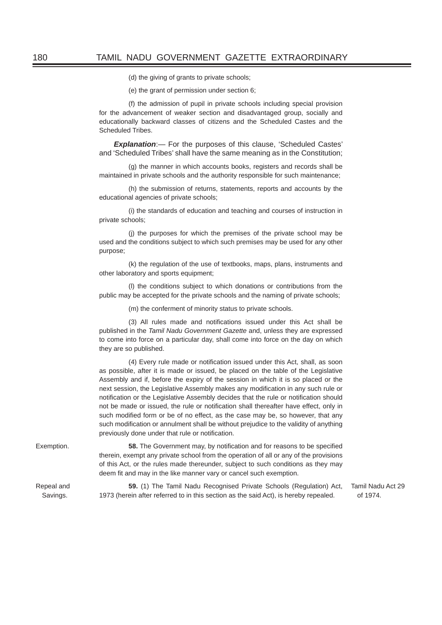(d) the giving of grants to private schools;

(e) the grant of permission under section 6;

(f) the admission of pupil in private schools including special provision for the advancement of weaker section and disadvantaged group, socially and educationally backward classes of citizens and the Scheduled Castes and the Scheduled Tribes.

*Explanation*:— For the purposes of this clause, 'Scheduled Castes' and 'Scheduled Tribes' shall have the same meaning as in the Constitution;

(g) the manner in which accounts books, registers and records shall be maintained in private schools and the authority responsible for such maintenance;

(h) the submission of returns, statements, reports and accounts by the educational agencies of private schools;

(i) the standards of education and teaching and courses of instruction in private schools;

(j) the purposes for which the premises of the private school may be used and the conditions subject to which such premises may be used for any other purpose;

(k) the regulation of the use of textbooks, maps, plans, instruments and other laboratory and sports equipment;

(l) the conditions subject to which donations or contributions from the public may be accepted for the private schools and the naming of private schools;

(m) the conferment of minority status to private schools.

(3) All rules made and notifications issued under this Act shall be published in the *Tamil Nadu Government Gazette* and, unless they are expressed to come into force on a particular day, shall come into force on the day on which they are so published.

(4) Every rule made or notification issued under this Act, shall, as soon as possible, after it is made or issued, be placed on the table of the Legislative Assembly and if, before the expiry of the session in which it is so placed or the next session, the Legislative Assembly makes any modification in any such rule or notification or the Legislative Assembly decides that the rule or notification should not be made or issued, the rule or notification shall thereafter have effect, only in such modified form or be of no effect, as the case may be, so however, that any such modification or annulment shall be without prejudice to the validity of anything previously done under that rule or notification.

Exemption. **58.** The Government may, by notification and for reasons to be specified therein, exempt any private school from the operation of all or any of the provisions of this Act, or the rules made thereunder, subject to such conditions as they may deem fit and may in the like manner vary or cancel such exemption.

> **59.** (1) The Tamil Nadu Recognised Private Schools (Regulation) Act, 1973 (herein after referred to in this section as the said Act), is hereby repealed. Tamil Nadu Act 29 of 1974.

Repeal and Savings.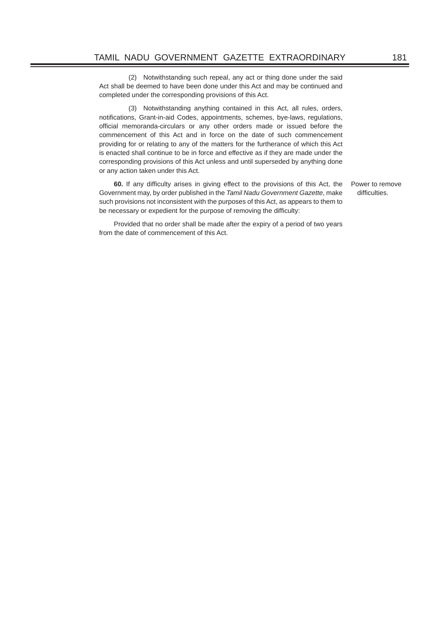(2) Notwithstanding such repeal, any act or thing done under the said Act shall be deemed to have been done under this Act and may be continued and completed under the corresponding provisions of this Act.

(3) Notwithstanding anything contained in this Act, all rules, orders, notifications, Grant-in-aid Codes, appointments, schemes, bye-laws, regulations, official memoranda-circulars or any other orders made or issued before the commencement of this Act and in force on the date of such commencement providing for or relating to any of the matters for the furtherance of which this Act is enacted shall continue to be in force and effective as if they are made under the corresponding provisions of this Act unless and until superseded by anything done or any action taken under this Act.

**60.** If any difficulty arises in giving effect to the provisions of this Act, the Government may, by order published in the *Tamil Nadu Government Gazette*, make such provisions not inconsistent with the purposes of this Act, as appears to them to be necessary or expedient for the purpose of removing the difficulty:

Power to remove difficulties

Provided that no order shall be made after the expiry of a period of two years from the date of commencement of this Act.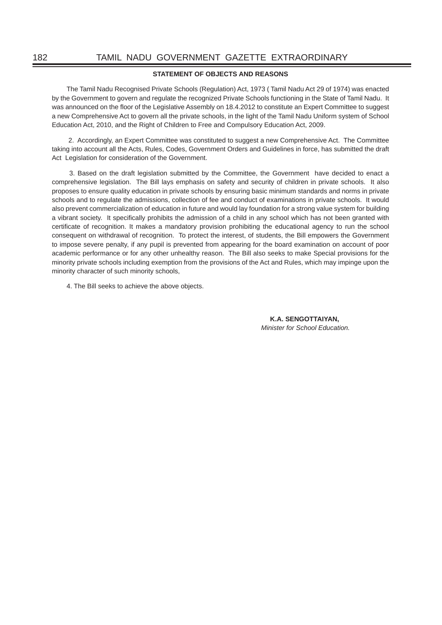#### **STATEMENT OF OBJECTS AND REASONS**

The Tamil Nadu Recognised Private Schools (Regulation) Act, 1973 ( Tamil Nadu Act 29 of 1974) was enacted by the Government to govern and regulate the recognized Private Schools functioning in the State of Tamil Nadu. It was announced on the floor of the Legislative Assembly on 18.4.2012 to constitute an Expert Committee to suggest a new Comprehensive Act to govern all the private schools, in the light of the Tamil Nadu Uniform system of School Education Act, 2010, and the Right of Children to Free and Compulsory Education Act, 2009.

 2. Accordingly, an Expert Committee was constituted to suggest a new Comprehensive Act. The Committee taking into account all the Acts, Rules, Codes, Government Orders and Guidelines in force, has submitted the draft Act Legislation for consideration of the Government.

 3. Based on the draft legislation submitted by the Committee, the Government have decided to enact a comprehensive legislation. The Bill lays emphasis on safety and security of children in private schools. It also proposes to ensure quality education in private schools by ensuring basic minimum standards and norms in private schools and to regulate the admissions, collection of fee and conduct of examinations in private schools. It would also prevent commercialization of education in future and would lay foundation for a strong value system for building a vibrant society. It specifically prohibits the admission of a child in any school which has not been granted with certificate of recognition. It makes a mandatory provision prohibiting the educational agency to run the school consequent on withdrawal of recognition. To protect the interest, of students, the Bill empowers the Government to impose severe penalty, if any pupil is prevented from appearing for the board examination on account of poor academic performance or for any other unhealthy reason. The Bill also seeks to make Special provisions for the minority private schools including exemption from the provisions of the Act and Rules, which may impinge upon the minority character of such minority schools,

4. The Bill seeks to achieve the above objects.

**K.A. SENGOTTAIYAN,** *Minister for School Education.*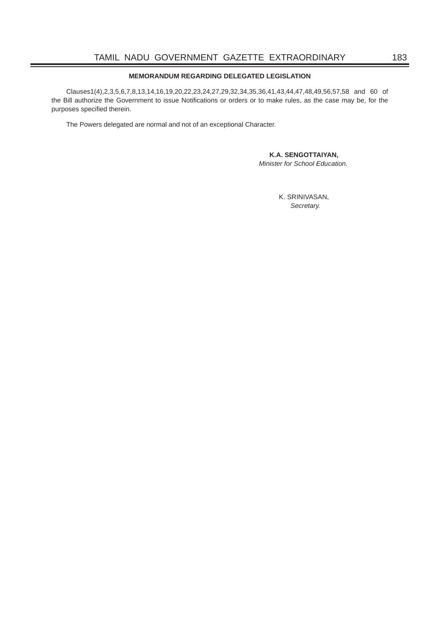#### **MEMORANDUM REGARDING DELEGATED LEGISLATION**

Clauses1(4),2,3,5,6,7,8,13,14,16,19,20,22,23,24,27,29,32,34,35,36,41,43,44,47,48,49,56,57,58 and 60 of the Bill authorize the Government to issue Notifications or orders or to make rules, as the case may be, for the purposes specified therein.

The Powers delegated are normal and not of an exceptional Character.

#### **K.A. SENGOTTAIYAN,**

*Minister for School Education.*

K. SRINIVASAN, *Secretary.*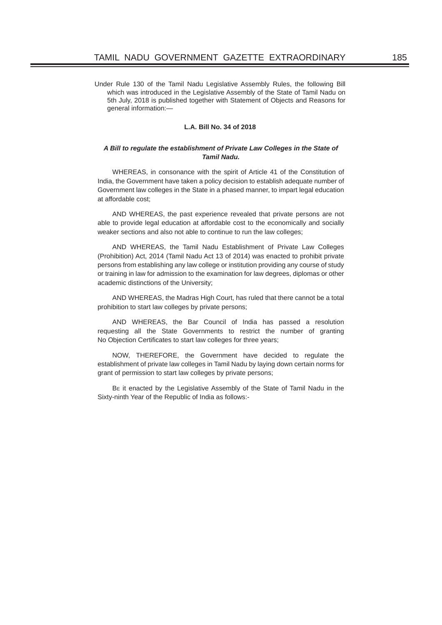Under Rule 130 of the Tamil Nadu Legislative Assembly Rules, the following Bill which was introduced in the Legislative Assembly of the State of Tamil Nadu on 5th July, 2018 is published together with Statement of Objects and Reasons for general information:—

#### **L.A. Bill No. 34 of 2018**

#### *A Bill to regulate the establishment of Private Law Colleges in the State of Tamil Nadu.*

WHEREAS, in consonance with the spirit of Article 41 of the Constitution of India, the Government have taken a policy decision to establish adequate number of Government law colleges in the State in a phased manner, to impart legal education at affordable cost;

AND WHEREAS, the past experience revealed that private persons are not able to provide legal education at affordable cost to the economically and socially weaker sections and also not able to continue to run the law colleges;

AND WHEREAS, the Tamil Nadu Establishment of Private Law Colleges (Prohibition) Act, 2014 (Tamil Nadu Act 13 of 2014) was enacted to prohibit private persons from establishing any law college or institution providing any course of study or training in law for admission to the examination for law degrees, diplomas or other academic distinctions of the University;

AND WHEREAS, the Madras High Court, has ruled that there cannot be a total prohibition to start law colleges by private persons;

AND WHEREAS, the Bar Council of India has passed a resolution requesting all the State Governments to restrict the number of granting No Objection Certificates to start law colleges for three years;

NOW, THEREFORE, the Government have decided to regulate the establishment of private law colleges in Tamil Nadu by laying down certain norms for grant of permission to start law colleges by private persons;

BE it enacted by the Legislative Assembly of the State of Tamil Nadu in the Sixty-ninth Year of the Republic of India as follows:-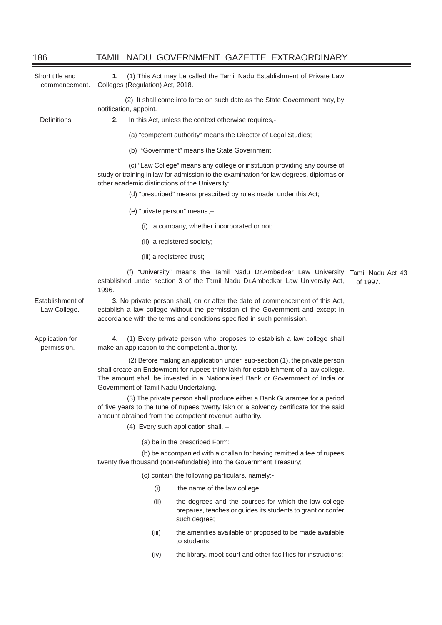| Short title and<br>commencement. | 1.<br>Colleges (Regulation) Act, 2018.                                                                                                                                                                                                                                                       | (1) This Act may be called the Tamil Nadu Establishment of Private Law                                                                                              |          |  |  |
|----------------------------------|----------------------------------------------------------------------------------------------------------------------------------------------------------------------------------------------------------------------------------------------------------------------------------------------|---------------------------------------------------------------------------------------------------------------------------------------------------------------------|----------|--|--|
|                                  | (2) It shall come into force on such date as the State Government may, by<br>notification, appoint.                                                                                                                                                                                          |                                                                                                                                                                     |          |  |  |
| Definitions.                     | 2.                                                                                                                                                                                                                                                                                           | In this Act, unless the context otherwise requires,-                                                                                                                |          |  |  |
|                                  |                                                                                                                                                                                                                                                                                              | (a) "competent authority" means the Director of Legal Studies;                                                                                                      |          |  |  |
|                                  |                                                                                                                                                                                                                                                                                              | (b) "Government" means the State Government;                                                                                                                        |          |  |  |
|                                  | (c) "Law College" means any college or institution providing any course of<br>study or training in law for admission to the examination for law degrees, diplomas or<br>other academic distinctions of the University;                                                                       |                                                                                                                                                                     |          |  |  |
|                                  |                                                                                                                                                                                                                                                                                              | (d) "prescribed" means prescribed by rules made under this Act;                                                                                                     |          |  |  |
|                                  |                                                                                                                                                                                                                                                                                              | (e) "private person" means,-                                                                                                                                        |          |  |  |
|                                  | (1)                                                                                                                                                                                                                                                                                          | a company, whether incorporated or not;                                                                                                                             |          |  |  |
|                                  |                                                                                                                                                                                                                                                                                              | (ii) a registered society;                                                                                                                                          |          |  |  |
|                                  |                                                                                                                                                                                                                                                                                              | (iii) a registered trust;                                                                                                                                           |          |  |  |
|                                  | 1996.                                                                                                                                                                                                                                                                                        | (f) "University" means the Tamil Nadu Dr.Ambedkar Law University Tamil Nadu Act 43<br>established under section 3 of the Tamil Nadu Dr.Ambedkar Law University Act, | of 1997. |  |  |
| Establishment of<br>Law College. | 3. No private person shall, on or after the date of commencement of this Act,<br>establish a law college without the permission of the Government and except in<br>accordance with the terms and conditions specified in such permission.                                                    |                                                                                                                                                                     |          |  |  |
| Application for<br>permission.   | (1) Every private person who proposes to establish a law college shall<br>4.<br>make an application to the competent authority.                                                                                                                                                              |                                                                                                                                                                     |          |  |  |
|                                  | (2) Before making an application under sub-section (1), the private person<br>shall create an Endowment for rupees thirty lakh for establishment of a law college.<br>The amount shall be invested in a Nationalised Bank or Government of India or<br>Government of Tamil Nadu Undertaking. |                                                                                                                                                                     |          |  |  |
|                                  | (3) The private person shall produce either a Bank Guarantee for a period<br>of five years to the tune of rupees twenty lakh or a solvency certificate for the said<br>amount obtained from the competent revenue authority.                                                                 |                                                                                                                                                                     |          |  |  |
|                                  | (4) Every such application shall, $-$                                                                                                                                                                                                                                                        |                                                                                                                                                                     |          |  |  |
|                                  | (a) be in the prescribed Form;                                                                                                                                                                                                                                                               |                                                                                                                                                                     |          |  |  |
|                                  | (b) be accompanied with a challan for having remitted a fee of rupees<br>twenty five thousand (non-refundable) into the Government Treasury;                                                                                                                                                 |                                                                                                                                                                     |          |  |  |
|                                  |                                                                                                                                                                                                                                                                                              | (c) contain the following particulars, namely:-                                                                                                                     |          |  |  |
|                                  | (i)                                                                                                                                                                                                                                                                                          | the name of the law college;                                                                                                                                        |          |  |  |
|                                  | (ii)                                                                                                                                                                                                                                                                                         | the degrees and the courses for which the law college<br>prepares, teaches or guides its students to grant or confer<br>such degree;                                |          |  |  |
|                                  | (iii)                                                                                                                                                                                                                                                                                        | the amenities available or proposed to be made available<br>to students;                                                                                            |          |  |  |

(iv) the library, moot court and other facilities for instructions;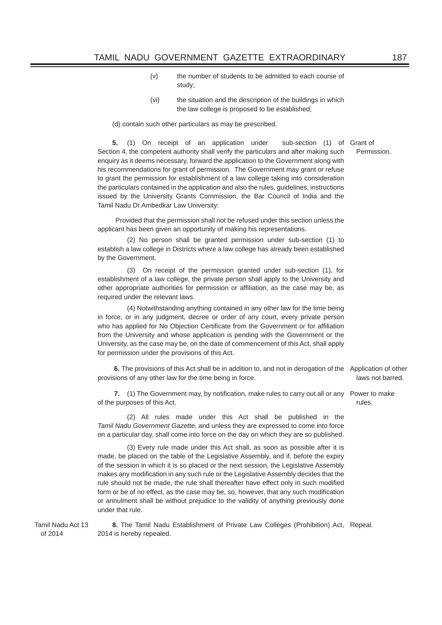- (v) the number of students to be admitted to each course of study;
- (vi) the situation and the description of the buildings in which the law college is proposed to be established;

(d) contain such other particulars as may be prescribed.

**5.** (1) On receipt of an application under Section 4, the competent authority shall verify the particulars and after making such enquiry as it deems necessary, forward the application to the Government along with his recommendations for grant of permission. The Government may grant or refuse to grant the permission for establishment of a law college taking into consideration the particulars contained in the application and also the rules, guidelines, instructions issued by the University Grants Commission, the Bar Council of India and the Tamil Nadu Dr.Ambedkar Law University: sub-section (1) of Grant of

 Provided that the permission shall not be refused under this section unless the applicant has been given an opportunity of making his representations.

 (2) No person shall be granted permission under sub-section (1) to establish a law college in Districts where a law college has already been established by the Government.

 (3) On receipt of the permission granted under sub-section (1), for establishment of a law college, the private person shall apply to the University and other appropriate authorities for permission or affiliation, as the case may be, as required under the relevant laws.

 (4) Notwithstanding anything contained in any other law for the time being in force, or in any judgment, decree or order of any court, every private person who has applied for No Objection Certificate from the Government or for affiliation from the University and whose application is pending with the Government or the University, as the case may be, on the date of commencement of this Act, shall apply for permission under the provisions of this Act.

**6.** The provisions of this Act shall be in addition to, and not in derogation of the Application of other provisions of any other law for the time being in force.

**7.** (1) The Government may, by notification, make rules to carry out all or any Power to make of the purposes of this Act.

 (2) All rules made under this Act shall be published in the *Tamil Nadu Government Gazette*, and unless they are expressed to come into force on a particular day, shall come into force on the day on which they are so published.

 (3) Every rule made under this Act shall, as soon as possible after it is made, be placed on the table of the Legislative Assembly, and if, before the expiry of the session in which it is so placed or the next session, the Legislative Assembly makes any modification in any such rule or the Legislative Assembly decides that the rule should not be made, the rule shall thereafter have effect only in such modified form or be of no effect, as the case may be, so, however, that any such modification or annulment shall be without prejudice to the validity of anything previously done under that rule.

Tamil Nadu Act 13 of 2014

**8.** The Tamil Nadu Establishment of Private Law Colleges (Prohibition) Act, Repeal. 2014 is hereby repealed.

laws not barred.

rules.

Permission.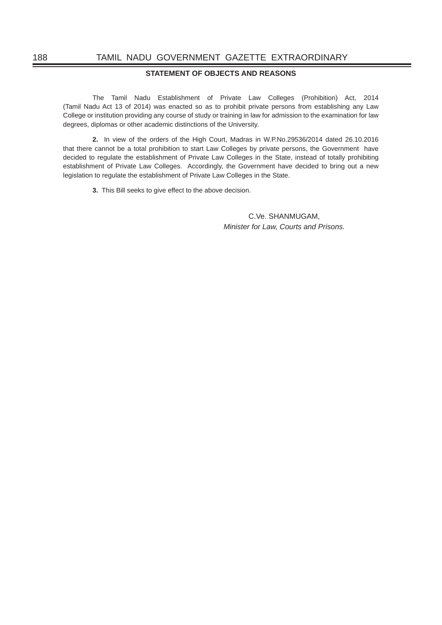### **STATEMENT OF OBJECTS AND REASONS**

 The Tamil Nadu Establishment of Private Law Colleges (Prohibition) Act, 2014 (Tamil Nadu Act 13 of 2014) was enacted so as to prohibit private persons from establishing any Law College or institution providing any course of study or training in law for admission to the examination for law degrees, diplomas or other academic distinctions of the University.

**2.** In view of the orders of the High Court, Madras in W.P.No.29536/2014 dated 26.10.2016 that there cannot be a total prohibition to start Law Colleges by private persons, the Government have decided to regulate the establishment of Private Law Colleges in the State, instead of totally prohibiting establishment of Private Law Colleges. Accordingly, the Government have decided to bring out a new legislation to regulate the establishment of Private Law Colleges in the State.

**3.** This Bill seeks to give effect to the above decision.

C.Ve. SHANMUGAM, *Minister for Law, Courts and Prisons.*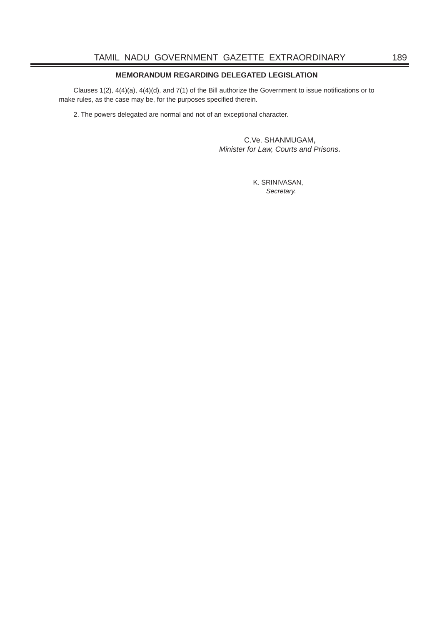# **MEMORANDUM REGARDING DELEGATED LEGISLATION**

Clauses 1(2),  $4(4)(a)$ ,  $4(4)(d)$ , and  $7(1)$  of the Bill authorize the Government to issue notifications or to make rules, as the case may be, for the purposes specified therein.

2. The powers delegated are normal and not of an exceptional character.

C.Ve. SHANMUGAM, *Minister for Law, Courts and Prisons.*

 K. SRINIVASAN, *Secretary.*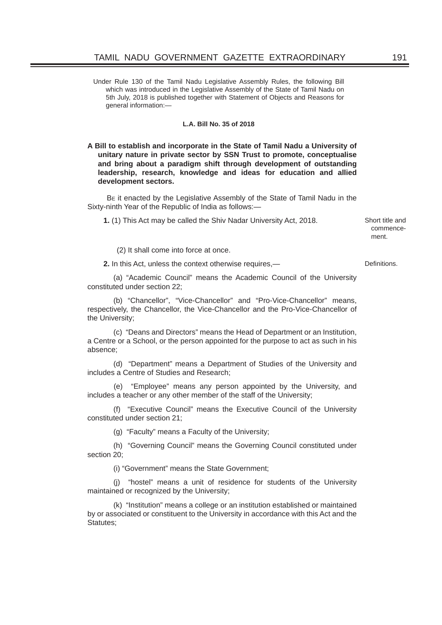Under Rule 130 of the Tamil Nadu Legislative Assembly Rules, the following Bill which was introduced in the Legislative Assembly of the State of Tamil Nadu on 5th July, 2018 is published together with Statement of Objects and Reasons for general information:—

### **L.A. Bill No. 35 of 2018**

**A Bill to establish and incorporate in the State of Tamil Nadu a University of unitary nature in private sector by SSN Trust to promote, conceptualise and bring about a paradigm shift through development of outstanding leadership, research, knowledge and ideas for education and allied development sectors.**

BE it enacted by the Legislative Assembly of the State of Tamil Nadu in the Sixty-ninth Year of the Republic of India as follows:—

**1.** (1) This Act may be called the Shiv Nadar University Act, 2018. Short title and

commencement.

(2) It shall come into force at once.

**2.** In this Act, unless the context otherwise requires,— Definitions.

(a) "Academic Council" means the Academic Council of the University constituted under section 22;

(b) "Chancellor", "Vice-Chancellor" and "Pro-Vice-Chancellor" means, respectively, the Chancellor, the Vice-Chancellor and the Pro-Vice-Chancellor of the University;

(c) "Deans and Directors" means the Head of Department or an Institution, a Centre or a School, or the person appointed for the purpose to act as such in his absence;

(d) "Department" means a Department of Studies of the University and includes a Centre of Studies and Research;

(e) "Employee" means any person appointed by the University, and includes a teacher or any other member of the staff of the University;

(f) "Executive Council" means the Executive Council of the University constituted under section 21;

(g) "Faculty" means a Faculty of the University;

(h) "Governing Council" means the Governing Council constituted under section 20;

(i) "Government" means the State Government;

(j) "hostel" means a unit of residence for students of the University maintained or recognized by the University;

(k) "Institution" means a college or an institution established or maintained by or associated or constituent to the University in accordance with this Act and the Statutes;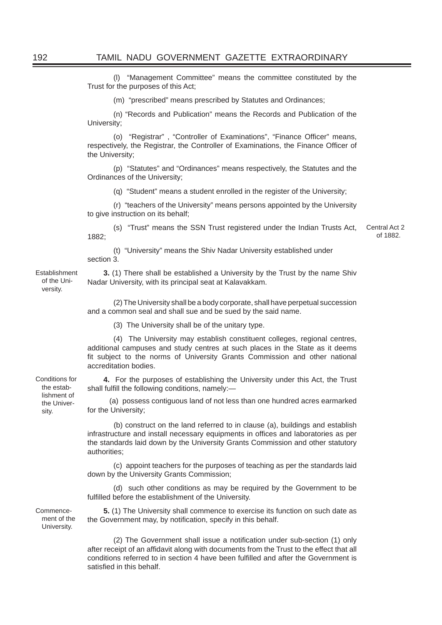(l) "Management Committee" means the committee constituted by the Trust for the purposes of this Act;

(m) "prescribed" means prescribed by Statutes and Ordinances;

(n) "Records and Publication" means the Records and Publication of the University;

(o) "Registrar", "Controller of Examinations", "Finance Officer" means, respectively, the Registrar, the Controller of Examinations, the Finance Officer of the University;

(p) "Statutes" and "Ordinances" means respectively, the Statutes and the Ordinances of the University;

(q) "Student" means a student enrolled in the register of the University;

(r) "teachers of the University" means persons appointed by the University to give instruction on its behalf;

(s) "Trust" means the SSN Trust registered under the Indian Trusts Act, 1882; Central Act 2 of 1882.

(t) "University" means the Shiv Nadar University established under section 3.

Establishment of the University.

**3.** (1) There shall be established a University by the Trust by the name Shiv Nadar University, with its principal seat at Kalavakkam.

(2) The University shall be a body corporate, shall have perpetual succession and a common seal and shall sue and be sued by the said name.

(3) The University shall be of the unitary type.

(4) The University may establish constituent colleges, regional centres, additional campuses and study centres at such places in the State as it deems fit subject to the norms of University Grants Commission and other national accreditation bodies.

**4.** For the purposes of establishing the University under this Act, the Trust shall fulfill the following conditions, namely:-

 (a) possess contiguous land of not less than one hundred acres earmarked for the University;

(b) construct on the land referred to in clause (a), buildings and establish infrastructure and install necessary equipments in offices and laboratories as per the standards laid down by the University Grants Commission and other statutory authorities;

(c) appoint teachers for the purposes of teaching as per the standards laid down by the University Grants Commission;

(d) such other conditions as may be required by the Government to be fulfilled before the establishment of the University.

**5.** (1) The University shall commence to exercise its function on such date as the Government may, by notification, specify in this behalf.

(2) The Government shall issue a notification under sub-section (1) only after receipt of an affidavit along with documents from the Trust to the effect that all conditions referred to in section 4 have been fulfilled and after the Government is satisfied in this behalf

Conditions for the establishment of the University.

Commencement of the University.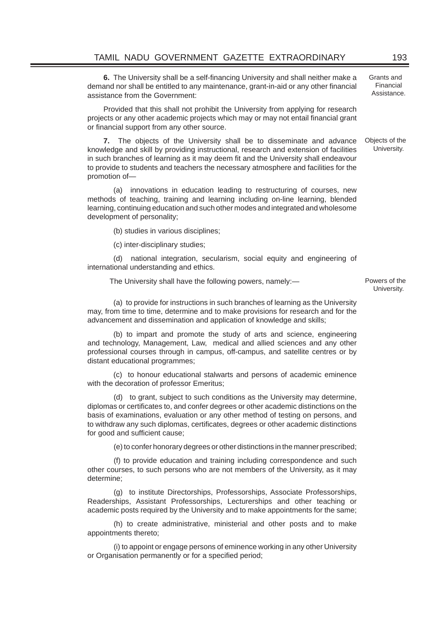**6.** The University shall be a self-financing University and shall neither make a demand nor shall be entitled to any maintenance, grant-in-aid or any other financial assistance from the Government:

Provided that this shall not prohibit the University from applying for research projects or any other academic projects which may or may not entail financial grant or financial support from any other source.

**7.** The objects of the University shall be to disseminate and advance knowledge and skill by providing instructional, research and extension of facilities in such branches of learning as it may deem fit and the University shall endeavour to provide to students and teachers the necessary atmosphere and facilities for the promotion of—

(a) innovations in education leading to restructuring of courses, new methods of teaching, training and learning including on-line learning, blended learning, continuing education and such other modes and integrated and wholesome development of personality;

(b) studies in various disciplines;

(c) inter-disciplinary studies;

(d)national integration, secularism, social equity and engineering of international understanding and ethics.

The University shall have the following powers, namely:— Powers of the

(a) to provide for instructions in such branches of learning as the University may, from time to time, determine and to make provisions for research and for the advancement and dissemination and application of knowledge and skills;

(b) to impart and promote the study of arts and science, engineering and technology, Management, Law, medical and allied sciences and any other professional courses through in campus, off-campus, and satellite centres or by distant educational programmes;

(c) to honour educational stalwarts and persons of academic eminence with the decoration of professor Emeritus;

(d)to grant, subject to such conditions as the University may determine, diplomas or certificates to, and confer degrees or other academic distinctions on the basis of examinations, evaluation or any other method of testing on persons, and to withdraw any such diplomas, certificates, degrees or other academic distinctions for good and sufficient cause;

(e) to confer honorary degrees or other distinctions in the manner prescribed;

(f) to provide education and training including correspondence and such other courses, to such persons who are not members of the University, as it may determine;

(g) to institute Directorships, Professorships, Associate Professorships, Readerships, Assistant Professorships, Lecturerships and other teaching or academic posts required by the University and to make appointments for the same;

(h) to create administrative, ministerial and other posts and to make appointments thereto;

(i) to appoint or engage persons of eminence working in any other University or Organisation permanently or for a specified period;

University.

Grants and Financial Assistance.

Objects of the University.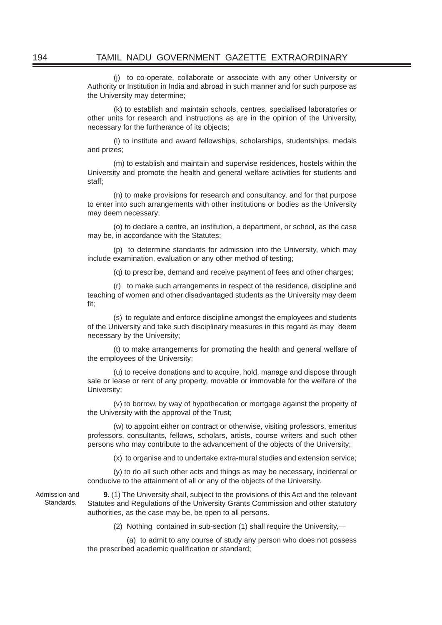(j) to co-operate, collaborate or associate with any other University or Authority or Institution in India and abroad in such manner and for such purpose as the University may determine;

(k) to establish and maintain schools, centres, specialised laboratories or other units for research and instructions as are in the opinion of the University, necessary for the furtherance of its objects;

(l) to institute and award fellowships, scholarships, studentships, medals and prizes;

(m) to establish and maintain and supervise residences, hostels within the University and promote the health and general welfare activities for students and staff;

(n) to make provisions for research and consultancy, and for that purpose to enter into such arrangements with other institutions or bodies as the University may deem necessary;

(o) to declare a centre, an institution, a department, or school, as the case may be, in accordance with the Statutes;

(p) to determine standards for admission into the University, which may include examination, evaluation or any other method of testing;

(q) to prescribe, demand and receive payment of fees and other charges;

(r)to make such arrangements in respect of the residence, discipline and teaching of women and other disadvantaged students as the University may deem fit;

(s)to regulate and enforce discipline amongst the employees and students of the University and take such disciplinary measures in this regard as may deem necessary by the University;

(t) to make arrangements for promoting the health and general welfare of the employees of the University;

(u) to receive donations and to acquire, hold, manage and dispose through sale or lease or rent of any property, movable or immovable for the welfare of the University;

(v) to borrow, by way of hypothecation or mortgage against the property of the University with the approval of the Trust;

(w) to appoint either on contract or otherwise, visiting professors, emeritus professors, consultants, fellows, scholars, artists, course writers and such other persons who may contribute to the advancement of the objects of the University;

(x) to organise and to undertake extra-mural studies and extension service;

(y) to do all such other acts and things as may be necessary, incidental or conducive to the attainment of all or any of the objects of the University.

Admission and Standards. **9.** (1) The University shall, subject to the provisions of this Act and the relevant Statutes and Regulations of the University Grants Commission and other statutory authorities, as the case may be, be open to all persons.

(2) Nothing contained in sub-section (1) shall require the University,—

(a) to admit to any course of study any person who does not possess the prescribed academic qualification or standard;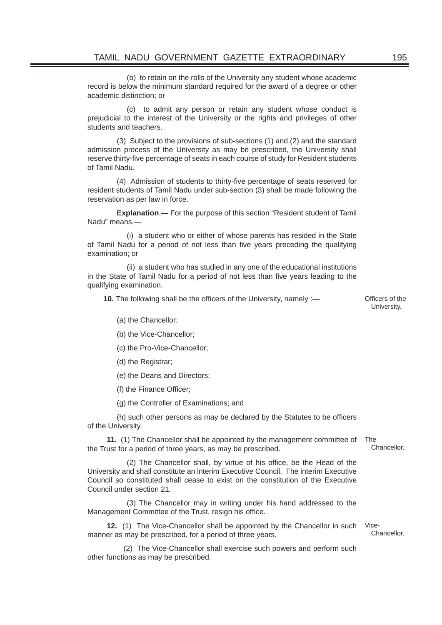(b) to retain on the rolls of the University any student whose academic record is below the minimum standard required for the award of a degree or other academic distinction; or

(c) to admit any person or retain any student whose conduct is prejudicial to the interest of the University or the rights and privileges of other students and teachers.

(3) Subject to the provisions of sub-sections (1) and (2) and the standard admission process of the University as may be prescribed, the University shall reserve thirty-five percentage of seats in each course of study for Resident students of Tamil Nadu.

(4) Admission of students to thirty-five percentage of seats reserved for resident students of Tamil Nadu under sub-section (3) shall be made following the reservation as per law in force.

**Explanation**.— For the purpose of this section "Resident student of Tamil Nadu" means,—

(i) a student who or either of whose parents has resided in the State of Tamil Nadu for a period of not less than five years preceding the qualifying examination; or

(ii) a student who has studied in any one of the educational institutions in the State of Tamil Nadu for a period of not less than five years leading to the qualifying examination.

**10.** The following shall be the officers of the University, namely :— Officers of the

University.

(a) the Chancellor;

(b) the Vice-Chancellor;

(c) the Pro-Vice-Chancellor;

(d) the Registrar;

(e) the Deans and Directors;

(f) the Finance Officer;

(g) the Controller of Examinations; and

(h) such other persons as may be declared by the Statutes to be officers of the University.

**11.** (1) The Chancellor shall be appointed by the management committee of the Trust for a period of three years, as may be prescribed. The

(2) The Chancellor shall, by virtue of his office, be the Head of the University and shall constitute an interim Executive Council. The interim Executive Council so constituted shall cease to exist on the constitution of the Executive Council under section 21.

(3) The Chancellor may in writing under his hand addressed to the Management Committee of the Trust, resign his office.

**12.** (1) The Vice-Chancellor shall be appointed by the Chancellor in such Vicemanner as may be prescribed, for a period of three years.

(2) The Vice-Chancellor shall exercise such powers and perform such other functions as may be prescribed.

Chancellor.

Chancellor.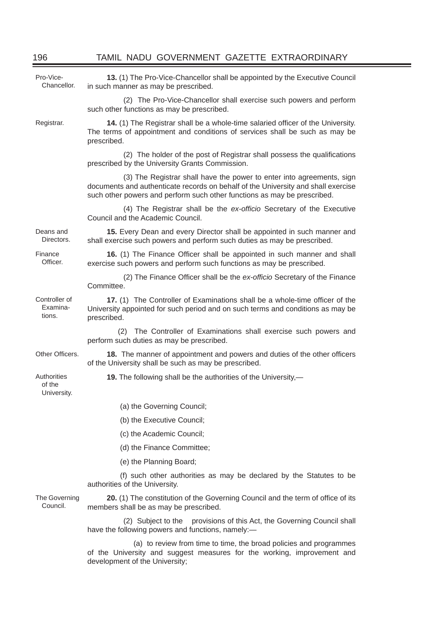| Pro-Vice-<br>Chancellor.             | 13. (1) The Pro-Vice-Chancellor shall be appointed by the Executive Council<br>in such manner as may be prescribed.                                                                                                                    |  |  |  |
|--------------------------------------|----------------------------------------------------------------------------------------------------------------------------------------------------------------------------------------------------------------------------------------|--|--|--|
|                                      | (2) The Pro-Vice-Chancellor shall exercise such powers and perform<br>such other functions as may be prescribed.                                                                                                                       |  |  |  |
| Registrar.                           | 14. (1) The Registrar shall be a whole-time salaried officer of the University.<br>The terms of appointment and conditions of services shall be such as may be<br>prescribed.                                                          |  |  |  |
|                                      | (2) The holder of the post of Registrar shall possess the qualifications<br>prescribed by the University Grants Commission.                                                                                                            |  |  |  |
|                                      | (3) The Registrar shall have the power to enter into agreements, sign<br>documents and authenticate records on behalf of the University and shall exercise<br>such other powers and perform such other functions as may be prescribed. |  |  |  |
|                                      | (4) The Registrar shall be the ex-officio Secretary of the Executive<br>Council and the Academic Council.                                                                                                                              |  |  |  |
| Deans and<br>Directors.              | 15. Every Dean and every Director shall be appointed in such manner and<br>shall exercise such powers and perform such duties as may be prescribed.                                                                                    |  |  |  |
| Finance<br>Officer.                  | 16. (1) The Finance Officer shall be appointed in such manner and shall<br>exercise such powers and perform such functions as may be prescribed.                                                                                       |  |  |  |
|                                      | (2) The Finance Officer shall be the ex-officio Secretary of the Finance<br>Committee.                                                                                                                                                 |  |  |  |
| Controller of<br>Examina-<br>tions.  | 17. (1) The Controller of Examinations shall be a whole-time officer of the<br>University appointed for such period and on such terms and conditions as may be<br>prescribed.                                                          |  |  |  |
|                                      | The Controller of Examinations shall exercise such powers and<br>(2)<br>perform such duties as may be prescribed.                                                                                                                      |  |  |  |
| Other Officers.                      | 18. The manner of appointment and powers and duties of the other officers<br>of the University shall be such as may be prescribed.                                                                                                     |  |  |  |
| Authorities<br>of the<br>University. | 19. The following shall be the authorities of the University,—                                                                                                                                                                         |  |  |  |
|                                      | (a) the Governing Council;                                                                                                                                                                                                             |  |  |  |
|                                      | (b) the Executive Council;                                                                                                                                                                                                             |  |  |  |
|                                      | (c) the Academic Council;                                                                                                                                                                                                              |  |  |  |
|                                      | (d) the Finance Committee;                                                                                                                                                                                                             |  |  |  |
|                                      | (e) the Planning Board;                                                                                                                                                                                                                |  |  |  |
|                                      | (f) such other authorities as may be declared by the Statutes to be<br>authorities of the University.                                                                                                                                  |  |  |  |
| The Governing<br>Council.            | 20. (1) The constitution of the Governing Council and the term of office of its<br>members shall be as may be prescribed.                                                                                                              |  |  |  |
|                                      | (2) Subject to the provisions of this Act, the Governing Council shall<br>have the following powers and functions, namely:-                                                                                                            |  |  |  |
|                                      | (a) to review from time to time, the broad policies and programmes<br>of the University and suggest measures for the working, improvement and                                                                                          |  |  |  |

development of the University;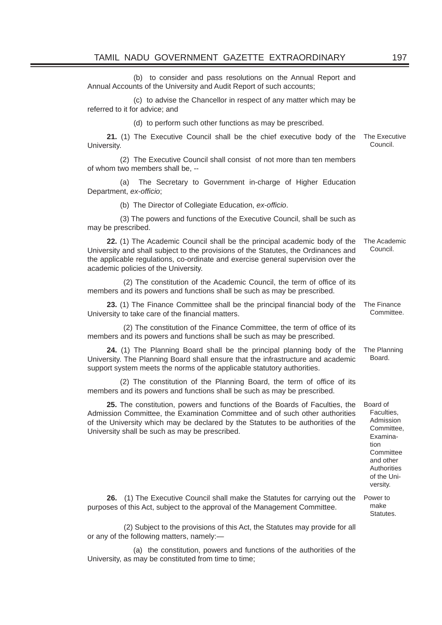(b) to consider and pass resolutions on the Annual Report and Annual Accounts of the University and Audit Report of such accounts;

(c) to advise the Chancellor in respect of any matter which may be referred to it for advice; and

(d) to perform such other functions as may be prescribed.

**21.** (1) The Executive Council shall be the chief executive body of the University. The Executive Council.

(2) The Executive Council shall consist of not more than ten members of whom two members shall be, --

(a) The Secretary to Government in-charge of Higher Education Department, ex-officio;

(b) The Director of Collegiate Education, ex-officio.

(3) The powers and functions of the Executive Council, shall be such as may be prescribed.

**22.** (1) The Academic Council shall be the principal academic body of the University and shall subject to the provisions of the Statutes, the Ordinances and the applicable regulations, co-ordinate and exercise general supervision over the academic policies of the University. The Academic Council.

(2) The constitution of the Academic Council, the term of office of its members and its powers and functions shall be such as may be prescribed.

**23.** (1) The Finance Committee shall be the principal financial body of the University to take care of the financial matters. The Finance

(2) The constitution of the Finance Committee, the term of office of its members and its powers and functions shall be such as may be prescribed.

**24.** (1) The Planning Board shall be the principal planning body of the University. The Planning Board shall ensure that the infrastructure and academic support system meets the norms of the applicable statutory authorities. The Planning Board.

(2) The constitution of the Planning Board, the term of office of its members and its powers and functions shall be such as may be prescribed.

**25.** The constitution, powers and functions of the Boards of Faculties, the Admission Committee, the Examination Committee and of such other authorities of the University which may be declared by the Statutes to be authorities of the University shall be such as may be prescribed.

Faculties, Admission Committee, Examination **Committee** and other **Authorities** of the University.

Power to make **Statutes** 

Board of

Committee.

**26.** (1) The Executive Council shall make the Statutes for carrying out the purposes of this Act, subject to the approval of the Management Committee.

(2) Subject to the provisions of this Act, the Statutes may provide for all or any of the following matters, namely:—

(a) the constitution, powers and functions of the authorities of the University, as may be constituted from time to time;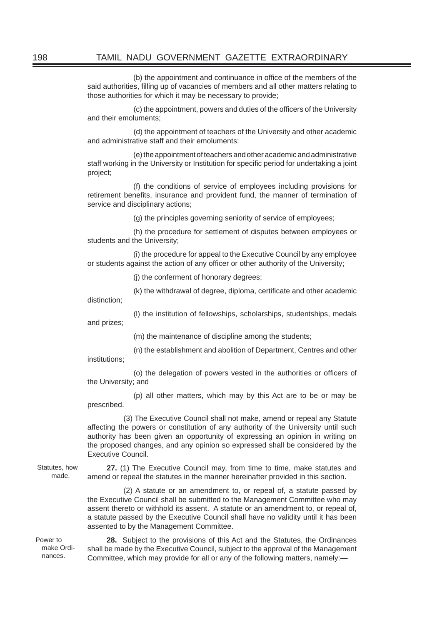(b) the appointment and continuance in office of the members of the said authorities, filling up of vacancies of members and all other matters relating to those authorities for which it may be necessary to provide;

(c) the appointment, powers and duties of the officers of the University and their emoluments;

(d) the appointment of teachers of the University and other academic and administrative staff and their emoluments;

(e) the appointment of teachers and other academic and administrative staff working in the University or Institution for specific period for undertaking a joint project;

(f) the conditions of service of employees including provisions for retirement benefits, insurance and provident fund, the manner of termination of service and disciplinary actions;

(g) the principles governing seniority of service of employees;

(h) the procedure for settlement of disputes between employees or students and the University;

(i) the procedure for appeal to the Executive Council by any employee or students against the action of any officer or other authority of the University;

(j) the conferment of honorary degrees;

(k) the withdrawal of degree, diploma, certificate and other academic

distinction;

and prizes;

(l) the institution of fellowships, scholarships, studentships, medals

(m) the maintenance of discipline among the students;

(n) the establishment and abolition of Department, Centres and other institutions;

(o) the delegation of powers vested in the authorities or officers of the University; and

(p) all other matters, which may by this Act are to be or may be prescribed.

(3) The Executive Council shall not make, amend or repeal any Statute affecting the powers or constitution of any authority of the University until such authority has been given an opportunity of expressing an opinion in writing on the proposed changes, and any opinion so expressed shall be considered by the Executive Council.

Statutes, how made.

**27.** (1) The Executive Council may, from time to time, make statutes and amend or repeal the statutes in the manner hereinafter provided in this section.

(2) A statute or an amendment to, or repeal of, a statute passed by the Executive Council shall be submitted to the Management Committee who may assent thereto or withhold its assent. A statute or an amendment to, or repeal of, a statute passed by the Executive Council shall have no validity until it has been assented to by the Management Committee.

Power to make Ordinances.

**28.** Subject to the provisions of this Act and the Statutes, the Ordinances shall be made by the Executive Council, subject to the approval of the Management Committee, which may provide for all or any of the following matters, namely:—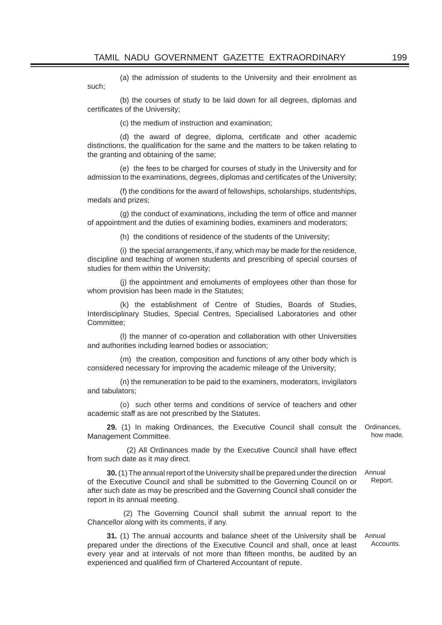(a) the admission of students to the University and their enrolment as such;

(b) the courses of study to be laid down for all degrees, diplomas and certificates of the University;

(c) the medium of instruction and examination;

(d) the award of degree, diploma, certificate and other academic distinctions, the qualification for the same and the matters to be taken relating to the granting and obtaining of the same;

(e) the fees to be charged for courses of study in the University and for admission to the examinations, degrees, diplomas and certificates of the University;

(f) the conditions for the award of fellowships, scholarships, studentships, medals and prizes;

(g) the conduct of examinations, including the term of office and manner of appointment and the duties of examining bodies, examiners and moderators;

(h)the conditions of residence of the students of the University;

(i) the special arrangements, if any, which may be made for the residence, discipline and teaching of women students and prescribing of special courses of studies for them within the University;

(j) the appointment and emoluments of employees other than those for whom provision has been made in the Statutes;

(k) the establishment of Centre of Studies, Boards of Studies, Interdisciplinary Studies, Special Centres, Specialised Laboratories and other Committee;

(l) the manner of co-operation and collaboration with other Universities and authorities including learned bodies or association;

(m) the creation, composition and functions of any other body which is considered necessary for improving the academic mileage of the University;

(n) the remuneration to be paid to the examiners, moderators, invigilators and tabulators;

(o) such other terms and conditions of service of teachers and other academic staff as are not prescribed by the Statutes.

**29.** (1) In making Ordinances, the Executive Council shall consult the Ordinances, Management Committee. how made.

(2) All Ordinances made by the Executive Council shall have effect from such date as it may direct.

**30.** (1) The annual report of the University shall be prepared under the direction of the Executive Council and shall be submitted to the Governing Council on or after such date as may be prescribed and the Governing Council shall consider the report in its annual meeting. Annual Report.

(2) The Governing Council shall submit the annual report to the Chancellor along with its comments, if any.

**31.** (1) The annual accounts and balance sheet of the University shall be prepared under the directions of the Executive Council and shall, once at least every year and at intervals of not more than fifteen months, be audited by an experienced and qualified firm of Chartered Accountant of repute.

Annual Accounts.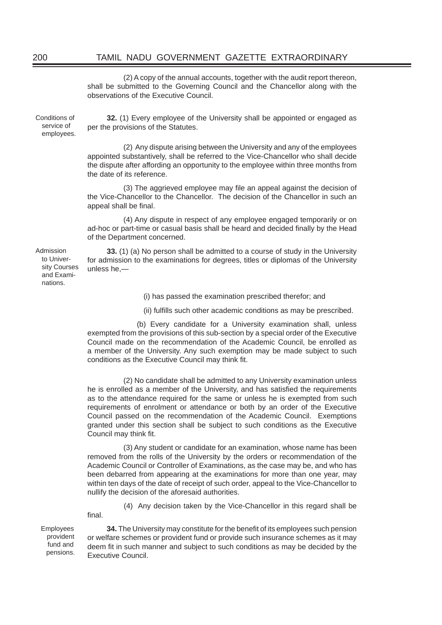# 200 TAMIL NADU GOVERNMENT GAZETTE EXTRAORDINARY

(2) A copy of the annual accounts, together with the audit report thereon, shall be submitted to the Governing Council and the Chancellor along with the observations of the Executive Council.

Conditions of service of employees.

**32.** (1) Every employee of the University shall be appointed or engaged as per the provisions of the Statutes.

(2) Any dispute arising between the University and any of the employees appointed substantively, shall be referred to the Vice-Chancellor who shall decide the dispute after affording an opportunity to the employee within three months from the date of its reference.

(3) The aggrieved employee may file an appeal against the decision of the Vice-Chancellor to the Chancellor. The decision of the Chancellor in such an appeal shall be final.

(4) Any dispute in respect of any employee engaged temporarily or on ad-hoc or part-time or casual basis shall be heard and decided finally by the Head of the Department concerned.

**33.** (1) (a) No person shall be admitted to a course of study in the University for admission to the examinations for degrees, titles or diplomas of the University unless he,—

(i) has passed the examination prescribed therefor; and

(ii) fulfills such other academic conditions as may be prescribed.

(b) Every candidate for a University examination shall, unless exempted from the provisions of this sub-section by a special order of the Executive Council made on the recommendation of the Academic Council, be enrolled as a member of the University. Any such exemption may be made subject to such conditions as the Executive Council may think fit.

(2) No candidate shall be admitted to any University examination unless he is enrolled as a member of the University, and has satisfied the requirements as to the attendance required for the same or unless he is exempted from such requirements of enrolment or attendance or both by an order of the Executive Council passed on the recommendation of the Academic Council. Exemptions granted under this section shall be subject to such conditions as the Executive Council may think fit.

(3) Any student or candidate for an examination, whose name has been removed from the rolls of the University by the orders or recommendation of the Academic Council or Controller of Examinations, as the case may be, and who has been debarred from appearing at the examinations for more than one year, may within ten days of the date of receipt of such order, appeal to the Vice-Chancellor to nullify the decision of the aforesaid authorities.

(4) Any decision taken by the Vice-Chancellor in this regard shall be final.

Employees provident fund and pensions.

**34.** The University may constitute for the benefit of its employees such pension or welfare schemes or provident fund or provide such insurance schemes as it may deem fit in such manner and subject to such conditions as may be decided by the Executive Council.

Admission to University Courses and Examinations.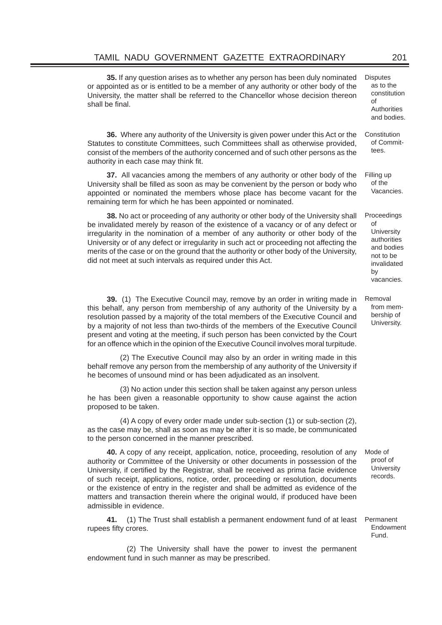**35.** If any question arises as to whether any person has been duly nominated or appointed as or is entitled to be a member of any authority or other body of the University, the matter shall be referred to the Chancellor whose decision thereon shall be final

**36.** Where any authority of the University is given power under this Act or the Statutes to constitute Committees, such Committees shall as otherwise provided, consist of the members of the authority concerned and of such other persons as the authority in each case may think fit. **Constitution** 

**37.** All vacancies among the members of any authority or other body of the University shall be filled as soon as may be convenient by the person or body who appointed or nominated the members whose place has become vacant for the remaining term for which he has been appointed or nominated. Filling up

**38.** No act or proceeding of any authority or other body of the University shall be invalidated merely by reason of the existence of a vacancy or of any defect or irregularity in the nomination of a member of any authority or other body of the University or of any defect or irregularity in such act or proceeding not affecting the merits of the case or on the ground that the authority or other body of the University, did not meet at such intervals as required under this Act. Proceedings

**39.** (1) The Executive Council may, remove by an order in writing made in this behalf, any person from membership of any authority of the University by a resolution passed by a majority of the total members of the Executive Council and by a majority of not less than two-thirds of the members of the Executive Council present and voting at the meeting, if such person has been convicted by the Court for an offence which in the opinion of the Executive Council involves moral turpitude. Removal from membership of

(2) The Executive Council may also by an order in writing made in this behalf remove any person from the membership of any authority of the University if he becomes of unsound mind or has been adjudicated as an insolvent.

(3) No action under this section shall be taken against any person unless he has been given a reasonable opportunity to show cause against the action proposed to be taken.

(4) A copy of every order made under sub-section (1) or sub-section (2), as the case may be, shall as soon as may be after it is so made, be communicated to the person concerned in the manner prescribed.

**40.** A copy of any receipt, application, notice, proceeding, resolution of any authority or Committee of the University or other documents in possession of the University, if certified by the Registrar, shall be received as prima facie evidence of such receipt, applications, notice, order, proceeding or resolution, documents or the existence of entry in the register and shall be admitted as evidence of the matters and transaction therein where the original would, if produced have been admissible in evidence.

**41.** (1) The Trust shall establish a permanent endowment fund of at least rupees fifty crores.

(2) The University shall have the power to invest the permanent endowment fund in such manner as may be prescribed.

Mode of proof of **University** records.

Permanent Endowment Fund.

**Disputes** as to the constitution

of

**Authorities** and bodies.

of Committees.

of the Vacancies.

of

by vacancies.

**University** authorities and bodies not to be invalidated

University.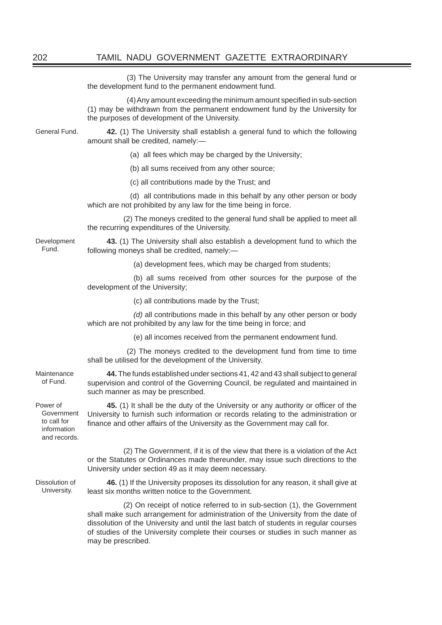(3) The University may transfer any amount from the general fund or the development fund to the permanent endowment fund.

(4) Any amount exceeding the minimum amount specified in sub-section (1) may be withdrawn from the permanent endowment fund by the University for the purposes of development of the University.

General Fund. **42.** (1) The University shall establish a general fund to which the following amount shall be credited, namely:—

- (a) all fees which may be charged by the University;
- (b) all sums received from any other source;
- (c) all contributions made by the Trust; and

(d) all contributions made in this behalf by any other person or body which are not prohibited by any law for the time being in force.

(2) The moneys credited to the general fund shall be applied to meet all the recurring expenditures of the University.

**43.** (1) The University shall also establish a development fund to which the following moneys shall be credited, namely:—

(a) development fees, which may be charged from students;

(b) all sums received from other sources for the purpose of the development of the University;

(c) all contributions made by the Trust;

*(d)* all contributions made in this behalf by any other person or body which are not prohibited by any law for the time being in force; and

(e) all incomes received from the permanent endowment fund.

(2) The moneys credited to the development fund from time to time shall be utilised for the development of the University.

of Fund.

**44.** The funds established under sections 41, 42 and 43 shall subject to general supervision and control of the Governing Council, be regulated and maintained in such manner as may be prescribed.

**45.** (1) It shall be the duty of the University or any authority or officer of the University to furnish such information or records relating to the administration or finance and other affairs of the University as the Government may call for.

(2) The Government, if it is of the view that there is a violation of the Act or the Statutes or Ordinances made thereunder, may issue such directions to the University under section 49 as it may deem necessary.

**46.** (1) If the University proposes its dissolution for any reason, it shall give at least six months written notice to the Government.

(2) On receipt of notice referred to in sub-section (1), the Government shall make such arrangement for administration of the University from the date of dissolution of the University and until the last batch of students in regular courses of studies of the University complete their courses or studies in such manner as may be prescribed.

Development Fund.

Maintenance

Power of Government to call for

> information and records.

Dissolution of University.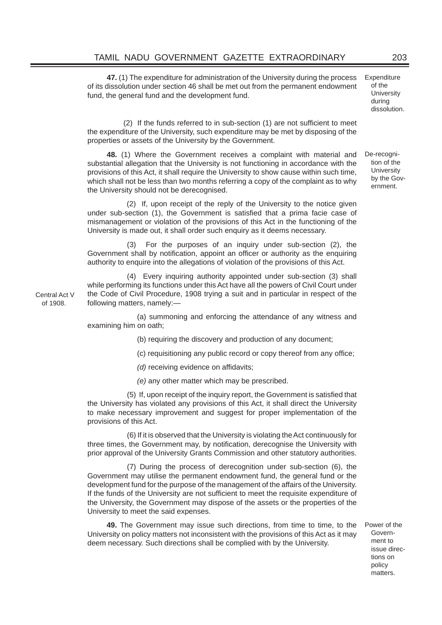**47.** (1) The expenditure for administration of the University during the process of its dissolution under section 46 shall be met out from the permanent endowment fund, the general fund and the development fund.

 $(2)$  If the funds referred to in sub-section  $(1)$  are not sufficient to meet the expenditure of the University, such expenditure may be met by disposing of the properties or assets of the University by the Government.

**48.** (1) Where the Government receives a complaint with material and substantial allegation that the University is not functioning in accordance with the provisions of this Act, it shall require the University to show cause within such time, which shall not be less than two months referring a copy of the complaint as to why the University should not be derecognised.

(2) If, upon receipt of the reply of the University to the notice given under sub-section (1), the Government is satisfied that a prima facie case of mismanagement or violation of the provisions of this Act in the functioning of the University is made out, it shall order such enquiry as it deems necessary.

For the purposes of an inquiry under sub-section (2), the Government shall by notification, appoint an officer or authority as the enquiring authority to enquire into the allegations of violation of the provisions of this Act.

(4) Every inquiring authority appointed under sub-section (3) shall while performing its functions under this Act have all the powers of Civil Court under the Code of Civil Procedure, 1908 trying a suit and in particular in respect of the following matters, namely:—

(a) summoning and enforcing the attendance of any witness and examining him on oath;

(b) requiring the discovery and production of any document;

(c) requisitioning any public record or copy thereof from any office;

*(d)* receiving evidence on affidavits;

*(e)* any other matter which may be prescribed.

(5) If, upon receipt of the inquiry report, the Government is satisfied that the University has violated any provisions of this Act, it shall direct the University to make necessary improvement and suggest for proper implementation of the provisions of this Act.

(6) If it is observed that the University is violating the Act continuously for three times, the Government may, by notification, derecognise the University with prior approval of the University Grants Commission and other statutory authorities.

(7) During the process of derecognition under sub-section (6), the Government may utilise the permanent endowment fund, the general fund or the development fund for the purpose of the management of the affairs of the University. If the funds of the University are not sufficient to meet the requisite expenditure of the University, the Government may dispose of the assets or the properties of the University to meet the said expenses.

**49.** The Government may issue such directions, from time to time, to the University on policy matters not inconsistent with the provisions of this Act as it may deem necessary. Such directions shall be complied with by the University.

Power of the Government to issue directions on policy matters.

Central Act V of 1908.

**Expenditure** of the **University** during dissolution.

De-recognition of the **University** by the Government.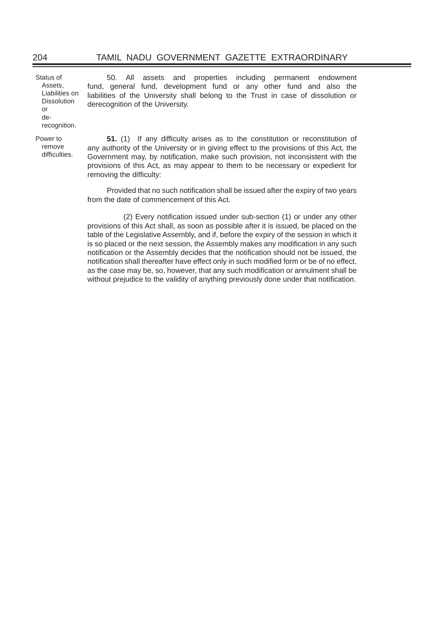# 204 TAMIL NADU GOVERNMENT GAZETTE EXTRAORDINARY

Status of Assets, Liabilities on **Dissolution** or derecognition. 50. All assets and properties including permanent endowment fund, general fund, development fund or any other fund and also the liabilities of the University shall belong to the Trust in case of dissolution or derecognition of the University. Power to remove difficulties. **51.** (1) If any difficulty arises as to the constitution or reconstitution of any authority of the University or in giving effect to the provisions of this Act, the Government may, by notification, make such provision, not inconsistent with the provisions of this Act, as may appear to them to be necessary or expedient for removing the difficulty: Provided that no such notification shall be issued after the expiry of two years from the date of commencement of this Act.

> (2) Every notification issued under sub-section (1) or under any other provisions of this Act shall, as soon as possible after it is issued, be placed on the table of the Legislative Assembly, and if, before the expiry of the session in which it is so placed or the next session, the Assembly makes any modification in any such notification or the Assembly decides that the notification should not be issued, the notification shall thereafter have effect only in such modified form or be of no effect, as the case may be, so, however, that any such modification or annulment shall be without prejudice to the validity of anything previously done under that notification.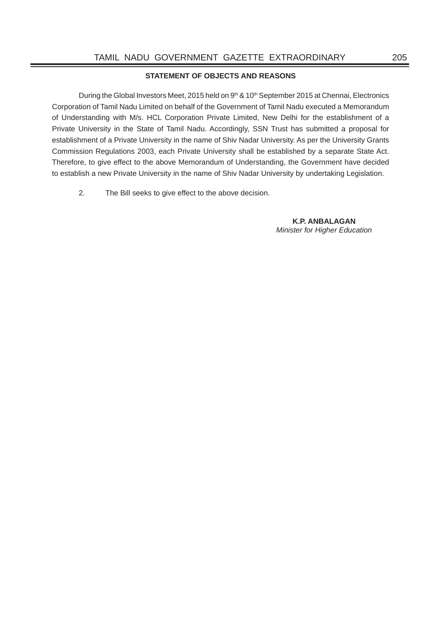### **STATEMENT OF OBJECTS AND REASONS**

During the Global Investors Meet, 2015 held on 9<sup>th</sup> & 10<sup>th</sup> September 2015 at Chennai, Electronics Corporation of Tamil Nadu Limited on behalf of the Government of Tamil Nadu executed a Memorandum of Understanding with M/s. HCL Corporation Private Limited, New Delhi for the establishment of a Private University in the State of Tamil Nadu. Accordingly, SSN Trust has submitted a proposal for establishment of a Private University in the name of Shiv Nadar University. As per the University Grants Commission Regulations 2003, each Private University shall be established by a separate State Act. Therefore, to give effect to the above Memorandum of Understanding, the Government have decided to establish a new Private University in the name of Shiv Nadar University by undertaking Legislation.

2. The Bill seeks to give effect to the above decision.

**K.P. ANBALAGAN** *Minister for Higher Education*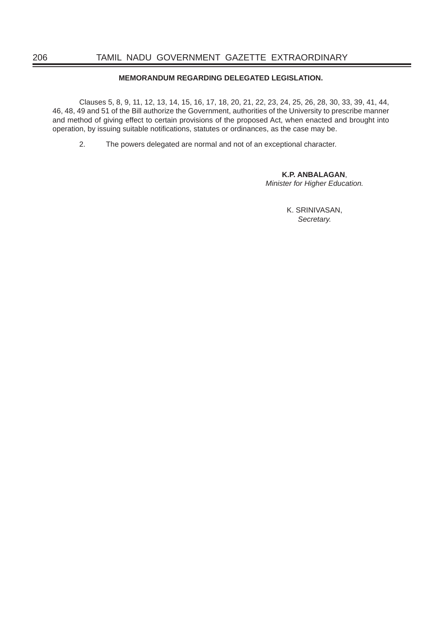# **MEMORANDUM REGARDING DELEGATED LEGISLATION.**

Clauses 5, 8, 9, 11, 12, 13, 14, 15, 16, 17, 18, 20, 21, 22, 23, 24, 25, 26, 28, 30, 33, 39, 41, 44, 46, 48, 49 and 51 of the Bill authorize the Government, authorities of the University to prescribe manner and method of giving effect to certain provisions of the proposed Act, when enacted and brought into operation, by issuing suitable notifications, statutes or ordinances, as the case may be.

2. The powers delegated are normal and not of an exceptional character.

 **K.P. ANBALAGAN**, *Minister for Higher Education.*

> K. SRINIVASAN, *Secretary.*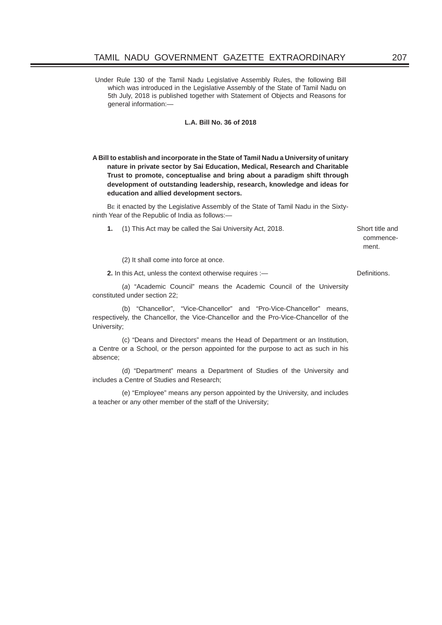Under Rule 130 of the Tamil Nadu Legislative Assembly Rules, the following Bill which was introduced in the Legislative Assembly of the State of Tamil Nadu on 5th July, 2018 is published together with Statement of Objects and Reasons for general information:—

#### **L.A. Bill No. 36 of 2018**

**A Bill to establish and incorporate in the State of Tamil Nadu a University of unitary nature in private sector by Sai Education, Medical, Research and Charitable Trust to promote, conceptualise and bring about a paradigm shift through development of outstanding leadership, research, knowledge and ideas for education and allied development sectors.**

BE it enacted by the Legislative Assembly of the State of Tamil Nadu in the Sixtyninth Year of the Republic of India as follows:—

**1.** (1) This Act may be called the Sai University Act, 2018. Short title and

commencement.

(2) It shall come into force at once.

**2.** In this Act, unless the context otherwise requires :— Definitions.

 (*a*) "Academic Council" means the Academic Council of the University constituted under section 22;

 (b) "Chancellor", "Vice-Chancellor" and "Pro-Vice-Chancellor" means, respectively, the Chancellor, the Vice-Chancellor and the Pro-Vice-Chancellor of the University;

 (c) "Deans and Directors" means the Head of Department or an Institution, a Centre or a School, or the person appointed for the purpose to act as such in his absence;

 (d) "Department" means a Department of Studies of the University and includes a Centre of Studies and Research;

 (e) "Employee" means any person appointed by the University, and includes a teacher or any other member of the staff of the University;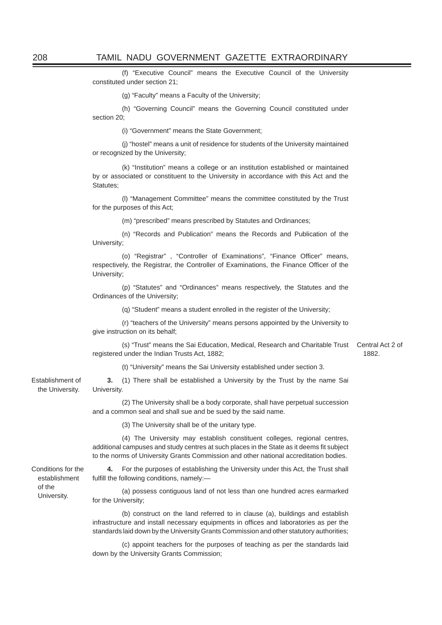(f) "Executive Council" means the Executive Council of the University constituted under section 21;

(g) "Faculty" means a Faculty of the University;

 (h) "Governing Council" means the Governing Council constituted under section 20:

(i) "Government" means the State Government;

 (j) "hostel" means a unit of residence for students of the University maintained or recognized by the University;

 (k) "Institution" means a college or an institution established or maintained by or associated or constituent to the University in accordance with this Act and the Statutes;

 (l) "Management Committee" means the committee constituted by the Trust for the purposes of this Act;

(m) "prescribed" means prescribed by Statutes and Ordinances;

 (n) "Records and Publication" means the Records and Publication of the University;

(o) "Registrar", "Controller of Examinations", "Finance Officer" means, respectively, the Registrar, the Controller of Examinations, the Finance Officer of the University;

 (p) "Statutes" and "Ordinances" means respectively, the Statutes and the Ordinances of the University;

(q) "Student" means a student enrolled in the register of the University;

 (r) "teachers of the University" means persons appointed by the University to give instruction on its behalf;

 (s) "Trust" means the Sai Education, Medical, Research and Charitable Trust Central Act 2 of registered under the Indian Trusts Act, 1882; 1882.

(t) "University" means the Sai University established under section 3.

**3.** (1) There shall be established a University by the Trust by the name Sai University.

 (2) The University shall be a body corporate, shall have perpetual succession and a common seal and shall sue and be sued by the said name.

(3) The University shall be of the unitary type.

 (4) The University may establish constituent colleges, regional centres, additional campuses and study centres at such places in the State as it deems fit subject to the norms of University Grants Commission and other national accreditation bodies.

Conditions for the establishment of the University.

Establishment of the University.

> **4.** For the purposes of establishing the University under this Act, the Trust shall fulfill the following conditions, namely:-

> (a) possess contiguous land of not less than one hundred acres earmarked for the University;

> (b) construct on the land referred to in clause (a), buildings and establish infrastructure and install necessary equipments in offices and laboratories as per the standards laid down by the University Grants Commission and other statutory authorities;

> (c) appoint teachers for the purposes of teaching as per the standards laid down by the University Grants Commission;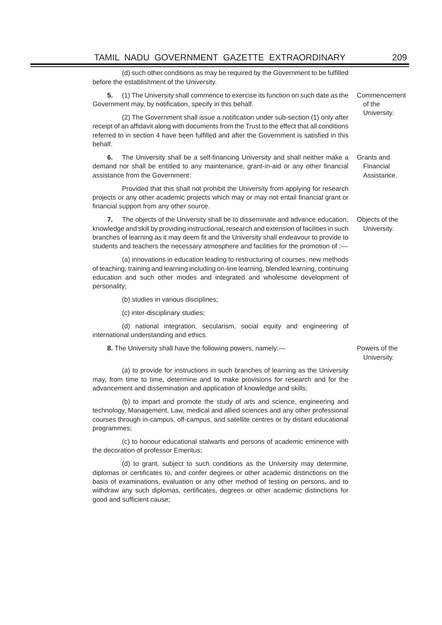(d) such other conditions as may be required by the Government to be fulfilled before the establishment of the University.

**5.** (1) The University shall commence to exercise its function on such date as the Government may, by notification, specify in this behalf. Commencement of the

(2) The Government shall issue a notification under sub-section (1) only after University. receipt of an affidavit along with documents from the Trust to the effect that all conditions referred to in section 4 have been fulfilled and after the Government is satisfied in this behalf.

**6.** The University shall be a self-financing University and shall neither make a demand nor shall be entitled to any maintenance, grant-in-aid or any other financial assistance from the Government: Grants and Financial Assistance.

 Provided that this shall not prohibit the University from applying for research projects or any other academic projects which may or may not entail financial grant or financial support from any other source.

**7.** The objects of the University shall be to disseminate and advance education, knowledge and skill by providing instructional, research and extension of facilities in such branches of learning as it may deem fit and the University shall endeavour to provide to students and teachers the necessary atmosphere and facilities for the promotion of :-Objects of the University.

 (a) innovations in education leading to restructuring of courses, new methods of teaching, training and learning including on-line learning, blended learning, continuing education and such other modes and integrated and wholesome development of personality;

(b) studies in various disciplines;

(c) inter-disciplinary studies;

 (d) national integration, secularism, social equity and engineering of international understanding and ethics.

**8.** The University shall have the following powers, namely:— **Powers** of the

University.

 (a) to provide for instructions in such branches of learning as the University may, from time to time, determine and to make provisions for research and for the advancement and dissemination and application of knowledge and skills;

 (b) to impart and promote the study of arts and science, engineering and technology, Management, Law, medical and allied sciences and any other professional courses through in-campus, off-campus, and satellite centres or by distant educational programmes;

 (c) to honour educational stalwarts and persons of academic eminence with the decoration of professor Emeritus;

 (d) to grant, subject to such conditions as the University may determine, diplomas or certificates to, and confer degrees or other academic distinctions on the basis of examinations, evaluation or any other method of testing on persons, and to withdraw any such diplomas, certificates, degrees or other academic distinctions for good and sufficient cause;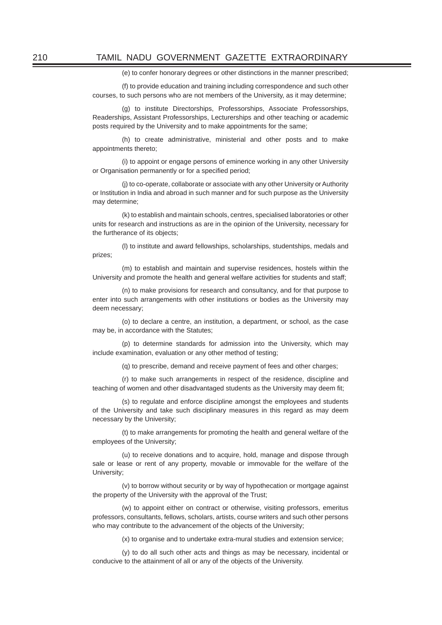(e) to confer honorary degrees or other distinctions in the manner prescribed;

 (f) to provide education and training including correspondence and such other courses, to such persons who are not members of the University, as it may determine;

 (g) to institute Directorships, Professorships, Associate Professorships, Readerships, Assistant Professorships, Lecturerships and other teaching or academic posts required by the University and to make appointments for the same;

 (h) to create administrative, ministerial and other posts and to make appointments thereto;

 (i) to appoint or engage persons of eminence working in any other University or Organisation permanently or for a specified period;

 (j) to co-operate, collaborate or associate with any other University or Authority or Institution in India and abroad in such manner and for such purpose as the University may determine;

 (k) to establish and maintain schools, centres, specialised laboratories or other units for research and instructions as are in the opinion of the University, necessary for the furtherance of its objects;

 (l) to institute and award fellowships, scholarships, studentships, medals and prizes;

 (m) to establish and maintain and supervise residences, hostels within the University and promote the health and general welfare activities for students and staff;

 (n) to make provisions for research and consultancy, and for that purpose to enter into such arrangements with other institutions or bodies as the University may deem necessary;

 (o) to declare a centre, an institution, a department, or school, as the case may be, in accordance with the Statutes;

 (p) to determine standards for admission into the University, which may include examination, evaluation or any other method of testing;

(q) to prescribe, demand and receive payment of fees and other charges;

 (r) to make such arrangements in respect of the residence, discipline and teaching of women and other disadvantaged students as the University may deem fit;

 (s) to regulate and enforce discipline amongst the employees and students of the University and take such disciplinary measures in this regard as may deem necessary by the University;

 (t) to make arrangements for promoting the health and general welfare of the employees of the University;

 (u) to receive donations and to acquire, hold, manage and dispose through sale or lease or rent of any property, movable or immovable for the welfare of the University;

 (v) to borrow without security or by way of hypothecation or mortgage against the property of the University with the approval of the Trust;

 (w) to appoint either on contract or otherwise, visiting professors, emeritus professors, consultants, fellows, scholars, artists, course writers and such other persons who may contribute to the advancement of the objects of the University;

(x) to organise and to undertake extra-mural studies and extension service;

 (y) to do all such other acts and things as may be necessary, incidental or conducive to the attainment of all or any of the objects of the University.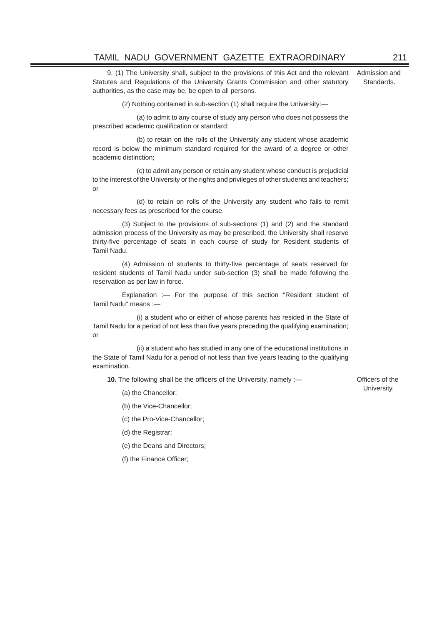9. (1) The University shall, subject to the provisions of this Act and the relevant Statutes and Regulations of the University Grants Commission and other statutory authorities, as the case may be, be open to all persons.

(2) Nothing contained in sub-section (1) shall require the University:—

 (a) to admit to any course of study any person who does not possess the prescribed academic qualification or standard;

 (b) to retain on the rolls of the University any student whose academic record is below the minimum standard required for the award of a degree or other academic distinction;

 (c) to admit any person or retain any student whose conduct is prejudicial to the interest of the University or the rights and privileges of other students and teachers; or

 (d) to retain on rolls of the University any student who fails to remit necessary fees as prescribed for the course.

 (3) Subject to the provisions of sub-sections (1) and (2) and the standard admission process of the University as may be prescribed, the University shall reserve thirty-five percentage of seats in each course of study for Resident students of Tamil Nadu.

(4) Admission of students to thirty-five percentage of seats reserved for resident students of Tamil Nadu under sub-section (3) shall be made following the reservation as per law in force.

 Explanation :— For the purpose of this section "Resident student of Tamil Nadu" means :—

 (i) a student who or either of whose parents has resided in the State of Tamil Nadu for a period of not less than five years preceding the qualifying examination; or

 (ii) a student who has studied in any one of the educational institutions in the State of Tamil Nadu for a period of not less than five years leading to the qualifying examination.

**10.** The following shall be the officers of the University, namely :— **Officers** of the

University. (a) the Chancellor;

(b) the Vice-Chancellor;

(c) the Pro-Vice-Chancellor;

(d) the Registrar;

(e) the Deans and Directors;

(f) the Finance Officer;

Admission and Standards.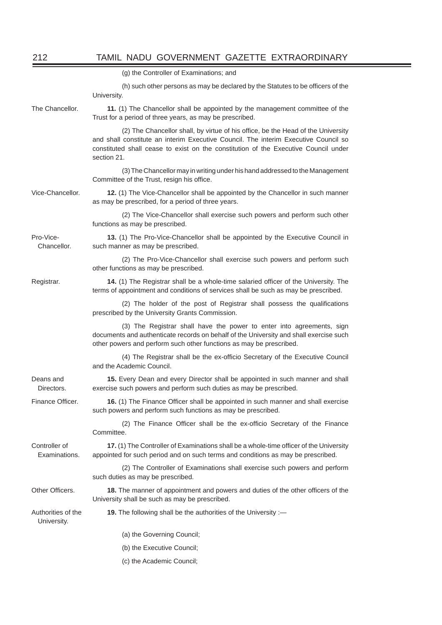|                                   | (g) the Controller of Examinations; and                                                                                                                                                                                                                                       |  |
|-----------------------------------|-------------------------------------------------------------------------------------------------------------------------------------------------------------------------------------------------------------------------------------------------------------------------------|--|
|                                   | (h) such other persons as may be declared by the Statutes to be officers of the<br>University.                                                                                                                                                                                |  |
| The Chancellor.                   | 11. (1) The Chancellor shall be appointed by the management committee of the<br>Trust for a period of three years, as may be prescribed.                                                                                                                                      |  |
|                                   | (2) The Chancellor shall, by virtue of his office, be the Head of the University<br>and shall constitute an interim Executive Council. The interim Executive Council so<br>constituted shall cease to exist on the constitution of the Executive Council under<br>section 21. |  |
|                                   | (3) The Chancellor may in writing under his hand addressed to the Management<br>Committee of the Trust, resign his office.                                                                                                                                                    |  |
| Vice-Chancellor.                  | 12. (1) The Vice-Chancellor shall be appointed by the Chancellor in such manner<br>as may be prescribed, for a period of three years.                                                                                                                                         |  |
|                                   | (2) The Vice-Chancellor shall exercise such powers and perform such other<br>functions as may be prescribed.                                                                                                                                                                  |  |
| Pro-Vice-<br>Chancellor.          | 13. (1) The Pro-Vice-Chancellor shall be appointed by the Executive Council in<br>such manner as may be prescribed.                                                                                                                                                           |  |
|                                   | (2) The Pro-Vice-Chancellor shall exercise such powers and perform such<br>other functions as may be prescribed.                                                                                                                                                              |  |
| Registrar.                        | 14. (1) The Registrar shall be a whole-time salaried officer of the University. The<br>terms of appointment and conditions of services shall be such as may be prescribed.                                                                                                    |  |
|                                   | (2) The holder of the post of Registrar shall possess the qualifications<br>prescribed by the University Grants Commission.                                                                                                                                                   |  |
|                                   | (3) The Registrar shall have the power to enter into agreements, sign<br>documents and authenticate records on behalf of the University and shall exercise such<br>other powers and perform such other functions as may be prescribed.                                        |  |
|                                   | (4) The Registrar shall be the ex-officio Secretary of the Executive Council<br>and the Academic Council.                                                                                                                                                                     |  |
| Deans and<br>Directors.           | 15. Every Dean and every Director shall be appointed in such manner and shall<br>exercise such powers and perform such duties as may be prescribed.                                                                                                                           |  |
| Finance Officer.                  | 16. (1) The Finance Officer shall be appointed in such manner and shall exercise<br>such powers and perform such functions as may be prescribed.                                                                                                                              |  |
|                                   | (2) The Finance Officer shall be the ex-officio Secretary of the Finance<br>Committee.                                                                                                                                                                                        |  |
| Controller of<br>Examinations.    | 17. (1) The Controller of Examinations shall be a whole-time officer of the University<br>appointed for such period and on such terms and conditions as may be prescribed.                                                                                                    |  |
|                                   | (2) The Controller of Examinations shall exercise such powers and perform<br>such duties as may be prescribed.                                                                                                                                                                |  |
| Other Officers.                   | 18. The manner of appointment and powers and duties of the other officers of the<br>University shall be such as may be prescribed.                                                                                                                                            |  |
| Authorities of the<br>University. | 19. The following shall be the authorities of the University :-                                                                                                                                                                                                               |  |
|                                   | (a) the Governing Council;                                                                                                                                                                                                                                                    |  |
|                                   | (b) the Executive Council;                                                                                                                                                                                                                                                    |  |
|                                   | (c) the Academic Council;                                                                                                                                                                                                                                                     |  |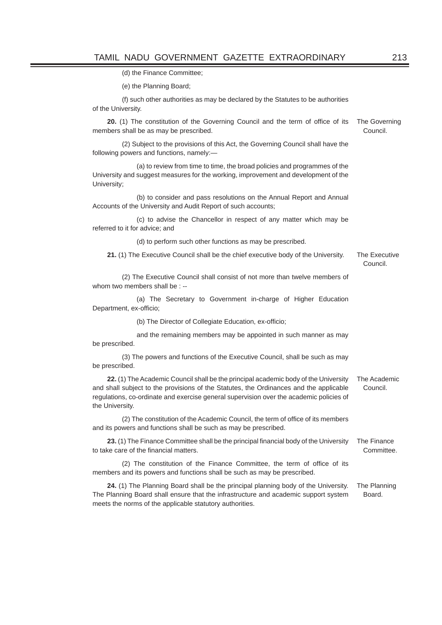(d) the Finance Committee;

(e) the Planning Board;

 (f) such other authorities as may be declared by the Statutes to be authorities of the University.

**20.** (1) The constitution of the Governing Council and the term of office of its members shall be as may be prescribed. The Governing Council.

 (2) Subject to the provisions of this Act, the Governing Council shall have the following powers and functions, namely:—

 (a) to review from time to time, the broad policies and programmes of the University and suggest measures for the working, improvement and development of the University;

 (b) to consider and pass resolutions on the Annual Report and Annual Accounts of the University and Audit Report of such accounts;

 (c) to advise the Chancellor in respect of any matter which may be referred to it for advice; and

(d) to perform such other functions as may be prescribed.

**21.** (1) The Executive Council shall be the chief executive body of the University. The Executive

Council.

 (2) The Executive Council shall consist of not more than twelve members of whom two members shall be : --

 (a) The Secretary to Government in-charge of Higher Education Department, ex-officio;

(b) The Director of Collegiate Education, ex-officio;

 and the remaining members may be appointed in such manner as may be prescribed.

 (3) The powers and functions of the Executive Council, shall be such as may be prescribed.

**22.** (1) The Academic Council shall be the principal academic body of the University and shall subject to the provisions of the Statutes, the Ordinances and the applicable regulations, co-ordinate and exercise general supervision over the academic policies of the University. The Academic Council.

(2) The constitution of the Academic Council, the term of office of its members and its powers and functions shall be such as may be prescribed.

23. (1) The Finance Committee shall be the principal financial body of the University to take care of the financial matters. The Finance Committee.

(2) The constitution of the Finance Committee, the term of office of its members and its powers and functions shall be such as may be prescribed.

**24.** (1) The Planning Board shall be the principal planning body of the University. The Planning Board shall ensure that the infrastructure and academic support system meets the norms of the applicable statutory authorities. The Planning **Board**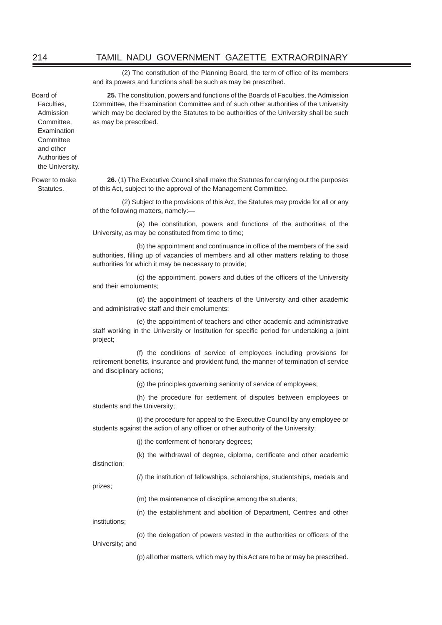(2) The constitution of the Planning Board, the term of office of its members and its powers and functions shall be such as may be prescribed.

Board of Faculties, Admission Committee, Examination **Committee** and other Authorities of the University.

Power to make Statutes.

**25.** The constitution, powers and functions of the Boards of Faculties, the Admission Committee, the Examination Committee and of such other authorities of the University which may be declared by the Statutes to be authorities of the University shall be such as may be prescribed.

**26.** (1) The Executive Council shall make the Statutes for carrying out the purposes of this Act, subject to the approval of the Management Committee.

 (2) Subject to the provisions of this Act, the Statutes may provide for all or any of the following matters, namely:—

 (a) the constitution, powers and functions of the authorities of the University, as may be constituted from time to time;

(b) the appointment and continuance in office of the members of the said authorities, filling up of vacancies of members and all other matters relating to those authorities for which it may be necessary to provide;

(c) the appointment, powers and duties of the officers of the University and their emoluments;

 (d) the appointment of teachers of the University and other academic and administrative staff and their emoluments;

 (e) the appointment of teachers and other academic and administrative staff working in the University or Institution for specific period for undertaking a joint project;

 (f) the conditions of service of employees including provisions for retirement benefits, insurance and provident fund, the manner of termination of service and disciplinary actions;

(g) the principles governing seniority of service of employees;

 (h) the procedure for settlement of disputes between employees or students and the University;

 (i) the procedure for appeal to the Executive Council by any employee or students against the action of any officer or other authority of the University;

(j) the conferment of honorary degrees;

(k) the withdrawal of degree, diploma, certificate and other academic distinction;

(/) the institution of fellowships, scholarships, studentships, medals and

prizes;

institutions;

(m) the maintenance of discipline among the students;

(n) the establishment and abolition of Department, Centres and other

(o) the delegation of powers vested in the authorities or officers of the University; and

(p) all other matters, which may by this Act are to be or may be prescribed.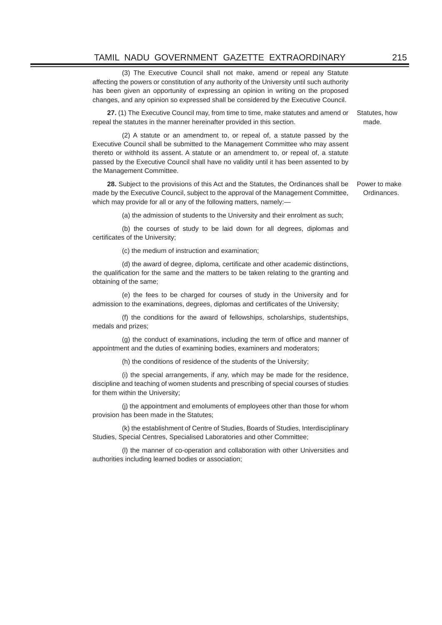### TAMIL NADU GOVERNMENT GAZETTE EXTRAORDINARY 215

 (3) The Executive Council shall not make, amend or repeal any Statute affecting the powers or constitution of any authority of the University until such authority has been given an opportunity of expressing an opinion in writing on the proposed changes, and any opinion so expressed shall be considered by the Executive Council.

**27.** (1) The Executive Council may, from time to time, make statutes and amend or repeal the statutes in the manner hereinafter provided in this section. Statutes, how made.

 (2) A statute or an amendment to, or repeal of, a statute passed by the Executive Council shall be submitted to the Management Committee who may assent thereto or withhold its assent. A statute or an amendment to, or repeal of, a statute passed by the Executive Council shall have no validity until it has been assented to by the Management Committee.

**28.** Subject to the provisions of this Act and the Statutes, the Ordinances shall be Power to make made by the Executive Council, subject to the approval of the Management Committee, which may provide for all or any of the following matters, namely: Ordinances.

(a) the admission of students to the University and their enrolment as such;

 (b) the courses of study to be laid down for all degrees, diplomas and certificates of the University;

(c) the medium of instruction and examination;

(d) the award of degree, diploma, certificate and other academic distinctions, the qualification for the same and the matters to be taken relating to the granting and obtaining of the same;

 (e) the fees to be charged for courses of study in the University and for admission to the examinations, degrees, diplomas and certificates of the University;

 (f) the conditions for the award of fellowships, scholarships, studentships, medals and prizes;

(g) the conduct of examinations, including the term of office and manner of appointment and the duties of examining bodies, examiners and moderators;

(h) the conditions of residence of the students of the University;

 (i) the special arrangements, if any, which may be made for the residence, discipline and teaching of women students and prescribing of special courses of studies for them within the University;

 (j) the appointment and emoluments of employees other than those for whom provision has been made in the Statutes;

 (k) the establishment of Centre of Studies, Boards of Studies, Interdisciplinary Studies, Special Centres, Specialised Laboratories and other Committee;

 (l) the manner of co-operation and collaboration with other Universities and authorities including learned bodies or association;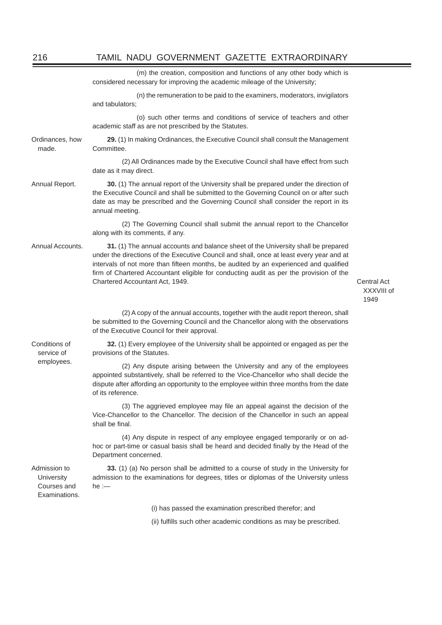|                                                            | (m) the creation, composition and functions of any other body which is<br>considered necessary for improving the academic mileage of the University;                                                                                                                                                                                                                                                |                                   |
|------------------------------------------------------------|-----------------------------------------------------------------------------------------------------------------------------------------------------------------------------------------------------------------------------------------------------------------------------------------------------------------------------------------------------------------------------------------------------|-----------------------------------|
|                                                            | (n) the remuneration to be paid to the examiners, moderators, invigilators<br>and tabulators;                                                                                                                                                                                                                                                                                                       |                                   |
|                                                            | (o) such other terms and conditions of service of teachers and other<br>academic staff as are not prescribed by the Statutes.                                                                                                                                                                                                                                                                       |                                   |
| Ordinances, how<br>made.                                   | 29. (1) In making Ordinances, the Executive Council shall consult the Management<br>Committee.                                                                                                                                                                                                                                                                                                      |                                   |
|                                                            | (2) All Ordinances made by the Executive Council shall have effect from such<br>date as it may direct.                                                                                                                                                                                                                                                                                              |                                   |
| Annual Report.                                             | 30. (1) The annual report of the University shall be prepared under the direction of<br>the Executive Council and shall be submitted to the Governing Council on or after such<br>date as may be prescribed and the Governing Council shall consider the report in its<br>annual meeting.                                                                                                           |                                   |
|                                                            | (2) The Governing Council shall submit the annual report to the Chancellor<br>along with its comments, if any.                                                                                                                                                                                                                                                                                      |                                   |
| Annual Accounts.                                           | 31. (1) The annual accounts and balance sheet of the University shall be prepared<br>under the directions of the Executive Council and shall, once at least every year and at<br>intervals of not more than fifteen months, be audited by an experienced and qualified<br>firm of Chartered Accountant eligible for conducting audit as per the provision of the<br>Chartered Accountant Act, 1949. | Central Act<br>XXXVIII of<br>1949 |
|                                                            | (2) A copy of the annual accounts, together with the audit report thereon, shall<br>be submitted to the Governing Council and the Chancellor along with the observations<br>of the Executive Council for their approval.                                                                                                                                                                            |                                   |
| Conditions of<br>service of<br>employees.                  | 32. (1) Every employee of the University shall be appointed or engaged as per the<br>provisions of the Statutes.                                                                                                                                                                                                                                                                                    |                                   |
|                                                            | (2) Any dispute arising between the University and any of the employees<br>appointed substantively, shall be referred to the Vice-Chancellor who shall decide the<br>dispute after affording an opportunity to the employee within three months from the date<br>of its reference.                                                                                                                  |                                   |
|                                                            | (3) The aggrieved employee may file an appeal against the decision of the<br>Vice-Chancellor to the Chancellor. The decision of the Chancellor in such an appeal<br>shall be final.                                                                                                                                                                                                                 |                                   |
|                                                            | (4) Any dispute in respect of any employee engaged temporarily or on ad-<br>hoc or part-time or casual basis shall be heard and decided finally by the Head of the<br>Department concerned.                                                                                                                                                                                                         |                                   |
| Admission to<br>University<br>Courses and<br>Examinations. | 33. (1) (a) No person shall be admitted to a course of study in the University for<br>admission to the examinations for degrees, titles or diplomas of the University unless<br>$he :=$                                                                                                                                                                                                             |                                   |
|                                                            | (i) has passed the examination prescribed therefor; and                                                                                                                                                                                                                                                                                                                                             |                                   |
|                                                            | (ii) fulfills such other academic conditions as may be prescribed.                                                                                                                                                                                                                                                                                                                                  |                                   |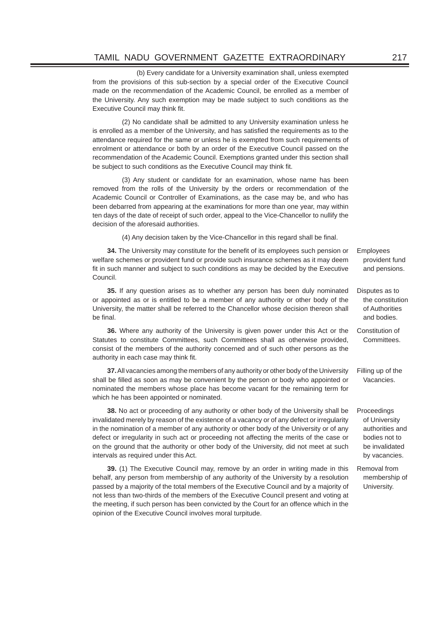(b) Every candidate for a University examination shall, unless exempted from the provisions of this sub-section by a special order of the Executive Council made on the recommendation of the Academic Council, be enrolled as a member of the University. Any such exemption may be made subject to such conditions as the Executive Council may think fit.

 (2) No candidate shall be admitted to any University examination unless he is enrolled as a member of the University, and has satisfied the requirements as to the attendance required for the same or unless he is exempted from such requirements of enrolment or attendance or both by an order of the Executive Council passed on the recommendation of the Academic Council. Exemptions granted under this section shall be subject to such conditions as the Executive Council may think fit.

 (3) Any student or candidate for an examination, whose name has been removed from the rolls of the University by the orders or recommendation of the Academic Council or Controller of Examinations, as the case may be, and who has been debarred from appearing at the examinations for more than one year, may within ten days of the date of receipt of such order, appeal to the Vice-Chancellor to nullify the decision of the aforesaid authorities.

(4) Any decision taken by the Vice-Chancellor in this regard shall be final.

**34.** The University may constitute for the benefit of its employees such pension or welfare schemes or provident fund or provide such insurance schemes as it may deem fit in such manner and subject to such conditions as may be decided by the Executive Council.

**35.** If any question arises as to whether any person has been duly nominated or appointed as or is entitled to be a member of any authority or other body of the University, the matter shall be referred to the Chancellor whose decision thereon shall be final.

**36.** Where any authority of the University is given power under this Act or the Statutes to constitute Committees, such Committees shall as otherwise provided, consist of the members of the authority concerned and of such other persons as the authority in each case may think fit.

**37.** All vacancies among the members of any authority or other body of the University shall be filled as soon as may be convenient by the person or body who appointed or nominated the members whose place has become vacant for the remaining term for which he has been appointed or nominated.

**38.** No act or proceeding of any authority or other body of the University shall be invalidated merely by reason of the existence of a vacancy or of any defect or irregularity in the nomination of a member of any authority or other body of the University or of any defect or irregularity in such act or proceeding not affecting the merits of the case or on the ground that the authority or other body of the University, did not meet at such intervals as required under this Act.

**39.** (1) The Executive Council may, remove by an order in writing made in this behalf, any person from membership of any authority of the University by a resolution passed by a majority of the total members of the Executive Council and by a majority of not less than two-thirds of the members of the Executive Council present and voting at the meeting, if such person has been convicted by the Court for an offence which in the opinion of the Executive Council involves moral turpitude.

Employees provident fund and pensions.

Disputes as to the constitution of Authorities and bodies.

Constitution of Committees.

Filling up of the Vacancies.

**Proceedings** of University authorities and bodies not to be invalidated by vacancies.

Removal from membership of University.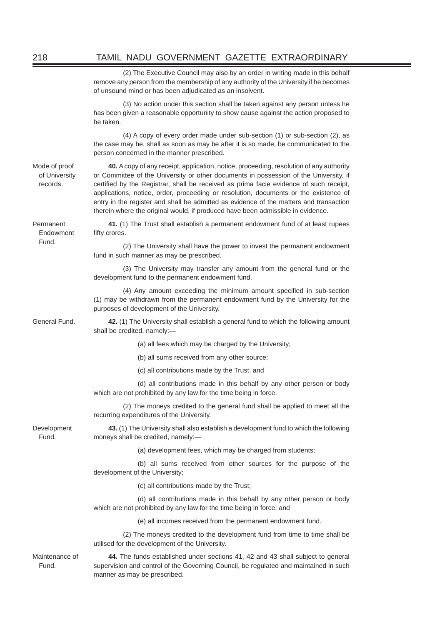# 218 TAMIL NADU GOVERNMENT GAZETTE EXTRAORDINARY

 (2) The Executive Council may also by an order in writing made in this behalf remove any person from the membership of any authority of the University if he becomes of unsound mind or has been adjudicated as an insolvent. (3) No action under this section shall be taken against any person unless he has been given a reasonable opportunity to show cause against the action proposed to be taken. (4) A copy of every order made under sub-section (1) or sub-section (2), as the case may be, shall as soon as may be after it is so made, be communicated to the person concerned in the manner prescribed. Mode of proof of University records. **40.** A copy of any receipt, application, notice, proceeding, resolution of any authority or Committee of the University or other documents in possession of the University, if certified by the Registrar, shall be received as prima facie evidence of such receipt, applications, notice, order, proceeding or resolution, documents or the existence of entry in the register and shall be admitted as evidence of the matters and transaction therein where the original would, if produced have been admissible in evidence. Permanent Endowment Fund. **41.** (1) The Trust shall establish a permanent endowment fund of at least rupees fifty crores. (2) The University shall have the power to invest the permanent endowment fund in such manner as may be prescribed. (3) The University may transfer any amount from the general fund or the development fund to the permanent endowment fund. (4) Any amount exceeding the minimum amount specified in sub-section (1) may be withdrawn from the permanent endowment fund by the University for the purposes of development of the University. General Fund. **42.** (1) The University shall establish a general fund to which the following amount shall be credited, namely:— (a) all fees which may be charged by the University; (b) all sums received from any other source; (c) all contributions made by the Trust; and (d) all contributions made in this behalf by any other person or body which are not prohibited by any law for the time being in force. (2) The moneys credited to the general fund shall be applied to meet all the recurring expenditures of the University. Development Fund. **43.** (1) The University shall also establish a development fund to which the following moneys shall be credited, namely:— (a) development fees, which may be charged from students; (b) all sums received from other sources for the purpose of the development of the University; (c) all contributions made by the Trust; (d) all contributions made in this behalf by any other person or body which are not prohibited by any law for the time being in force; and (e) all incomes received from the permanent endowment fund. (2) The moneys credited to the development fund from time to time shall be utilised for the development of the University. Maintenance of Fund. **44.** The funds established under sections 41, 42 and 43 shall subject to general supervision and control of the Governing Council, be regulated and maintained in such manner as may be prescribed.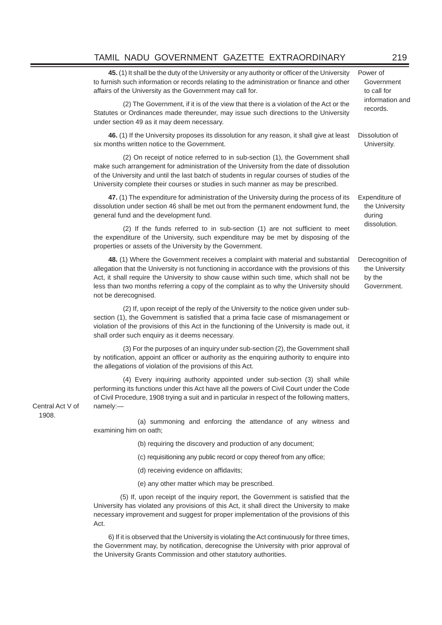# TAMIL NADU GOVERNMENT GAZETTE EXTRAORDINARY 219

**45.** (1) It shall be the duty of the University or any authority or officer of the University to furnish such information or records relating to the administration or finance and other affairs of the University as the Government may call for. Power of

(2) The Government, if it is of the view that there is a violation of the Act or the records Statutes or Ordinances made thereunder, may issue such directions to the University under section 49 as it may deem necessary.

**46.** (1) If the University proposes its dissolution for any reason, it shall give at least six months written notice to the Government.

 (2) On receipt of notice referred to in sub-section (1), the Government shall make such arrangement for administration of the University from the date of dissolution of the University and until the last batch of students in regular courses of studies of the University complete their courses or studies in such manner as may be prescribed.

**47.** (1) The expenditure for administration of the University during the process of its dissolution under section 46 shall be met out from the permanent endowment fund, the general fund and the development fund.

 $(2)$  If the funds referred to in sub-section  $(1)$  are not sufficient to meet dissolution. the expenditure of the University, such expenditure may be met by disposing of the properties or assets of the University by the Government.

**48.** (1) Where the Government receives a complaint with material and substantial allegation that the University is not functioning in accordance with the provisions of this Act, it shall require the University to show cause within such time, which shall not be less than two months referring a copy of the complaint as to why the University should not be derecognised. Derecognition of the University by the Government.

 (2) If, upon receipt of the reply of the University to the notice given under subsection (1), the Government is satisfied that a prima facie case of mismanagement or violation of the provisions of this Act in the functioning of the University is made out, it shall order such enquiry as it deems necessary.

 (3) For the purposes of an inquiry under sub-section (2), the Government shall by notification, appoint an officer or authority as the enquiring authority to enquire into the allegations of violation of the provisions of this Act.

 (4) Every inquiring authority appointed under sub-section (3) shall while performing its functions under this Act have all the powers of Civil Court under the Code of Civil Procedure, 1908 trying a suit and in particular in respect of the following matters, namely:—

Central Act V of 1908.

 (a) summoning and enforcing the attendance of any witness and examining him on oath;

- (b) requiring the discovery and production of any document;
- (c) requisitioning any public record or copy thereof from any office;
- (d) receiving evidence on affidavits;

(e) any other matter which may be prescribed.

(5) If, upon receipt of the inquiry report, the Government is satisfied that the University has violated any provisions of this Act, it shall direct the University to make necessary improvement and suggest for proper implementation of the provisions of this Act.

6) If it is observed that the University is violating the Act continuously for three times, the Government may, by notification, derecognise the University with prior approval of the University Grants Commission and other statutory authorities.

Government to call for information and

Dissolution of University.

Expenditure of the University during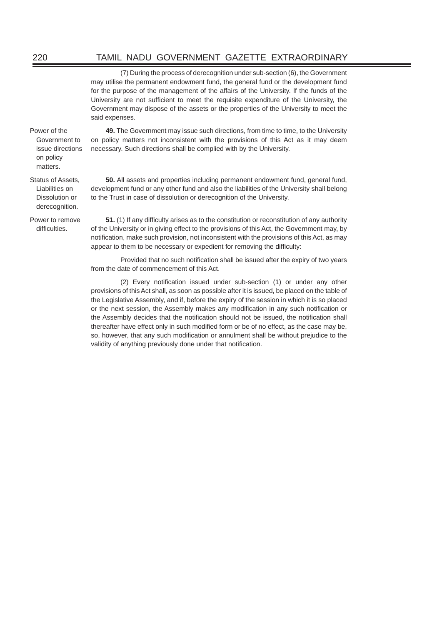(7) During the process of derecognition under sub-section (6), the Government may utilise the permanent endowment fund, the general fund or the development fund for the purpose of the management of the affairs of the University. If the funds of the University are not sufficient to meet the requisite expenditure of the University, the Government may dispose of the assets or the properties of the University to meet the said expenses.

Power of the Government to issue directions on policy matters.

Status of Assets, Liabilities on Dissolution or derecognition.

Power to remove difficulties.

**49.** The Government may issue such directions, from time to time, to the University on policy matters not inconsistent with the provisions of this Act as it may deem necessary. Such directions shall be complied with by the University.

**50.** All assets and properties including permanent endowment fund, general fund, development fund or any other fund and also the liabilities of the University shall belong to the Trust in case of dissolution or derecognition of the University.

**51.** (1) If any difficulty arises as to the constitution or reconstitution of any authority of the University or in giving effect to the provisions of this Act, the Government may, by notification, make such provision, not inconsistent with the provisions of this Act, as may appear to them to be necessary or expedient for removing the difficulty:

Provided that no such notification shall be issued after the expiry of two years from the date of commencement of this Act.

(2) Every notification issued under sub-section (1) or under any other provisions of this Act shall, as soon as possible after it is issued, be placed on the table of the Legislative Assembly, and if, before the expiry of the session in which it is so placed or the next session, the Assembly makes any modification in any such notification or the Assembly decides that the notification should not be issued, the notification shall thereafter have effect only in such modified form or be of no effect, as the case may be, so, however, that any such modification or annulment shall be without prejudice to the validity of anything previously done under that notification.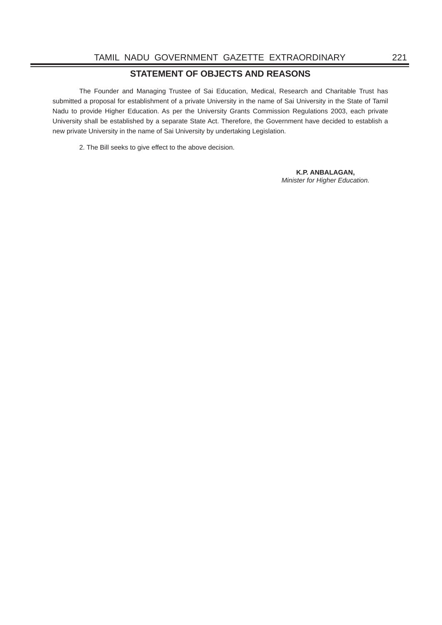# **STATEMENT OF OBJECTS AND REASONS**

The Founder and Managing Trustee of Sai Education, Medical, Research and Charitable Trust has submitted a proposal for establishment of a private University in the name of Sai University in the State of Tamil Nadu to provide Higher Education. As per the University Grants Commission Regulations 2003, each private University shall be established by a separate State Act. Therefore, the Government have decided to establish a new private University in the name of Sai University by undertaking Legislation.

2. The Bill seeks to give effect to the above decision.

**K.P. ANBALAGAN,** *Minister for Higher Education.*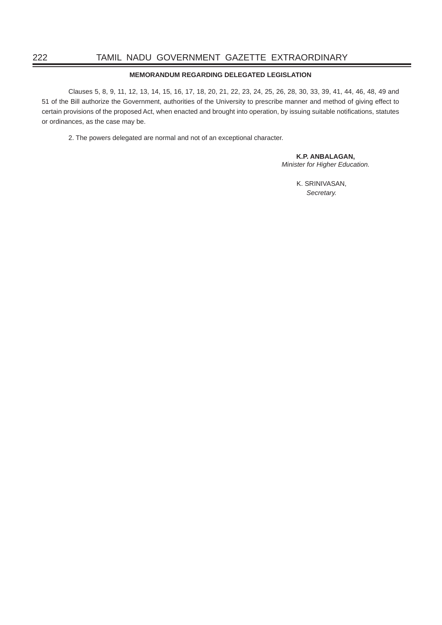## **MEMORANDUM REGARDING DELEGATED LEGISLATION**

Clauses 5, 8, 9, 11, 12, 13, 14, 15, 16, 17, 18, 20, 21, 22, 23, 24, 25, 26, 28, 30, 33, 39, 41, 44, 46, 48, 49 and 51 of the Bill authorize the Government, authorities of the University to prescribe manner and method of giving effect to certain provisions of the proposed Act, when enacted and brought into operation, by issuing suitable notifications, statutes or ordinances, as the case may be.

2. The powers delegated are normal and not of an exceptional character.

**K.P. ANBALAGAN,**

*Minister for Higher Education.*

 K. SRINIVASAN, *Secretary.*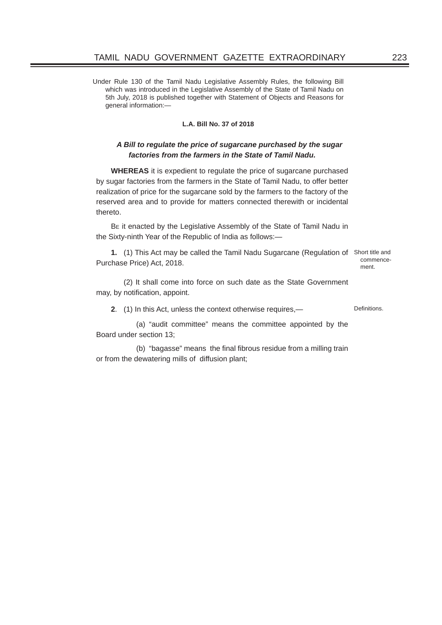Under Rule 130 of the Tamil Nadu Legislative Assembly Rules, the following Bill which was introduced in the Legislative Assembly of the State of Tamil Nadu on 5th July, 2018 is published together with Statement of Objects and Reasons for general information:—

## **L.A. Bill No. 37 of 2018**

# *A Bill to regulate the price of sugarcane purchased by the sugar factories from the farmers in the State of Tamil Nadu.*

**WHEREAS** it is expedient to regulate the price of sugarcane purchased by sugar factories from the farmers in the State of Tamil Nadu, to offer better realization of price for the sugarcane sold by the farmers to the factory of the reserved area and to provide for matters connected therewith or incidental thereto.

BE it enacted by the Legislative Assembly of the State of Tamil Nadu in the Sixty-ninth Year of the Republic of India as follows:—

**1.** (1) This Act may be called the Tamil Nadu Sugarcane (Regulation of Short title and Purchase Price) Act, 2018.

commencement.

 (2) It shall come into force on such date as the State Government may, by notification, appoint.

**2.** (1) In this Act, unless the context otherwise requires,—

 (a) "audit committee" means the committee appointed by the Board under section 13;

(b) "bagasse" means the final fibrous residue from a milling train or from the dewatering mills of diffusion plant;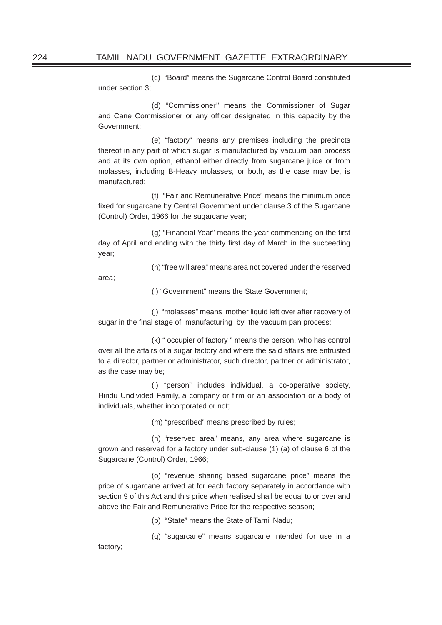(c) "Board" means the Sugarcane Control Board constituted under section 3;

 (d) "Commissioner'' means the Commissioner of Sugar and Cane Commissioner or any officer designated in this capacity by the Government;

 (e) "factory" means any premises including the precincts thereof in any part of which sugar is manufactured by vacuum pan process and at its own option, ethanol either directly from sugarcane juice or from molasses, including B-Heavy molasses, or both, as the case may be, is manufactured;

 (f) "Fair and Remunerative Price" means the minimum price fixed for sugarcane by Central Government under clause 3 of the Sugarcane (Control) Order, 1966 for the sugarcane year;

 $(q)$  "Financial Year" means the year commencing on the first day of April and ending with the thirty first day of March in the succeeding year;

(h) "free will area" means area not covered under the reserved

area;

(i) "Government" means the State Government;

 (j) "molasses" means mother liquid left over after recovery of sugar in the final stage of manufacturing by the vacuum pan process;

 (k) " occupier of factory " means the person, who has control over all the affairs of a sugar factory and where the said affairs are entrusted to a director, partner or administrator, such director, partner or administrator, as the case may be;

 (l) "person" includes individual, a co-operative society, Hindu Undivided Family, a company or firm or an association or a body of individuals, whether incorporated or not;

(m) "prescribed" means prescribed by rules;

 (n) "reserved area" means, any area where sugarcane is grown and reserved for a factory under sub-clause (1) (a) of clause 6 of the Sugarcane (Control) Order, 1966;

 (o) "revenue sharing based sugarcane price" means the price of sugarcane arrived at for each factory separately in accordance with section 9 of this Act and this price when realised shall be equal to or over and above the Fair and Remunerative Price for the respective season;

(p) "State" means the State of Tamil Nadu;

(q) "sugarcane" means sugarcane intended for use in a

factory;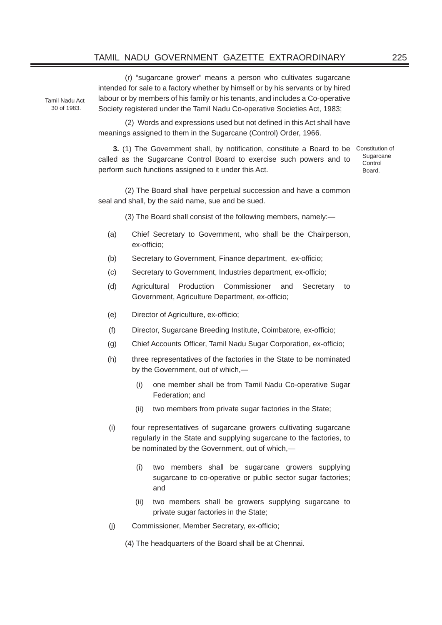# TAMIL NADU GOVERNMENT GAZETTE EXTRAORDINARY 225

 (r) "sugarcane grower" means a person who cultivates sugarcane intended for sale to a factory whether by himself or by his servants or by hired labour or by members of his family or his tenants, and includes a Co-operative Society registered under the Tamil Nadu Co-operative Societies Act, 1983;

(2) Words and expressions used but not defined in this Act shall have meanings assigned to them in the Sugarcane (Control) Order, 1966.

**3.** (1) The Government shall, by notification, constitute a Board to be Constitution of called as the Sugarcane Control Board to exercise such powers and to perform such functions assigned to it under this Act.

**Sugarcane Control** Board.

 (2) The Board shall have perpetual succession and have a common seal and shall, by the said name, sue and be sued.

- (3) The Board shall consist of the following members, namely:—
- (a) Chief Secretary to Government, who shall be the Chairperson, ex-officio;
- (b) Secretary to Government, Finance department, ex-officio;
- (c) Secretary to Government, Industries department, ex-officio;
- (d) Agricultural Production Commissioner and Secretary to Government, Agriculture Department, ex-officio;
- (e) Director of Agriculture, ex-officio;
- (f) Director, Sugarcane Breeding Institute, Coimbatore, ex-officio;
- (g) Chief Accounts Officer, Tamil Nadu Sugar Corporation, ex-officio;
- (h) three representatives of the factories in the State to be nominated by the Government, out of which,—
	- (i) one member shall be from Tamil Nadu Co-operative Sugar Federation; and
	- (ii) two members from private sugar factories in the State;
- (i) four representatives of sugarcane growers cultivating sugarcane regularly in the State and supplying sugarcane to the factories, to be nominated by the Government, out of which,—
	- (i) two members shall be sugarcane growers supplying sugarcane to co-operative or public sector sugar factories; and
	- (ii) two members shall be growers supplying sugarcane to private sugar factories in the State;
- (i) Commissioner, Member Secretary, ex-officio;

(4) The headquarters of the Board shall be at Chennai.

Tamil Nadu Act 30 of 1983.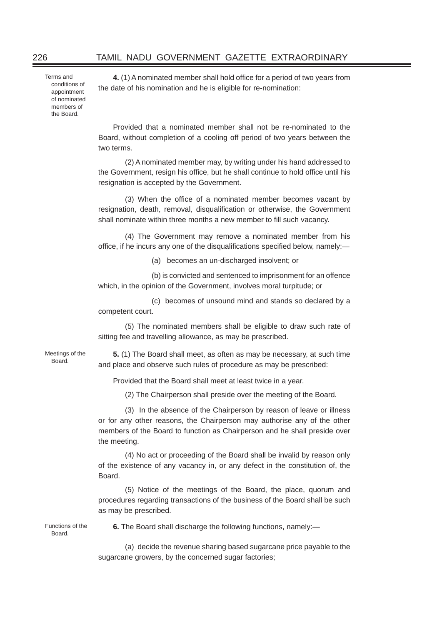Terms and conditions of appointment of nominated members of the Board.

**4.** (1) A nominated member shall hold office for a period of two years from the date of his nomination and he is eligible for re-nomination:

Provided that a nominated member shall not be re-nominated to the Board, without completion of a cooling off period of two years between the two terms.

 (2) A nominated member may, by writing under his hand addressed to the Government, resign his office, but he shall continue to hold office until his resignation is accepted by the Government.

(3) When the office of a nominated member becomes vacant by resignation, death, removal, disqualification or otherwise, the Government shall nominate within three months a new member to fill such vacancy.

 (4) The Government may remove a nominated member from his office, if he incurs any one of the disqualifications specified below, namely:-

(a) becomes an un-discharged insolvent; or

 (b) is convicted and sentenced to imprisonment for an offence which, in the opinion of the Government, involves moral turpitude; or

 (c) becomes of unsound mind and stands so declared by a competent court.

 (5) The nominated members shall be eligible to draw such rate of sitting fee and travelling allowance, as may be prescribed.

Meetings of the Board.

**5.** (1) The Board shall meet, as often as may be necessary, at such time and place and observe such rules of procedure as may be prescribed:

Provided that the Board shall meet at least twice in a year.

(2) The Chairperson shall preside over the meeting of the Board.

 (3) In the absence of the Chairperson by reason of leave or illness or for any other reasons, the Chairperson may authorise any of the other members of the Board to function as Chairperson and he shall preside over the meeting.

 (4) No act or proceeding of the Board shall be invalid by reason only of the existence of any vacancy in, or any defect in the constitution of, the Board.

 (5) Notice of the meetings of the Board, the place, quorum and procedures regarding transactions of the business of the Board shall be such as may be prescribed.

Functions of the Board.

**6.** The Board shall discharge the following functions, namely:—

 (a) decide the revenue sharing based sugarcane price payable to the sugarcane growers, by the concerned sugar factories;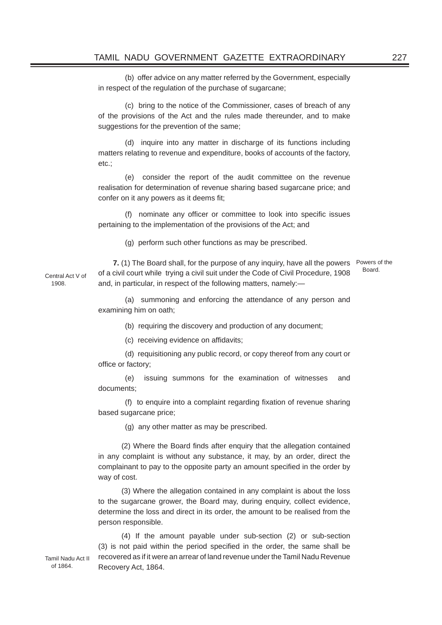(b) offer advice on any matter referred by the Government, especially in respect of the regulation of the purchase of sugarcane;

 (c) bring to the notice of the Commissioner, cases of breach of any of the provisions of the Act and the rules made thereunder, and to make suggestions for the prevention of the same;

 (d) inquire into any matter in discharge of its functions including matters relating to revenue and expenditure, books of accounts of the factory, etc.;

 (e) consider the report of the audit committee on the revenue realisation for determination of revenue sharing based sugarcane price; and confer on it any powers as it deems fit;

(f) nominate any officer or committee to look into specific issues pertaining to the implementation of the provisions of the Act; and

(g) perform such other functions as may be prescribed.

Central Act V of **7.** (1) The Board shall, for the purpose of any inquiry, have all the powers Powers of the of a civil court while trying a civil suit under the Code of Civil Procedure, 1908 and, in particular, in respect of the following matters, namely:— Board.

 (a) summoning and enforcing the attendance of any person and examining him on oath;

(b) requiring the discovery and production of any document;

(c) receiving evidence on affidavits;

 (d) requisitioning any public record, or copy thereof from any court or office or factory:

 (e) issuing summons for the examination of witnesses and documents;

 $(f)$  to enquire into a complaint regarding fixation of revenue sharing based sugarcane price;

(g) any other matter as may be prescribed.

(2) Where the Board finds after enquiry that the allegation contained in any complaint is without any substance, it may, by an order, direct the complainant to pay to the opposite party an amount specified in the order by way of cost.

(3) Where the allegation contained in any complaint is about the loss to the sugarcane grower, the Board may, during enquiry, collect evidence, determine the loss and direct in its order, the amount to be realised from the person responsible.

(4) If the amount payable under sub-section (2) or sub-section (3) is not paid within the period specified in the order, the same shall be recovered as if it were an arrear of land revenue under the Tamil Nadu Revenue Recovery Act, 1864.

1908.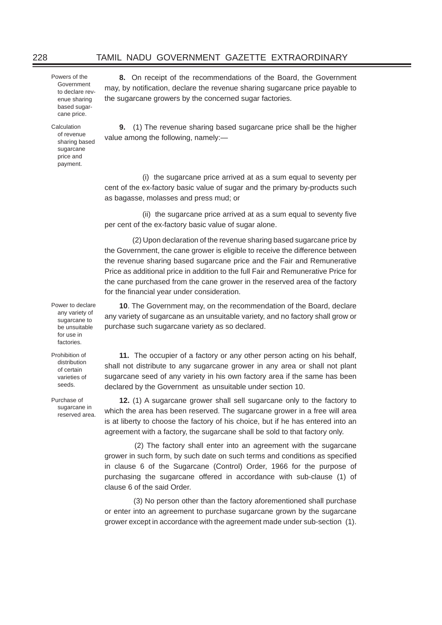Powers of the Government to declare revenue sharing based sugarcane price.

Calculation of revenue sharing based sugarcane price and payment.

**8.** On receipt of the recommendations of the Board, the Government may, by notification, declare the revenue sharing sugarcane price payable to the sugarcane growers by the concerned sugar factories.

**9.** (1) The revenue sharing based sugarcane price shall be the higher value among the following, namely:—

(i) the sugarcane price arrived at as a sum equal to seventy per cent of the ex-factory basic value of sugar and the primary by-products such as bagasse, molasses and press mud; or

(ii) the sugarcane price arrived at as a sum equal to seventy five per cent of the ex-factory basic value of sugar alone.

 (2) Upon declaration of the revenue sharing based sugarcane price by the Government, the cane grower is eligible to receive the difference between the revenue sharing based sugarcane price and the Fair and Remunerative Price as additional price in addition to the full Fair and Remunerative Price for the cane purchased from the cane grower in the reserved area of the factory for the financial year under consideration.

Power to declare any variety of sugarcane to be unsuitable for use in factories.

Prohibition of distribution of certain varieties of seeds.

Purchase of sugarcane in reserved area.

**10**. The Government may, on the recommendation of the Board, declare any variety of sugarcane as an unsuitable variety, and no factory shall grow or purchase such sugarcane variety as so declared.

**11.** The occupier of a factory or any other person acting on his behalf, shall not distribute to any sugarcane grower in any area or shall not plant sugarcane seed of any variety in his own factory area if the same has been declared by the Government as unsuitable under section 10.

**12.** (1) A sugarcane grower shall sell sugarcane only to the factory to which the area has been reserved. The sugarcane grower in a free will area is at liberty to choose the factory of his choice, but if he has entered into an agreement with a factory, the sugarcane shall be sold to that factory only.

 (2) The factory shall enter into an agreement with the sugarcane grower in such form, by such date on such terms and conditions as specified in clause 6 of the Sugarcane (Control) Order, 1966 for the purpose of purchasing the sugarcane offered in accordance with sub-clause (1) of clause 6 of the said Order.

 (3) No person other than the factory aforementioned shall purchase or enter into an agreement to purchase sugarcane grown by the sugarcane grower except in accordance with the agreement made under sub-section (1).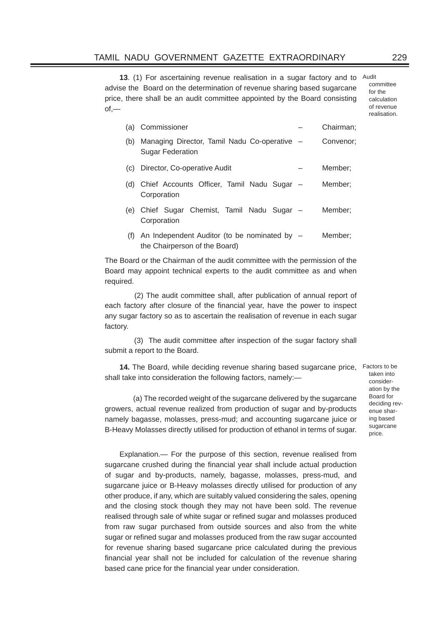13. (1) For ascertaining revenue realisation in a sugar factory and to Audit advise the Board on the determination of revenue sharing based sugarcane price, there shall be an audit committee appointed by the Board consisting  $of -$ 

committee for the calculation of revenue realisation.

| (a) | Commissioner                                                                  | Chairman; |
|-----|-------------------------------------------------------------------------------|-----------|
| (b) | Managing Director, Tamil Nadu Co-operative -<br><b>Sugar Federation</b>       | Convenor: |
| (C) | Director, Co-operative Audit                                                  | Member:   |
| (d) | Chief Accounts Officer, Tamil Nadu Sugar -<br>Corporation                     | Member:   |
| (e) | Chief Sugar Chemist, Tamil Nadu Sugar –<br>Corporation                        | Member:   |
| (f) | An Independent Auditor (to be nominated by -<br>the Chairperson of the Board) | Member:   |

The Board or the Chairman of the audit committee with the permission of the Board may appoint technical experts to the audit committee as and when required.

 (2) The audit committee shall, after publication of annual report of each factory after closure of the financial year, have the power to inspect any sugar factory so as to ascertain the realisation of revenue in each sugar factory.

 (3) The audit committee after inspection of the sugar factory shall submit a report to the Board.

**14.** The Board, while deciding revenue sharing based sugarcane price, Factors to be shall take into consideration the following factors, namely:—

 (a) The recorded weight of the sugarcane delivered by the sugarcane growers, actual revenue realized from production of sugar and by-products namely bagasse, molasses, press-mud; and accounting sugarcane juice or B-Heavy Molasses directly utilised for production of ethanol in terms of sugar. taken into consideration by the Board for deciding revenue sharing based sugarcane price.

Explanation.— For the purpose of this section, revenue realised from sugarcane crushed during the financial year shall include actual production of sugar and by-products, namely, bagasse, molasses, press-mud, and sugarcane juice or B-Heavy molasses directly utilised for production of any other produce, if any, which are suitably valued considering the sales, opening and the closing stock though they may not have been sold. The revenue realised through sale of white sugar or refined sugar and molasses produced from raw sugar purchased from outside sources and also from the white sugar or refined sugar and molasses produced from the raw sugar accounted for revenue sharing based sugarcane price calculated during the previous financial year shall not be included for calculation of the revenue sharing based cane price for the financial year under consideration.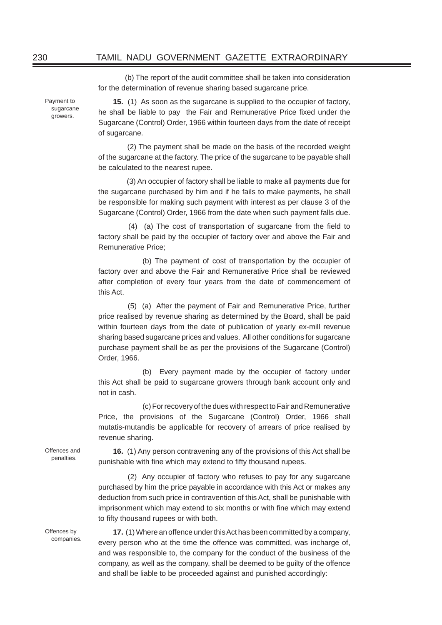(b) The report of the audit committee shall be taken into consideration for the determination of revenue sharing based sugarcane price.

Payment to sugarcane growers.

**15.** (1) As soon as the sugarcane is supplied to the occupier of factory, he shall be liable to pay the Fair and Remunerative Price fixed under the Sugarcane (Control) Order, 1966 within fourteen days from the date of receipt of sugarcane.

 (2) The payment shall be made on the basis of the recorded weight of the sugarcane at the factory. The price of the sugarcane to be payable shall be calculated to the nearest rupee.

 (3) An occupier of factory shall be liable to make all payments due for the sugarcane purchased by him and if he fails to make payments, he shall be responsible for making such payment with interest as per clause 3 of the Sugarcane (Control) Order, 1966 from the date when such payment falls due.

 $(4)$  (a) The cost of transportation of sugarcane from the field to factory shall be paid by the occupier of factory over and above the Fair and Remunerative Price;

(b) The payment of cost of transportation by the occupier of factory over and above the Fair and Remunerative Price shall be reviewed after completion of every four years from the date of commencement of this Act.

 (5) (a) After the payment of Fair and Remunerative Price, further price realised by revenue sharing as determined by the Board, shall be paid within fourteen days from the date of publication of yearly ex-mill revenue sharing based sugarcane prices and values. All other conditions for sugarcane purchase payment shall be as per the provisions of the Sugarcane (Control) Order, 1966.

(b) Every payment made by the occupier of factory under this Act shall be paid to sugarcane growers through bank account only and not in cash.

(c) For recovery of the dues with respect to Fair and Remunerative Price, the provisions of the Sugarcane (Control) Order, 1966 shall mutatis-mutandis be applicable for recovery of arrears of price realised by revenue sharing.

**16.** (1) Any person contravening any of the provisions of this Act shall be punishable with fine which may extend to fifty thousand rupees.

 (2) Any occupier of factory who refuses to pay for any sugarcane purchased by him the price payable in accordance with this Act or makes any deduction from such price in contravention of this Act, shall be punishable with imprisonment which may extend to six months or with fine which may extend to fifty thousand rupees or with both.

**17.** (1) Where an offence under this Act has been committed by a company, every person who at the time the offence was committed, was incharge of, and was responsible to, the company for the conduct of the business of the company, as well as the company, shall be deemed to be guilty of the offence and shall be liable to be proceeded against and punished accordingly:

Offences and penalties.

Offences by companies.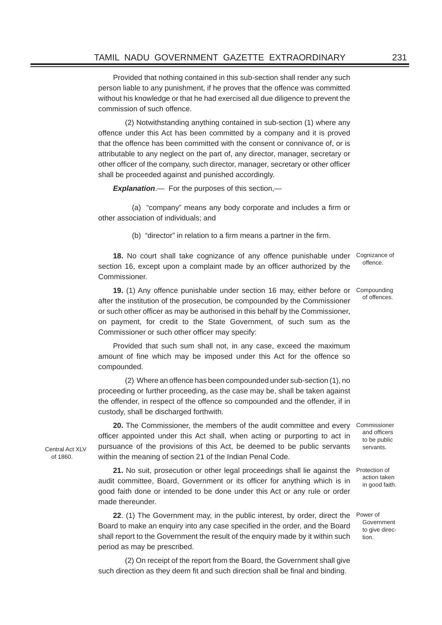Provided that nothing contained in this sub-section shall render any such person liable to any punishment, if he proves that the offence was committed without his knowledge or that he had exercised all due diligence to prevent the commission of such offence.

 (2) Notwithstanding anything contained in sub-section (1) where any offence under this Act has been committed by a company and it is proved that the offence has been committed with the consent or connivance of, or is attributable to any neglect on the part of, any director, manager, secretary or other officer of the company, such director, manager, secretary or other officer shall be proceeded against and punished accordingly.

**Explanation**.— For the purposes of this section,—

(a) "company" means any body corporate and includes a firm or other association of individuals; and

(b) "director" in relation to a firm means a partner in the firm.

**18.** No court shall take cognizance of any offence punishable under section 16, except upon a complaint made by an officer authorized by the Commissioner. Cognizance of offence.

**19.** (1) Any offence punishable under section 16 may, either before or Compounding after the institution of the prosecution, be compounded by the Commissioner or such other officer as may be authorised in this behalf by the Commissioner, on payment, for credit to the State Government, of such sum as the Commissioner or such other officer may specify: of offences.

Provided that such sum shall not, in any case, exceed the maximum amount of fine which may be imposed under this Act for the offence so compounded.

 (2) Where an offence has been compounded under sub-section (1), no proceeding or further proceeding, as the case may be, shall be taken against the offender, in respect of the offence so compounded and the offender, if in custody, shall be discharged forthwith.

**20.** The Commissioner, the members of the audit committee and every Commissioner officer appointed under this Act shall, when acting or purporting to act in pursuance of the provisions of this Act, be deemed to be public servants within the meaning of section 21 of the Indian Penal Code.

21. No suit, prosecution or other legal proceedings shall lie against the Protection of audit committee, Board, Government or its officer for anything which is in good faith done or intended to be done under this Act or any rule or order made thereunder.

**22**. (1) The Government may, in the public interest, by order, direct the Power of Board to make an enquiry into any case specified in the order, and the Board shall report to the Government the result of the enquiry made by it within such period as may be prescribed.

 (2) On receipt of the report from the Board, the Government shall give such direction as they deem fit and such direction shall be final and binding.

Central Act XI<sub>V</sub> of 1860.

and officers to be public servants.

> action taken in good faith.

Government to give direction.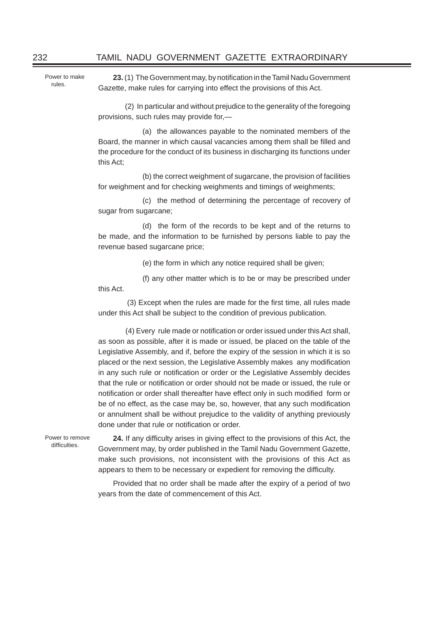Power to make rules.

**23.** (1) The Government may, by notification in the Tamil Nadu Government Gazette, make rules for carrying into effect the provisions of this Act.

 (2) In particular and without prejudice to the generality of the foregoing provisions, such rules may provide for,—

(a) the allowances payable to the nominated members of the Board, the manner in which causal vacancies among them shall be filled and the procedure for the conduct of its business in discharging its functions under this Act;

(b) the correct weighment of sugarcane, the provision of facilities for weighment and for checking weighments and timings of weighments;

(c) the method of determining the percentage of recovery of sugar from sugarcane:

(d) the form of the records to be kept and of the returns to be made, and the information to be furnished by persons liable to pay the revenue based sugarcane price;

(e) the form in which any notice required shall be given;

(f) any other matter which is to be or may be prescribed under

(3) Except when the rules are made for the first time, all rules made under this Act shall be subject to the condition of previous publication.

(4) Every rule made or notification or order issued under this Act shall. as soon as possible, after it is made or issued, be placed on the table of the Legislative Assembly, and if, before the expiry of the session in which it is so placed or the next session, the Legislative Assembly makes any modification in any such rule or notification or order or the Legislative Assembly decides that the rule or notification or order should not be made or issued, the rule or notification or order shall thereafter have effect only in such modified form or be of no effect, as the case may be, so, however, that any such modification or annulment shall be without prejudice to the validity of anything previously done under that rule or notification or order.

Power to remove difficulties.

this Act.

**24.** If any difficulty arises in giving effect to the provisions of this Act, the Government may, by order published in the Tamil Nadu Government Gazette, make such provisions, not inconsistent with the provisions of this Act as appears to them to be necessary or expedient for removing the difficulty.

Provided that no order shall be made after the expiry of a period of two years from the date of commencement of this Act.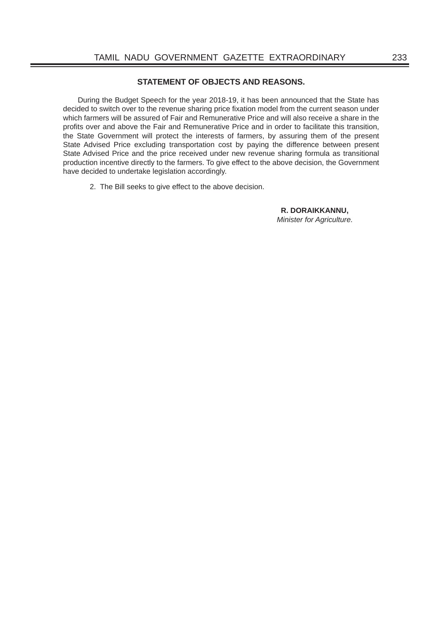# **STATEMENT OF OBJECTS AND REASONS.**

During the Budget Speech for the year 2018-19, it has been announced that the State has decided to switch over to the revenue sharing price fixation model from the current season under which farmers will be assured of Fair and Remunerative Price and will also receive a share in the profits over and above the Fair and Remunerative Price and in order to facilitate this transition, the State Government will protect the interests of farmers, by assuring them of the present State Advised Price excluding transportation cost by paying the difference between present State Advised Price and the price received under new revenue sharing formula as transitional production incentive directly to the farmers. To give effect to the above decision, the Government have decided to undertake legislation accordingly.

2. The Bill seeks to give effect to the above decision.

 **R. DORAIKKANNU,** *Minister for Agriculture.*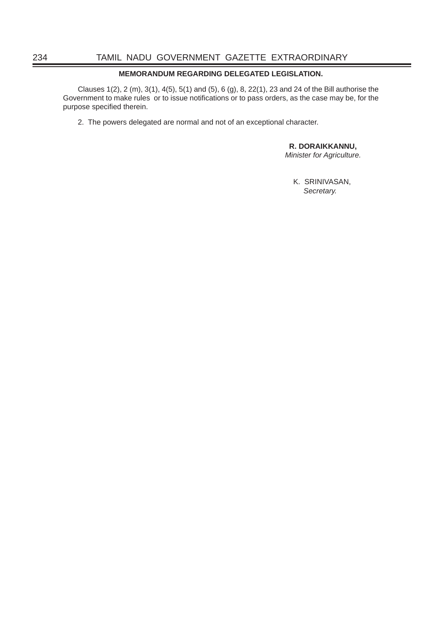# **MEMORANDUM REGARDING DELEGATED LEGISLATION.**

Clauses 1(2), 2 (m), 3(1), 4(5), 5(1) and (5), 6 (g), 8, 22(1), 23 and 24 of the Bill authorise the Government to make rules or to issue notifications or to pass orders, as the case may be, for the purpose specified therein.

2. The powers delegated are normal and not of an exceptional character.

 **R. DORAIKKANNU,** *Minister for Agriculture.*

K. SRINIVASAN, *Secretary.*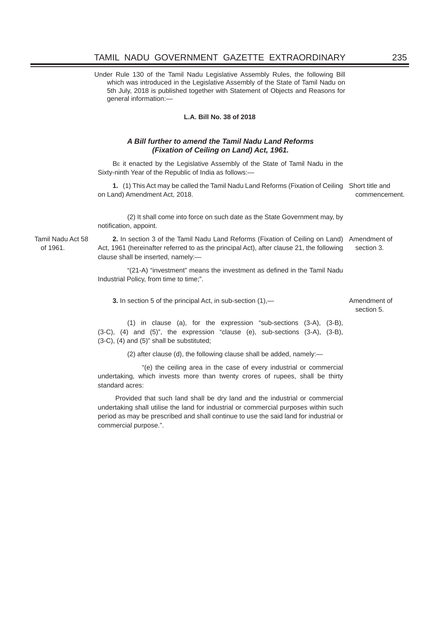Under Rule 130 of the Tamil Nadu Legislative Assembly Rules, the following Bill which was introduced in the Legislative Assembly of the State of Tamil Nadu on 5th July, 2018 is published together with Statement of Objects and Reasons for general information:—

## **L.A. Bill No. 38 of 2018**

## *A Bill further to amend the Tamil Nadu Land Reforms (Fixation of Ceiling on Land) Act, 1961.*

BE it enacted by the Legislative Assembly of the State of Tamil Nadu in the Sixty-ninth Year of the Republic of India as follows:—

**1.** (1) This Act may be called the Tamil Nadu Land Reforms (Fixation of Ceiling Short title and on Land) Amendment Act, 2018. commencement.

(2) It shall come into force on such date as the State Government may, by notification, appoint.

Tamil Nadu Act 58 of 1961.

**2.** In section 3 of the Tamil Nadu Land Reforms (Fixation of Ceiling on Land) Amendment of Act, 1961 (hereinafter referred to as the principal Act), after clause 21, the following clause shall be inserted, namely: section 3.

"(21-A) "investment" means the investment as defined in the Tamil Nadu Industrial Policy, from time to time;".

**3.** In section 5 of the principal Act, in sub-section  $(1)$ ,  $-$  Amendment of

# section 5.

(1) in clause (a), for the expression "sub-sections (3-A), (3-B), (3-C), (4) and (5)", the expression "clause (e), sub-sections (3-A), (3-B), (3-C), (4) and (5)" shall be substituted;

(2) after clause (d), the following clause shall be added, namely:—

 "(e) the ceiling area in the case of every industrial or commercial undertaking, which invests more than twenty crores of rupees, shall be thirty standard acres:

 Provided that such land shall be dry land and the industrial or commercial undertaking shall utilise the land for industrial or commercial purposes within such period as may be prescribed and shall continue to use the said land for industrial or commercial purpose.".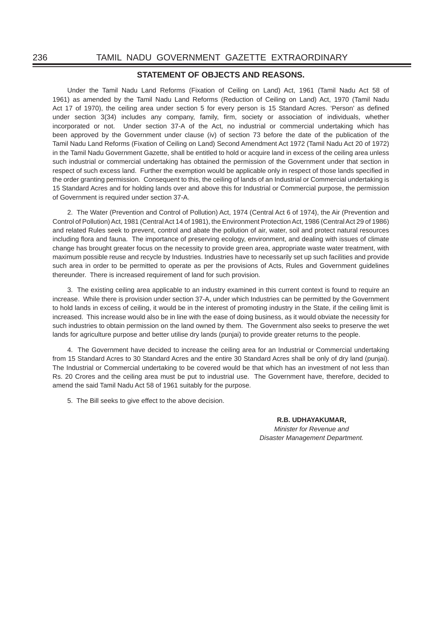## **STATEMENT OF OBJECTS AND REASONS.**

Under the Tamil Nadu Land Reforms (Fixation of Ceiling on Land) Act, 1961 (Tamil Nadu Act 58 of 1961) as amended by the Tamil Nadu Land Reforms (Reduction of Ceiling on Land) Act, 1970 (Tamil Nadu Act 17 of 1970), the ceiling area under section 5 for every person is 15 Standard Acres. 'Person' as defined under section 3(34) includes any company, family, firm, society or association of individuals, whether incorporated or not. Under section 37-A of the Act, no industrial or commercial undertaking which has been approved by the Government under clause (iv) of section 73 before the date of the publication of the Tamil Nadu Land Reforms (Fixation of Ceiling on Land) Second Amendment Act 1972 (Tamil Nadu Act 20 of 1972) in the Tamil Nadu Government Gazette, shall be entitled to hold or acquire land in excess of the ceiling area unless such industrial or commercial undertaking has obtained the permission of the Government under that section in respect of such excess land. Further the exemption would be applicable only in respect of those lands specified in the order granting permission. Consequent to this, the ceiling of lands of an Industrial or Commercial undertaking is 15 Standard Acres and for holding lands over and above this for Industrial or Commercial purpose, the permission of Government is required under section 37-A.

2. The Water (Prevention and Control of Pollution) Act, 1974 (Central Act 6 of 1974), the Air (Prevention and Control of Pollution) Act, 1981 (Central Act 14 of 1981), the Environment Protection Act, 1986 (Central Act 29 of 1986) and related Rules seek to prevent, control and abate the pollution of air, water, soil and protect natural resources including flora and fauna. The importance of preserving ecology, environment, and dealing with issues of climate change has brought greater focus on the necessity to provide green area, appropriate waste water treatment, with maximum possible reuse and recycle by Industries. Industries have to necessarily set up such facilities and provide such area in order to be permitted to operate as per the provisions of Acts, Rules and Government guidelines thereunder. There is increased requirement of land for such provision.

3. The existing ceiling area applicable to an industry examined in this current context is found to require an increase. While there is provision under section 37-A, under which Industries can be permitted by the Government to hold lands in excess of ceiling, it would be in the interest of promoting industry in the State, if the ceiling limit is increased. This increase would also be in line with the ease of doing business, as it would obviate the necessity for such industries to obtain permission on the land owned by them. The Government also seeks to preserve the wet lands for agriculture purpose and better utilise dry lands (punjai) to provide greater returns to the people.

4. The Government have decided to increase the ceiling area for an Industrial or Commercial undertaking from 15 Standard Acres to 30 Standard Acres and the entire 30 Standard Acres shall be only of dry land (punjai). The Industrial or Commercial undertaking to be covered would be that which has an investment of not less than Rs. 20 Crores and the ceiling area must be put to industrial use. The Government have, therefore, decided to amend the said Tamil Nadu Act 58 of 1961 suitably for the purpose.

5. The Bill seeks to give effect to the above decision.

 **R.B. UDHAYAKUMAR,** *Minister for Revenue and Disaster Management Department.*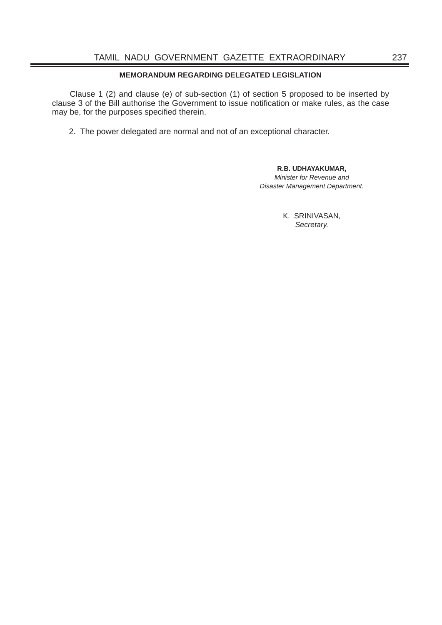# **MEMORANDUM REGARDING DELEGATED LEGISLATION**

 Clause 1 (2) and clause (e) of sub-section (1) of section 5 proposed to be inserted by clause 3 of the Bill authorise the Government to issue notification or make rules, as the case may be, for the purposes specified therein.

2. The power delegated are normal and not of an exceptional character.

## **R.B. UDHAYAKUMAR,**

*Minister for Revenue and Disaster Management Department.* 

> K. SRINIVASAN, *Secretary.*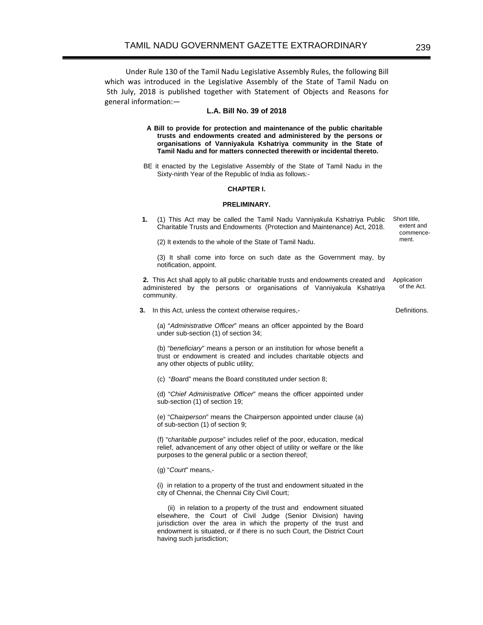Under Rule 130 of the Tamil Nadu Legislative Assembly Rules, the following Bill which was introduced in the Legislative Assembly of the State of Tamil Nadu on 5th July, 2018 is published together with Statement of Objects and Reasons for general information:—

## **L.A. Bill No. 39 of 2018**

**A Bill to provide for protection and maintenance of the public charitable trusts and endowments created and administered by the persons or organisations of Vanniyakula Kshatriya community in the State of Tamil Nadu and for matters connected therewith or incidental thereto.** 

 BE it enacted by the Legislative Assembly of the State of Tamil Nadu in the Sixty-ninth Year of the Republic of India as follows:-

#### **CHAPTER I.**

## **PRELIMINARY.**

**1.** (1) This Act may be called the Tamil Nadu Vanniyakula Kshatriya Public Charitable Trusts and Endowments (Protection and Maintenance) Act, 2018. Short title, extent and commence-

(2) It extends to the whole of the State of Tamil Nadu.

 (3) It shall come into force on such date as the Government may, by notification, appoint.

**2.** This Act shall apply to all public charitable trusts and endowments created and administered by the persons or organisations of Vanniyakula Kshatriya community. Application of the Act.

**3.** In this Act, unless the context otherwise requires,-

 (a) "*Administrative Officer*" means an officer appointed by the Board under sub-section (1) of section 34;

 (b) "*beneficiary*" means a person or an institution for whose benefit a trust or endowment is created and includes charitable objects and any other objects of public utility;

(c) "*Boar*d" means the Board constituted under section 8;

 (d) "*Chief Administrative Officer*" means the officer appointed under sub-section (1) of section 19;

 (e) "*Chairperson*" means the Chairperson appointed under clause (a) of sub-section (1) of section 9;

 (f) "c*haritable purpose*" includes relief of the poor, education, medical relief, advancement of any other object of utility or welfare or the like purposes to the general public or a section thereof;

(g) "*Court*" means,-

 (i) in relation to a property of the trust and endowment situated in the city of Chennai, the Chennai City Civil Court;

 (ii) in relation to a property of the trust and endowment situated elsewhere, the Court of Civil Judge (Senior Division) having jurisdiction over the area in which the property of the trust and endowment is situated, or if there is no such Court, the District Court having such jurisdiction;

Definitions.

ment.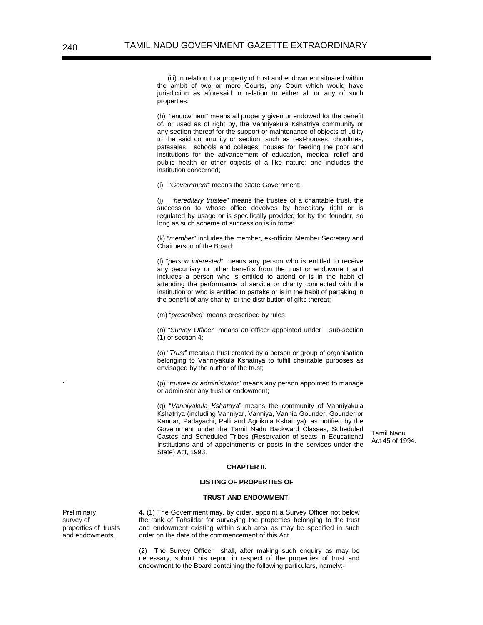(iii) in relation to a property of trust and endowment situated within the ambit of two or more Courts, any Court which would have jurisdiction as aforesaid in relation to either all or any of such properties;

 (h) "endowment" means all property given or endowed for the benefit of, or used as of right by, the Vanniyakula Kshatriya community or any section thereof for the support or maintenance of objects of utility to the said community or section, such as rest-houses, choultries, patasalas, schools and colleges, houses for feeding the poor and institutions for the advancement of education, medical relief and public health or other objects of a like nature; and includes the institution concerned;

(i) "*Government*" means the State Government;

"hereditary trustee" means the trustee of a charitable trust, the succession to whose office devolves by hereditary right or is regulated by usage or is specifically provided for by the founder, so long as such scheme of succession is in force;

 (k) "*member*" includes the member, ex-officio; Member Secretary and Chairperson of the Board;

 (l) "*person interested*" means any person who is entitled to receive any pecuniary or other benefits from the trust or endowment and includes a person who is entitled to attend or is in the habit of attending the performance of service or charity connected with the institution or who is entitled to partake or is in the habit of partaking in the benefit of any charity or the distribution of gifts thereat;

(m) "*prescribed*" means prescribed by rules;

 (n) "*Survey Officer*" means an officer appointed under sub-section  $(1)$  of section 4;

 (o) "*Trust*" means a trust created by a person or group of organisation belonging to Vanniyakula Kshatriya to fulfill charitable purposes as envisaged by the author of the trust;

 (p) "*trustee or administrator*" means any person appointed to manage or administer any trust or endowment;

 (q) "*Vanniyakula Kshatriya*" means the community of Vanniyakula Kshatriya (including Vanniyar, Vanniya, Vannia Gounder, Gounder or Kandar, Padayachi, Palli and Agnikula Kshatriya), as notified by the Government under the Tamil Nadu Backward Classes, Scheduled Castes and Scheduled Tribes (Reservation of seats in Educational Institutions and of appointments or posts in the services under the State) Act, 1993.

Tamil Nadu Act 45 of 1994.

#### **CHAPTER II.**

## **LISTING OF PROPERTIES OF**

#### **TRUST AND ENDOWMENT.**

**4.** (1) The Government may, by order, appoint a Survey Officer not below the rank of Tahsildar for surveying the properties belonging to the trust and endowment existing within such area as may be specified in such order on the date of the commencement of this Act.

(2) The Survey Officer shall, after making such enquiry as may be necessary, submit his report in respect of the properties of trust and endowment to the Board containing the following particulars, namely:-

Preliminary survey of properties of trusts and endowments.

.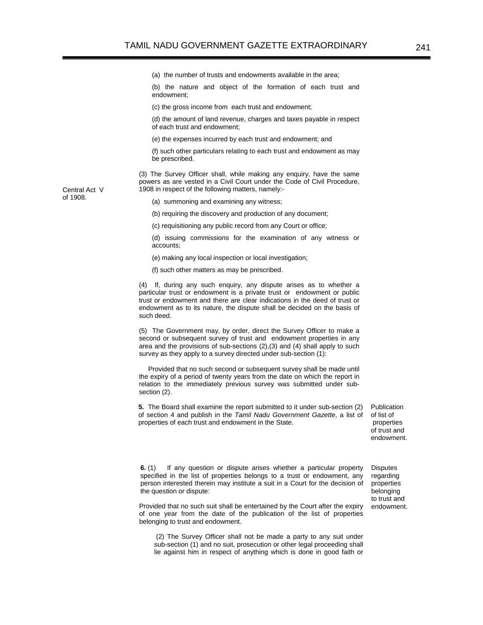(a) the number of trusts and endowments available in the area;

(b) the nature and object of the formation of each trust and endowment;

(c) the gross income from each trust and endowment;

(d) the amount of land revenue, charges and taxes payable in respect of each trust and endowment;

(e) the expenses incurred by each trust and endowment; and

(f) such other particulars relating to each trust and endowment as may be prescribed.

(3) The Survey Officer shall, while making any enquiry, have the same powers as are vested in a Civil Court under the Code of Civil Procedure, 1908 in respect of the following matters, namely:-

Central Act V of 1908.

(a) summoning and examining any witness;

(b) requiring the discovery and production of any document;

(c) requisitioning any public record from any Court or office;

(d) issuing commissions for the examination of any witness or accounts;

(e) making any local inspection or local investigation;

(f) such other matters as may be prescribed.

 (4) If, during any such enquiry, any dispute arises as to whether a particular trust or endowment is a private trust or endowment or public trust or endowment and there are clear indications in the deed of trust or endowment as to its nature, the dispute shall be decided on the basis of such deed.

 (5) The Government may, by order, direct the Survey Officer to make a second or subsequent survey of trust and endowment properties in any area and the provisions of sub-sections (2),(3) and (4) shall apply to such survey as they apply to a survey directed under sub-section (1):

 Provided that no such second or subsequent survey shall be made until the expiry of a period of twenty years from the date on which the report in relation to the immediately previous survey was submitted under subsection (2).

**5.** The Board shall examine the report submitted to it under sub-section (2) of section 4 and publish in the *Tamil Nadu Government Gazette*, a list of properties of each trust and endowment in the State.

Publication of list of properties of trust and endowment.

**6.** (1) If any question or dispute arises whether a particular property specified in the list of properties belongs to a trust or endowment, any person interested therein may institute a suit in a Court for the decision of the question or dispute:

Provided that no such suit shall be entertained by the Court after the expiry of one year from the date of the publication of the list of properties belonging to trust and endowment.

 (2) The Survey Officer shall not be made a party to any suit under sub-section (1) and no suit, prosecution or other legal proceeding shall lie against him in respect of anything which is done in good faith or **Disputes** regarding properties belonging to trust and endowment.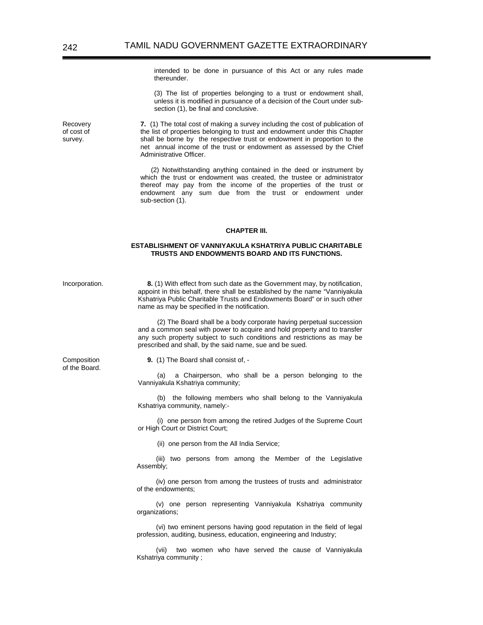intended to be done in pursuance of this Act or any rules made thereunder.

(3) The list of properties belonging to a trust or endowment shall, unless it is modified in pursuance of a decision of the Court under subsection (1), be final and conclusive.

**7.** (1) The total cost of making a survey including the cost of publication of the list of properties belonging to trust and endowment under this Chapter shall be borne by the respective trust or endowment in proportion to the net annual income of the trust or endowment as assessed by the Chief Administrative Officer.

(2) Notwithstanding anything contained in the deed or instrument by which the trust or endowment was created, the trustee or administrator thereof may pay from the income of the properties of the trust or endowment any sum due from the trust or endowment under sub-section (1).

### **CHAPTER III.**

#### **ESTABLISHMENT OF VANNIYAKULA KSHATRIYA PUBLIC CHARITABLE TRUSTS AND ENDOWMENTS BOARD AND ITS FUNCTIONS.**

Incorporation. **8.** (1) With effect from such date as the Government may, by notification, appoint in this behalf, there shall be established by the name "Vanniyakula Kshatriya Public Charitable Trusts and Endowments Board" or in such other name as may be specified in the notification.

> (2) The Board shall be a body corporate having perpetual succession and a common seal with power to acquire and hold property and to transfer any such property subject to such conditions and restrictions as may be prescribed and shall, by the said name, sue and be sued.

**Composition** of the Board.  **9.** (1) The Board shall consist of, -

(a) a Chairperson, who shall be a person belonging to the Vanniyakula Kshatriya community;

(b) the following members who shall belong to the Vanniyakula Kshatriya community, namely:-

(i) one person from among the retired Judges of the Supreme Court or High Court or District Court;

(ii) one person from the All India Service;

(iii) two persons from among the Member of the Legislative Assembly;

(iv) one person from among the trustees of trusts and administrator of the endowments;

(v) one person representing Vanniyakula Kshatriya community organizations;

(vi) two eminent persons having good reputation in the field of legal profession, auditing, business, education, engineering and Industry;

(vii) two women who have served the cause of Vanniyakula Kshatriya community ;

Recovery of cost of survey.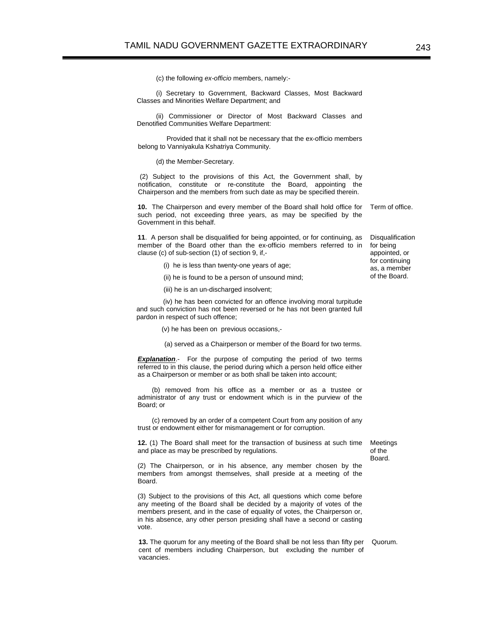(c) the following *ex-officio* members, namely:-

(i) Secretary to Government, Backward Classes, Most Backward Classes and Minorities Welfare Department; and

(ii) Commissioner or Director of Most Backward Classes and Denotified Communities Welfare Department:

 Provided that it shall not be necessary that the ex-officio members belong to Vanniyakula Kshatriya Community.

(d) the Member-Secretary.

 (2) Subject to the provisions of this Act, the Government shall, by notification, constitute or re-constitute the Board, appointing the Chairperson and the members from such date as may be specified therein.

**10.** The Chairperson and every member of the Board shall hold office for such period, not exceeding three years, as may be specified by the Government in this behalf. Term of office.

**11**. A person shall be disqualified for being appointed, or for continuing, as member of the Board other than the ex-officio members referred to in clause (c) of sub-section (1) of section 9, if,-

- (i) he is less than twenty-one years of age;
- (ii) he is found to be a person of unsound mind;
- (iii) he is an un-discharged insolvent;

 (iv) he has been convicted for an offence involving moral turpitude and such conviction has not been reversed or he has not been granted full pardon in respect of such offence;

(v) he has been on previous occasions,-

(a) served as a Chairperson or member of the Board for two terms.

**Explanation.**- For the purpose of computing the period of two terms referred to in this clause, the period during which a person held office either as a Chairperson or member or as both shall be taken into account;

(b) removed from his office as a member or as a trustee or administrator of any trust or endowment which is in the purview of the Board; or

(c) removed by an order of a competent Court from any position of any trust or endowment either for mismanagement or for corruption.

**12.** (1) The Board shall meet for the transaction of business at such time and place as may be prescribed by regulations.

(2) The Chairperson, or in his absence, any member chosen by the members from amongst themselves, shall preside at a meeting of the Board.

(3) Subject to the provisions of this Act, all questions which come before any meeting of the Board shall be decided by a majority of votes of the members present, and in the case of equality of votes, the Chairperson or, in his absence, any other person presiding shall have a second or casting vote.

**13.** The quorum for any meeting of the Board shall be not less than fifty per cent of members including Chairperson, but excluding the number of vacancies.

Quorum.

Meetings of the Board.

**Disqualification** for being appointed, or for continuing as, a member of the Board.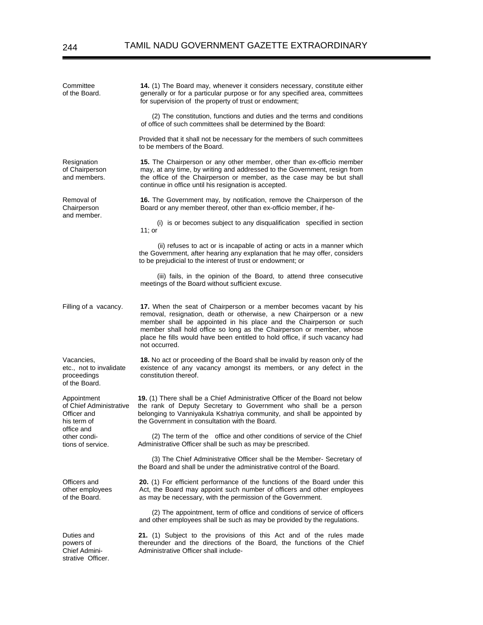| Committee<br>of the Board.                                                         | 14. (1) The Board may, whenever it considers necessary, constitute either<br>generally or for a particular purpose or for any specified area, committees<br>for supervision of the property of trust or endowment;                                                                                                                                                                       |  |  |
|------------------------------------------------------------------------------------|------------------------------------------------------------------------------------------------------------------------------------------------------------------------------------------------------------------------------------------------------------------------------------------------------------------------------------------------------------------------------------------|--|--|
|                                                                                    | (2) The constitution, functions and duties and the terms and conditions<br>of office of such committees shall be determined by the Board:                                                                                                                                                                                                                                                |  |  |
|                                                                                    | Provided that it shall not be necessary for the members of such committees<br>to be members of the Board.                                                                                                                                                                                                                                                                                |  |  |
| Resignation<br>of Chairperson<br>and members.                                      | 15. The Chairperson or any other member, other than ex-officio member<br>may, at any time, by writing and addressed to the Government, resign from<br>the office of the Chairperson or member, as the case may be but shall<br>continue in office until his resignation is accepted.                                                                                                     |  |  |
| Removal of<br>Chairperson<br>and member.                                           | 16. The Government may, by notification, remove the Chairperson of the<br>Board or any member thereof, other than ex-officio member, if he-                                                                                                                                                                                                                                              |  |  |
|                                                                                    | (i) is or becomes subject to any disqualification specified in section<br>11; or                                                                                                                                                                                                                                                                                                         |  |  |
|                                                                                    | (ii) refuses to act or is incapable of acting or acts in a manner which<br>the Government, after hearing any explanation that he may offer, considers<br>to be prejudicial to the interest of trust or endowment; or                                                                                                                                                                     |  |  |
|                                                                                    | (iii) fails, in the opinion of the Board, to attend three consecutive<br>meetings of the Board without sufficient excuse.                                                                                                                                                                                                                                                                |  |  |
| Filling of a vacancy.                                                              | 17. When the seat of Chairperson or a member becomes vacant by his<br>removal, resignation, death or otherwise, a new Chairperson or a new<br>member shall be appointed in his place and the Chairperson or such<br>member shall hold office so long as the Chairperson or member, whose<br>place he fills would have been entitled to hold office, if such vacancy had<br>not occurred. |  |  |
| Vacancies,<br>etc., not to invalidate<br>proceedings<br>of the Board.              | 18. No act or proceeding of the Board shall be invalid by reason only of the<br>existence of any vacancy amongst its members, or any defect in the<br>constitution thereof.                                                                                                                                                                                                              |  |  |
| Appointment<br>of Chief Administrative<br>Officer and<br>his term of<br>office and | 19. (1) There shall be a Chief Administrative Officer of the Board not below<br>the rank of Deputy Secretary to Government who shall be a person<br>belonging to Vanniyakula Kshatriya community, and shall be appointed by<br>the Government in consultation with the Board.                                                                                                            |  |  |
| other condi-<br>tions of service.                                                  | (2) The term of the office and other conditions of service of the Chief<br>Administrative Officer shall be such as may be prescribed.                                                                                                                                                                                                                                                    |  |  |
|                                                                                    | (3) The Chief Administrative Officer shall be the Member- Secretary of<br>the Board and shall be under the administrative control of the Board.                                                                                                                                                                                                                                          |  |  |
| Officers and<br>other employees<br>of the Board.                                   | 20. (1) For efficient performance of the functions of the Board under this<br>Act, the Board may appoint such number of officers and other employees<br>as may be necessary, with the permission of the Government.                                                                                                                                                                      |  |  |
|                                                                                    | (2) The appointment, term of office and conditions of service of officers<br>and other employees shall be such as may be provided by the regulations.                                                                                                                                                                                                                                    |  |  |
| Duties and<br>powers of<br>Chief Admini-                                           | 21. (1) Subject to the provisions of this Act and of the rules made<br>thereunder and the directions of the Board, the functions of the Chief<br>Administrative Officer shall include-                                                                                                                                                                                                   |  |  |

strative Officer.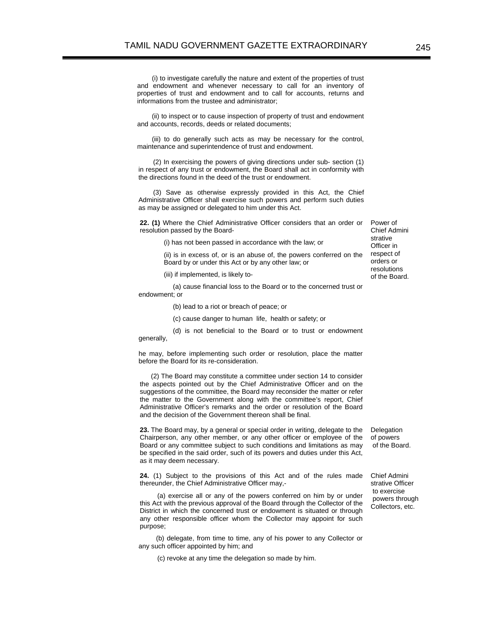(i) to investigate carefully the nature and extent of the properties of trust and endowment and whenever necessary to call for an inventory of properties of trust and endowment and to call for accounts, returns and informations from the trustee and administrator;

(ii) to inspect or to cause inspection of property of trust and endowment and accounts, records, deeds or related documents;

(iii) to do generally such acts as may be necessary for the control, maintenance and superintendence of trust and endowment.

(2) In exercising the powers of giving directions under sub- section (1) in respect of any trust or endowment, the Board shall act in conformity with the directions found in the deed of the trust or endowment.

(3) Save as otherwise expressly provided in this Act, the Chief Administrative Officer shall exercise such powers and perform such duties as may be assigned or delegated to him under this Act.

**22. (1)** Where the Chief Administrative Officer considers that an order or resolution passed by the Board-

(i) has not been passed in accordance with the law; or

(ii) is in excess of, or is an abuse of, the powers conferred on the Board by or under this Act or by any other law; or

(iii) if implemented, is likely to-

(a) cause financial loss to the Board or to the concerned trust or endowment; or

(b) lead to a riot or breach of peace; or

(c) cause danger to human life, health or safety; or

(d) is not beneficial to the Board or to trust or endowment generally,

he may, before implementing such order or resolution, place the matter before the Board for its re-consideration.

 (2) The Board may constitute a committee under section 14 to consider the aspects pointed out by the Chief Administrative Officer and on the suggestions of the committee, the Board may reconsider the matter or refer the matter to the Government along with the committee's report, Chief Administrative Officer's remarks and the order or resolution of the Board and the decision of the Government thereon shall be final.

**23.** The Board may, by a general or special order in writing, delegate to the Chairperson, any other member, or any other officer or employee of the Board or any committee subject to such conditions and limitations as may be specified in the said order, such of its powers and duties under this Act, as it may deem necessary.

 **24.** (1) Subject to the provisions of this Act and of the rules made thereunder, the Chief Administrative Officer may,-

(a) exercise all or any of the powers conferred on him by or under this Act with the previous approval of the Board through the Collector of the District in which the concerned trust or endowment is situated or through any other responsible officer whom the Collector may appoint for such purpose;

(b) delegate, from time to time, any of his power to any Collector or any such officer appointed by him; and

(c) revoke at any time the delegation so made by him.

Power of Chief Admini strative Officer in respect of orders or resolutions of the Board.

Delegation of powers of the Board.

Chief Admini strative Officer to exercise powers through Collectors, etc.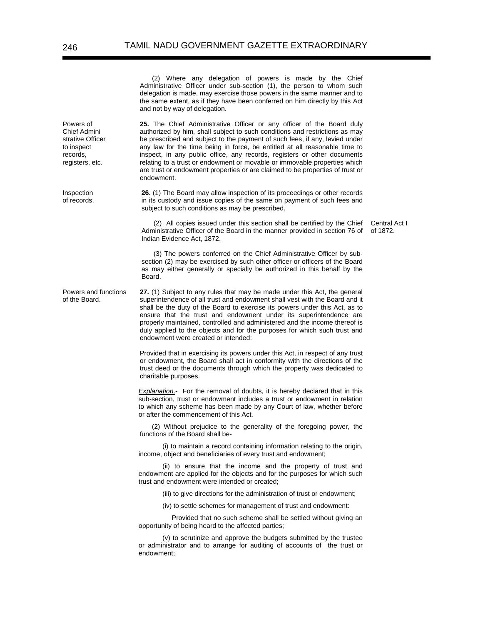(2) Where any delegation of powers is made by the Chief Administrative Officer under sub-section (1), the person to whom such delegation is made, may exercise those powers in the same manner and to the same extent, as if they have been conferred on him directly by this Act and not by way of delegation.

**25.** The Chief Administrative Officer or any officer of the Board duly authorized by him, shall subject to such conditions and restrictions as may be prescribed and subject to the payment of such fees, if any, levied under any law for the time being in force, be entitled at all reasonable time to inspect, in any public office, any records, registers or other documents relating to a trust or endowment or movable or immovable properties which are trust or endowment properties or are claimed to be properties of trust or endowment.

**26.** (1) The Board may allow inspection of its proceedings or other records in its custody and issue copies of the same on payment of such fees and subject to such conditions as may be prescribed.

(2) All copies issued under this section shall be certified by the Chief Administrative Officer of the Board in the manner provided in section 76 of Indian Evidence Act, 1872.

Central Act I of 1872.

(3) The powers conferred on the Chief Administrative Officer by subsection (2) may be exercised by such other officer or officers of the Board as may either generally or specially be authorized in this behalf by the Board.

Powers and functions of the Board. **27.** (1) Subject to any rules that may be made under this Act, the general superintendence of all trust and endowment shall vest with the Board and it shall be the duty of the Board to exercise its powers under this Act, as to ensure that the trust and endowment under its superintendence are properly maintained, controlled and administered and the income thereof is duly applied to the objects and for the purposes for which such trust and endowment were created or intended:

> Provided that in exercising its powers under this Act, in respect of any trust or endowment, the Board shall act in conformity with the directions of the trust deed or the documents through which the property was dedicated to charitable purposes.

> *Explanation*.- For the removal of doubts, it is hereby declared that in this sub-section, trust or endowment includes a trust or endowment in relation to which any scheme has been made by any Court of law, whether before or after the commencement of this Act.

> (2) Without prejudice to the generality of the foregoing power, the functions of the Board shall be-

> (i) to maintain a record containing information relating to the origin, income, object and beneficiaries of every trust and endowment;

> (ii) to ensure that the income and the property of trust and endowment are applied for the objects and for the purposes for which such trust and endowment were intended or created;

(iii) to give directions for the administration of trust or endowment;

(iv) to settle schemes for management of trust and endowment:

 Provided that no such scheme shall be settled without giving an opportunity of being heard to the affected parties;

(v) to scrutinize and approve the budgets submitted by the trustee or administrator and to arrange for auditing of accounts of the trust or endowment;

Powers of Chief Admini strative Officer to inspect records, registers, etc.

Inspection of records.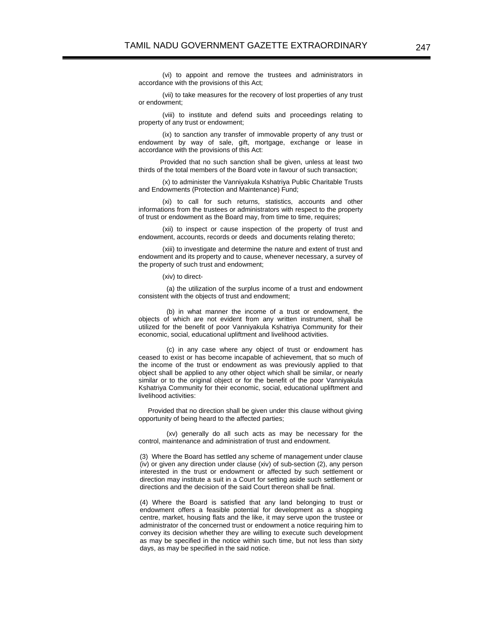(vi) to appoint and remove the trustees and administrators in accordance with the provisions of this Act;

(vii) to take measures for the recovery of lost properties of any trust or endowment;

(viii) to institute and defend suits and proceedings relating to property of any trust or endowment;

(ix) to sanction any transfer of immovable property of any trust or endowment by way of sale, gift, mortgage, exchange or lease in accordance with the provisions of this Act:

 Provided that no such sanction shall be given, unless at least two thirds of the total members of the Board vote in favour of such transaction;

(x) to administer the Vanniyakula Kshatriya Public Charitable Trusts and Endowments (Protection and Maintenance) Fund;

(xi) to call for such returns, statistics, accounts and other informations from the trustees or administrators with respect to the property of trust or endowment as the Board may, from time to time, requires;

(xii) to inspect or cause inspection of the property of trust and endowment, accounts, records or deeds and documents relating thereto;

(xiii) to investigate and determine the nature and extent of trust and endowment and its property and to cause, whenever necessary, a survey of the property of such trust and endowment;

(xiv) to direct-

 (a) the utilization of the surplus income of a trust and endowment consistent with the objects of trust and endowment;

 (b) in what manner the income of a trust or endowment, the objects of which are not evident from any written instrument, shall be utilized for the benefit of poor Vanniyakula Kshatriya Community for their economic, social, educational upliftment and livelihood activities.

 (c) in any case where any object of trust or endowment has ceased to exist or has become incapable of achievement, that so much of the income of the trust or endowment as was previously applied to that object shall be applied to any other object which shall be similar, or nearly similar or to the original object or for the benefit of the poor Vanniyakula Kshatriya Community for their economic, social, educational upliftment and livelihood activities:

 Provided that no direction shall be given under this clause without giving opportunity of being heard to the affected parties;

 (xv) generally do all such acts as may be necessary for the control, maintenance and administration of trust and endowment.

(3) Where the Board has settled any scheme of management under clause (iv) or given any direction under clause (xiv) of sub-section (2), any person interested in the trust or endowment or affected by such settlement or direction may institute a suit in a Court for setting aside such settlement or directions and the decision of the said Court thereon shall be final.

(4) Where the Board is satisfied that any land belonging to trust or endowment offers a feasible potential for development as a shopping centre, market, housing flats and the like, it may serve upon the trustee or administrator of the concerned trust or endowment a notice requiring him to convey its decision whether they are willing to execute such development as may be specified in the notice within such time, but not less than sixty days, as may be specified in the said notice.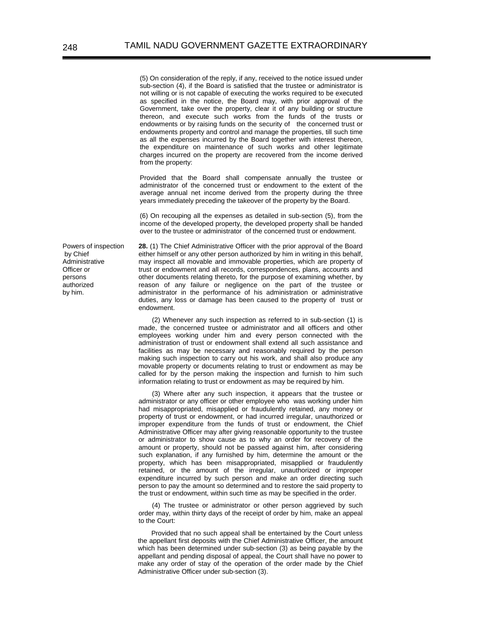(5) On consideration of the reply, if any, received to the notice issued under sub-section (4), if the Board is satisfied that the trustee or administrator is not willing or is not capable of executing the works required to be executed as specified in the notice, the Board may, with prior approval of the Government, take over the property, clear it of any building or structure thereon, and execute such works from the funds of the trusts or endowments or by raising funds on the security of the concerned trust or endowments property and control and manage the properties, till such time as all the expenses incurred by the Board together with interest thereon, the expenditure on maintenance of such works and other legitimate charges incurred on the property are recovered from the income derived from the property:

Provided that the Board shall compensate annually the trustee or administrator of the concerned trust or endowment to the extent of the average annual net income derived from the property during the three years immediately preceding the takeover of the property by the Board.

(6) On recouping all the expenses as detailed in sub-section (5), from the income of the developed property, the developed property shall be handed over to the trustee or administrator of the concerned trust or endowment.

Powers of inspection by Chief Administrative Officer or persons authorized by him.

**28.** (1) The Chief Administrative Officer with the prior approval of the Board either himself or any other person authorized by him in writing in this behalf, may inspect all movable and immovable properties, which are property of trust or endowment and all records, correspondences, plans, accounts and other documents relating thereto, for the purpose of examining whether, by reason of any failure or negligence on the part of the trustee or administrator in the performance of his administration or administrative duties, any loss or damage has been caused to the property of trust or endowment.

(2) Whenever any such inspection as referred to in sub-section (1) is made, the concerned trustee or administrator and all officers and other employees working under him and every person connected with the administration of trust or endowment shall extend all such assistance and facilities as may be necessary and reasonably required by the person making such inspection to carry out his work, and shall also produce any movable property or documents relating to trust or endowment as may be called for by the person making the inspection and furnish to him such information relating to trust or endowment as may be required by him.

(3) Where after any such inspection, it appears that the trustee or administrator or any officer or other employee who was working under him had misappropriated, misapplied or fraudulently retained, any money or property of trust or endowment, or had incurred irregular, unauthorized or improper expenditure from the funds of trust or endowment, the Chief Administrative Officer may after giving reasonable opportunity to the trustee or administrator to show cause as to why an order for recovery of the amount or property, should not be passed against him, after considering such explanation, if any furnished by him, determine the amount or the property, which has been misappropriated, misapplied or fraudulently retained, or the amount of the irregular, unauthorized or improper expenditure incurred by such person and make an order directing such person to pay the amount so determined and to restore the said property to the trust or endowment, within such time as may be specified in the order.

(4) The trustee or administrator or other person aggrieved by such order may, within thirty days of the receipt of order by him, make an appeal to the Court:

Provided that no such appeal shall be entertained by the Court unless the appellant first deposits with the Chief Administrative Officer, the amount which has been determined under sub-section (3) as being payable by the appellant and pending disposal of appeal, the Court shall have no power to make any order of stay of the operation of the order made by the Chief Administrative Officer under sub-section (3).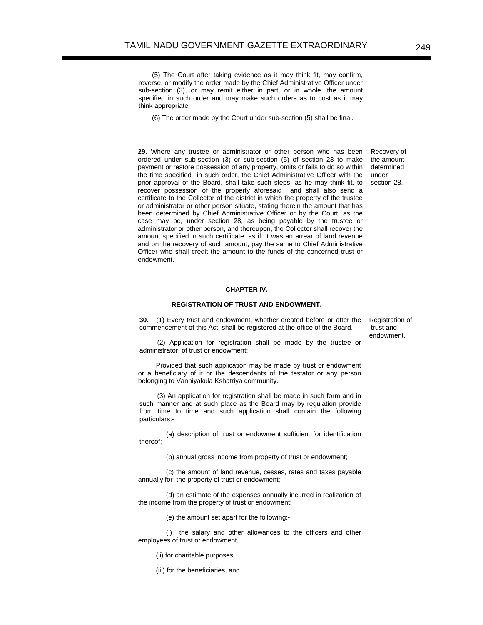(5) The Court after taking evidence as it may think fit, may confirm, reverse, or modify the order made by the Chief Administrative Officer under sub-section (3), or may remit either in part, or in whole, the amount specified in such order and may make such orders as to cost as it may think appropriate.

(6) The order made by the Court under sub-section (5) shall be final.

**29.** Where any trustee or administrator or other person who has been ordered under sub-section (3) or sub-section (5) of section 28 to make payment or restore possession of any property, omits or fails to do so within the time specified in such order, the Chief Administrative Officer with the prior approval of the Board, shall take such steps, as he may think fit, to recover possession of the property aforesaid and shall also send a certificate to the Collector of the district in which the property of the trustee or administrator or other person situate, stating therein the amount that has been determined by Chief Administrative Officer or by the Court, as the case may be, under section 28, as being payable by the trustee or administrator or other person, and thereupon, the Collector shall recover the amount specified in such certificate, as if, it was an arrear of land revenue and on the recovery of such amount, pay the same to Chief Administrative Officer who shall credit the amount to the funds of the concerned trust or endowment.

Recovery of the amount determined under section 28.

#### **CHAPTER IV.**

## **REGISTRATION OF TRUST AND ENDOWMENT.**

**30.** (1) Every trust and endowment, whether created before or after the commencement of this Act, shall be registered at the office of the Board.

Registration of trust and endowment.

(2) Application for registration shall be made by the trustee or administrator of trust or endowment:

Provided that such application may be made by trust or endowment or a beneficiary of it or the descendants of the testator or any person belonging to Vanniyakula Kshatriya community.

(3) An application for registration shall be made in such form and in such manner and at such place as the Board may by regulation provide from time to time and such application shall contain the following particulars:-

 (a) description of trust or endowment sufficient for identification thereof;

(b) annual gross income from property of trust or endowment;

 (c) the amount of land revenue, cesses, rates and taxes payable annually for the property of trust or endowment;

 (d) an estimate of the expenses annually incurred in realization of the income from the property of trust or endowment;

(e) the amount set apart for the following:-

 (i) the salary and other allowances to the officers and other employees of trust or endowment,

(ii) for charitable purposes,

(iii) for the beneficiaries, and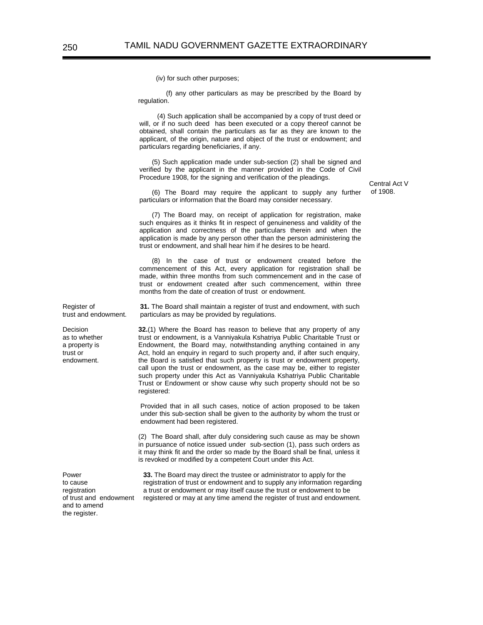(iv) for such other purposes;

 (f) any other particulars as may be prescribed by the Board by regulation.

(4) Such application shall be accompanied by a copy of trust deed or will, or if no such deed has been executed or a copy thereof cannot be obtained, shall contain the particulars as far as they are known to the applicant, of the origin, nature and object of the trust or endowment; and particulars regarding beneficiaries, if any.

(5) Such application made under sub-section (2) shall be signed and verified by the applicant in the manner provided in the Code of Civil Procedure 1908, for the signing and verification of the pleadings.

Central Act V of 1908.

(6) The Board may require the applicant to supply any further particulars or information that the Board may consider necessary.

(7) The Board may, on receipt of application for registration, make such enquires as it thinks fit in respect of genuineness and validity of the application and correctness of the particulars therein and when the application is made by any person other than the person administering the trust or endowment, and shall hear him if he desires to be heard.

(8) In the case of trust or endowment created before the commencement of this Act, every application for registration shall be made, within three months from such commencement and in the case of trust or endowment created after such commencement, within three months from the date of creation of trust or endowment.

Register of trust and endowment. **31.** The Board shall maintain a register of trust and endowment, with such particulars as may be provided by regulations.

> **32.**(1) Where the Board has reason to believe that any property of any trust or endowment, is a Vanniyakula Kshatriya Public Charitable Trust or Endowment, the Board may, notwithstanding anything contained in any Act, hold an enquiry in regard to such property and, if after such enquiry, the Board is satisfied that such property is trust or endowment property, call upon the trust or endowment, as the case may be, either to register such property under this Act as Vanniyakula Kshatriya Public Charitable Trust or Endowment or show cause why such property should not be so registered:

Provided that in all such cases, notice of action proposed to be taken under this sub-section shall be given to the authority by whom the trust or endowment had been registered.

(2) The Board shall, after duly considering such cause as may be shown in pursuance of notice issued under sub-section (1), pass such orders as it may think fit and the order so made by the Board shall be final, unless it is revoked or modified by a competent Court under this Act.

Power to cause registration of trust and endowment and to amend the register.

**33.** The Board may direct the trustee or administrator to apply for the registration of trust or endowment and to supply any information regarding a trust or endowment or may itself cause the trust or endowment to be registered or may at any time amend the register of trust and endowment.

Decision as to whether a property is trust or endowment.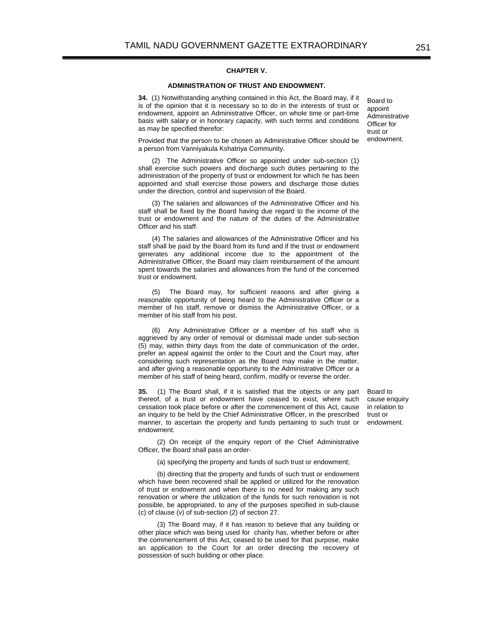#### **CHAPTER V.**

## **ADMINISTRATION OF TRUST AND ENDOWMENT.**

**34.** (1) Notwithstanding anything contained in this Act, the Board may, if it is of the opinion that it is necessary so to do in the interests of trust or endowment, appoint an Administrative Officer, on whole time or part-time basis with salary or in honorary capacity, with such terms and conditions as may be specified therefor:

Provided that the person to be chosen as Administrative Officer should be a person from Vanniyakula Kshatriya Community.

(2) The Administrative Officer so appointed under sub-section (1) shall exercise such powers and discharge such duties pertaining to the administration of the property of trust or endowment for which he has been appointed and shall exercise those powers and discharge those duties under the direction, control and supervision of the Board.

(3) The salaries and allowances of the Administrative Officer and his staff shall be fixed by the Board having due regard to the income of the trust or endowment and the nature of the duties of the Administrative Officer and his staff.

(4) The salaries and allowances of the Administrative Officer and his staff shall be paid by the Board from its fund and if the trust or endowment generates any additional income due to the appointment of the Administrative Officer, the Board may claim reimbursement of the amount spent towards the salaries and allowances from the fund of the concerned trust or endowment.

(5) The Board may, for sufficient reasons and after giving a reasonable opportunity of being heard to the Administrative Officer or a member of his staff, remove or dismiss the Administrative Officer, or a member of his staff from his post.

(6) Any Administrative Officer or a member of his staff who is aggrieved by any order of removal or dismissal made under sub-section (5) may, within thirty days from the date of communication of the order, prefer an appeal against the order to the Court and the Court may, after considering such representation as the Board may make in the matter, and after giving a reasonable opportunity to the Administrative Officer or a member of his staff of being heard, confirm, modify or reverse the order.

**35.** (1) The Board shall, if it is satisfied that the objects or any part thereof, of a trust or endowment have ceased to exist, where such cessation took place before or after the commencement of this Act, cause an inquiry to be held by the Chief Administrative Officer, in the prescribed manner, to ascertain the property and funds pertaining to such trust or endowment.

Board to cause enquiry in relation to trust or endowment.

(2) On receipt of the enquiry report of the Chief Administrative Officer, the Board shall pass an order-

(a) specifying the property and funds of such trust or endowment;

(b) directing that the property and funds of such trust or endowment which have been recovered shall be applied or utilized for the renovation of trust or endowment and when there is no need for making any such renovation or where the utilization of the funds for such renovation is not possible, be appropriated, to any of the purposes specified in sub-clause (c) of clause (v) of sub-section (2) of section 27.

(3) The Board may, if it has reason to believe that any building or other place which was being used for charity has, whether before or after the commencement of this Act, ceased to be used for that purpose, make an application to the Court for an order directing the recovery of possession of such building or other place.

Board to appoint Administrative Officer for trust or endowment.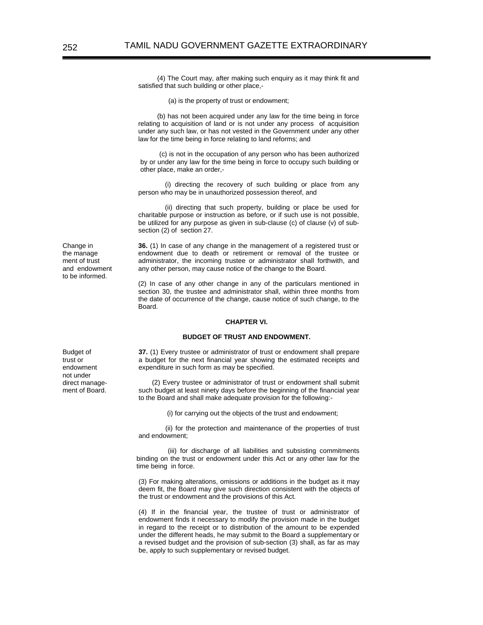(4) The Court may, after making such enquiry as it may think fit and satisfied that such building or other place,-

(a) is the property of trust or endowment;

(b) has not been acquired under any law for the time being in force relating to acquisition of land or is not under any process of acquisition under any such law, or has not vested in the Government under any other law for the time being in force relating to land reforms; and

(c) is not in the occupation of any person who has been authorized by or under any law for the time being in force to occupy such building or other place, make an order,-

 (i) directing the recovery of such building or place from any person who may be in unauthorized possession thereof, and

 (ii) directing that such property, building or place be used for charitable purpose or instruction as before, or if such use is not possible, be utilized for any purpose as given in sub-clause (c) of clause (v) of subsection (2) of section 27.

**36.** (1) In case of any change in the management of a registered trust or endowment due to death or retirement or removal of the trustee or administrator, the incoming trustee or administrator shall forthwith, and any other person, may cause notice of the change to the Board.

(2) In case of any other change in any of the particulars mentioned in section 30, the trustee and administrator shall, within three months from the date of occurrence of the change, cause notice of such change, to the Board.

#### **CHAPTER VI.**

#### **BUDGET OF TRUST AND ENDOWMENT.**

**37.** (1) Every trustee or administrator of trust or endowment shall prepare a budget for the next financial year showing the estimated receipts and expenditure in such form as may be specified.

(2) Every trustee or administrator of trust or endowment shall submit such budget at least ninety days before the beginning of the financial year to the Board and shall make adequate provision for the following:-

(i) for carrying out the objects of the trust and endowment;

 (ii) for the protection and maintenance of the properties of trust and endowment;

 (iii) for discharge of all liabilities and subsisting commitments binding on the trust or endowment under this Act or any other law for the time being in force.

(3) For making alterations, omissions or additions in the budget as it may deem fit, the Board may give such direction consistent with the objects of the trust or endowment and the provisions of this Act.

(4) If in the financial year, the trustee of trust or administrator of endowment finds it necessary to modify the provision made in the budget in regard to the receipt or to distribution of the amount to be expended under the different heads, he may submit to the Board a supplementary or a revised budget and the provision of sub-section (3) shall, as far as may be, apply to such supplementary or revised budget.

Budget of trust or endowment not under direct management of Board.

Change in the manage ment of trust and endowment to be informed.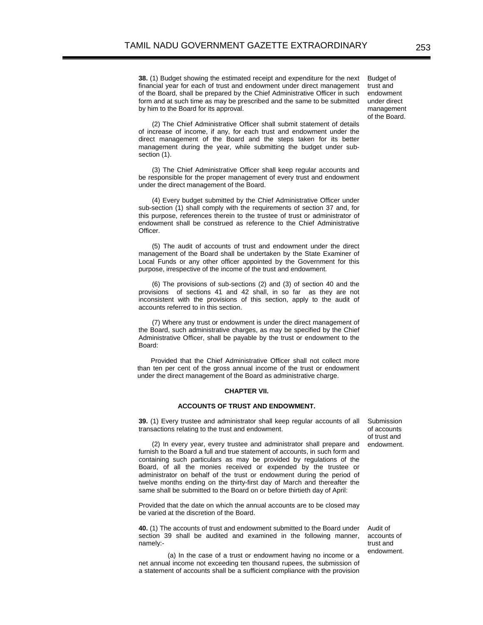**38.** (1) Budget showing the estimated receipt and expenditure for the next financial year for each of trust and endowment under direct management of the Board, shall be prepared by the Chief Administrative Officer in such form and at such time as may be prescribed and the same to be submitted by him to the Board for its approval.

Budget of trust and endowment under direct management of the Board.

(2) The Chief Administrative Officer shall submit statement of details of increase of income, if any, for each trust and endowment under the direct management of the Board and the steps taken for its better management during the year, while submitting the budget under subsection (1).

(3) The Chief Administrative Officer shall keep regular accounts and be responsible for the proper management of every trust and endowment under the direct management of the Board.

(4) Every budget submitted by the Chief Administrative Officer under sub-section (1) shall comply with the requirements of section 37 and, for this purpose, references therein to the trustee of trust or administrator of endowment shall be construed as reference to the Chief Administrative Officer.

(5) The audit of accounts of trust and endowment under the direct management of the Board shall be undertaken by the State Examiner of Local Funds or any other officer appointed by the Government for this purpose, irrespective of the income of the trust and endowment.

(6) The provisions of sub-sections (2) and (3) of section 40 and the provisions of sections 41 and 42 shall, in so far as they are not inconsistent with the provisions of this section, apply to the audit of accounts referred to in this section.

(7) Where any trust or endowment is under the direct management of the Board, such administrative charges, as may be specified by the Chief Administrative Officer, shall be payable by the trust or endowment to the Board:

Provided that the Chief Administrative Officer shall not collect more than ten per cent of the gross annual income of the trust or endowment under the direct management of the Board as administrative charge.

#### **CHAPTER VII.**

#### **ACCOUNTS OF TRUST AND ENDOWMENT.**

**39.** (1) Every trustee and administrator shall keep regular accounts of all transactions relating to the trust and endowment.

(2) In every year, every trustee and administrator shall prepare and furnish to the Board a full and true statement of accounts, in such form and containing such particulars as may be provided by regulations of the Board, of all the monies received or expended by the trustee or administrator on behalf of the trust or endowment during the period of twelve months ending on the thirty-first day of March and thereafter the same shall be submitted to the Board on or before thirtieth day of April:

Provided that the date on which the annual accounts are to be closed may be varied at the discretion of the Board.

**40.** (1) The accounts of trust and endowment submitted to the Board under section 39 shall be audited and examined in the following manner, namely:-

(a) In the case of a trust or endowment having no income or a net annual income not exceeding ten thousand rupees, the submission of a statement of accounts shall be a sufficient compliance with the provision

Submission of accounts of trust and endowment.

Audit of accounts of trust and endowment.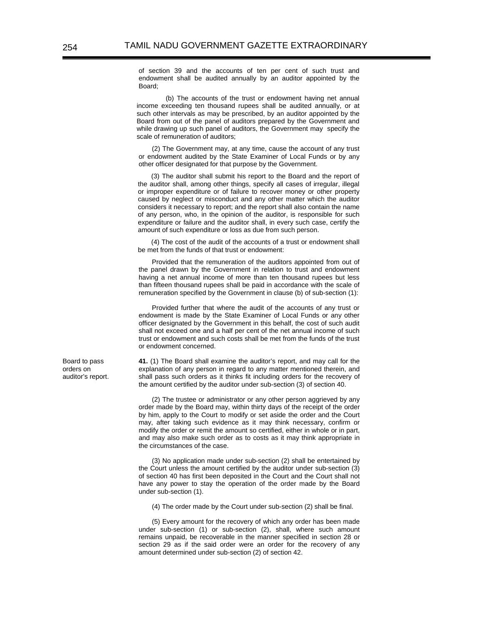of section 39 and the accounts of ten per cent of such trust and endowment shall be audited annually by an auditor appointed by the Board;

(b) The accounts of the trust or endowment having net annual income exceeding ten thousand rupees shall be audited annually, or at such other intervals as may be prescribed, by an auditor appointed by the Board from out of the panel of auditors prepared by the Government and while drawing up such panel of auditors, the Government may specify the scale of remuneration of auditors;

(2) The Government may, at any time, cause the account of any trust or endowment audited by the State Examiner of Local Funds or by any other officer designated for that purpose by the Government.

(3) The auditor shall submit his report to the Board and the report of the auditor shall, among other things, specify all cases of irregular, illegal or improper expenditure or of failure to recover money or other property caused by neglect or misconduct and any other matter which the auditor considers it necessary to report; and the report shall also contain the name of any person, who, in the opinion of the auditor, is responsible for such expenditure or failure and the auditor shall, in every such case, certify the amount of such expenditure or loss as due from such person.

(4) The cost of the audit of the accounts of a trust or endowment shall be met from the funds of that trust or endowment:

Provided that the remuneration of the auditors appointed from out of the panel drawn by the Government in relation to trust and endowment having a net annual income of more than ten thousand rupees but less than fifteen thousand rupees shall be paid in accordance with the scale of remuneration specified by the Government in clause (b) of sub-section (1):

Provided further that where the audit of the accounts of any trust or endowment is made by the State Examiner of Local Funds or any other officer designated by the Government in this behalf, the cost of such audit shall not exceed one and a half per cent of the net annual income of such trust or endowment and such costs shall be met from the funds of the trust or endowment concerned.

**41.** (1) The Board shall examine the auditor's report, and may call for the explanation of any person in regard to any matter mentioned therein, and shall pass such orders as it thinks fit including orders for the recovery of the amount certified by the auditor under sub-section (3) of section 40.

(2) The trustee or administrator or any other person aggrieved by any order made by the Board may, within thirty days of the receipt of the order by him, apply to the Court to modify or set aside the order and the Court may, after taking such evidence as it may think necessary, confirm or modify the order or remit the amount so certified, either in whole or in part, and may also make such order as to costs as it may think appropriate in the circumstances of the case.

(3) No application made under sub-section (2) shall be entertained by the Court unless the amount certified by the auditor under sub-section (3) of section 40 has first been deposited in the Court and the Court shall not have any power to stay the operation of the order made by the Board under sub-section (1).

(4) The order made by the Court under sub-section (2) shall be final.

(5) Every amount for the recovery of which any order has been made under sub-section (1) or sub-section (2), shall, where such amount remains unpaid, be recoverable in the manner specified in section 28 or section 29 as if the said order were an order for the recovery of any amount determined under sub-section (2) of section 42.

Board to pass orders on auditor's report.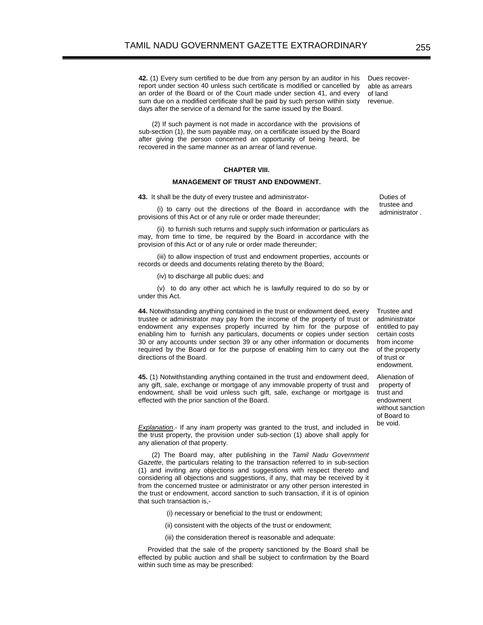**42.** (1) Every sum certified to be due from any person by an auditor in his report under section 40 unless such certificate is modified or cancelled by an order of the Board or of the Court made under section 41, and every sum due on a modified certificate shall be paid by such person within sixty days after the service of a demand for the same issued by the Board.

(2) If such payment is not made in accordance with the provisions of sub-section (1), the sum payable may, on a certificate issued by the Board after giving the person concerned an opportunity of being heard, be recovered in the same manner as an arrear of land revenue.

## **CHAPTER VIII.**

#### **MANAGEMENT OF TRUST AND ENDOWMENT.**

**43.** It shall be the duty of every trustee and administrator-

(i) to carry out the directions of the Board in accordance with the provisions of this Act or of any rule or order made thereunder;

(ii) to furnish such returns and supply such information or particulars as may, from time to time, be required by the Board in accordance with the provision of this Act or of any rule or order made thereunder;

(iii) to allow inspection of trust and endowment properties, accounts or records or deeds and documents relating thereto by the Board;

(iv) to discharge all public dues; and

(v) to do any other act which he is lawfully required to do so by or under this Act.

**44.** Notwithstanding anything contained in the trust or endowment deed, every trustee or administrator may pay from the income of the property of trust or endowment any expenses properly incurred by him for the purpose of enabling him to furnish any particulars, documents or copies under section 30 or any accounts under section 39 or any other information or documents required by the Board or for the purpose of enabling him to carry out the directions of the Board.

**45.** (1) Notwithstanding anything contained in the trust and endowment deed, any gift, sale, exchange or mortgage of any immovable property of trust and endowment, shall be void unless such gift, sale, exchange or mortgage is effected with the prior sanction of the Board.

*Explanation*.- If any *inam* property was granted to the trust, and included in the trust property, the provision under sub-section (1) above shall apply for any alienation of that property.

(2) The Board may, after publishing in the *Tamil Nadu Government Gazette*, the particulars relating to the transaction referred to in sub-section (1) and inviting any objections and suggestions with respect thereto and considering all objections and suggestions, if any, that may be received by it from the concerned trustee or administrator or any other person interested in the trust or endowment, accord sanction to such transaction, if it is of opinion that such transaction is,-

- (i) necessary or beneficial to the trust or endowment;
- (ii) consistent with the objects of the trust or endowment;
- (iii) the consideration thereof is reasonable and adequate:

 Provided that the sale of the property sanctioned by the Board shall be effected by public auction and shall be subject to confirmation by the Board within such time as may be prescribed:

Dues recoverable as arrears of land revenue.

> Duties of trustee and administrator .

Trustee and administrator entitled to pay certain costs from income of the property of trust or endowment.

Alienation of property of trust and endowment without sanction of Board to be void.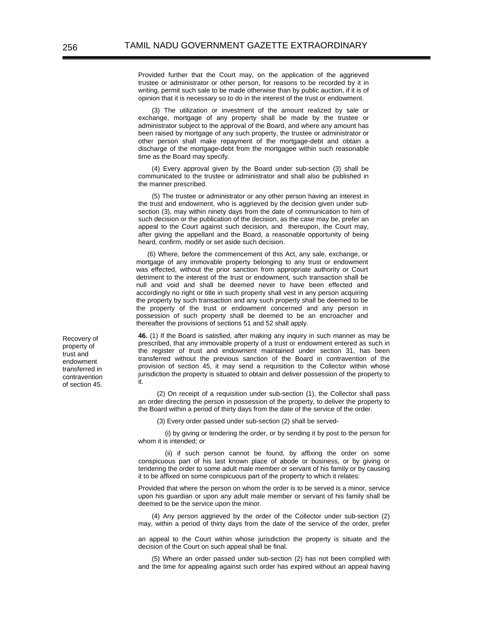Provided further that the Court may, on the application of the aggrieved trustee or administrator or other person, for reasons to be recorded by it in writing, permit such sale to be made otherwise than by public auction, if it is of opinion that it is necessary so to do in the interest of the trust or endowment.

(3) The utilization or investment of the amount realized by sale or exchange, mortgage of any property shall be made by the trustee or administrator subject to the approval of the Board, and where any amount has been raised by mortgage of any such property, the trustee or administrator or other person shall make repayment of the mortgage-debt and obtain a discharge of the mortgage-debt from the mortgagee within such reasonable time as the Board may specify.

(4) Every approval given by the Board under sub-section (3) shall be communicated to the trustee or administrator and shall also be published in the manner prescribed.

(5) The trustee or administrator or any other person having an interest in the trust and endowment, who is aggrieved by the decision given under subsection (3), may within ninety days from the date of communication to him of such decision or the publication of the decision, as the case may be, prefer an appeal to the Court against such decision, and thereupon, the Court may, after giving the appellant and the Board, a reasonable opportunity of being heard, confirm, modify or set aside such decision.

 (6) Where, before the commencement of this Act, any sale, exchange, or mortgage of any immovable property belonging to any trust or endowment was effected, without the prior sanction from appropriate authority or Court detriment to the interest of the trust or endowment, such transaction shall be null and void and shall be deemed never to have been effected and accordingly no right or title in such property shall vest in any person acquiring the property by such transaction and any such property shall be deemed to be the property of the trust or endowment concerned and any person in possession of such property shall be deemed to be an encroacher and thereafter the provisions of sections 51 and 52 shall apply.

**46.** (1) If the Board is satisfied, after making any inquiry in such manner as may be prescribed, that any immovable property of a trust or endowment entered as such in the register of trust and endowment maintained under section 31, has been transferred without the previous sanction of the Board in contravention of the provision of section 45, it may send a requisition to the Collector within whose jurisdiction the property is situated to obtain and deliver possession of the property to it.

(2) On receipt of a requisition under sub-section (1), the Collector shall pass an order directing the person in possession of the property, to deliver the property to the Board within a period of thirty days from the date of the service of the order.

(3) Every order passed under sub-section (2) shall be served-

 (i) by giving or tendering the order, or by sending it by post to the person for whom it is intended; or

 (ii) if such person cannot be found, by affixing the order on some conspicuous part of his last known place of abode or business, or by giving or tendering the order to some adult male member or servant of his family or by causing it to be affixed on some conspicuous part of the property to which it relates:

Provided that where the person on whom the order is to be served is a minor, service upon his guardian or upon any adult male member or servant of his family shall be deemed to be the service upon the minor.

(4) Any person aggrieved by the order of the Collector under sub-section (2) may, within a period of thirty days from the date of the service of the order, prefer

an appeal to the Court within whose jurisdiction the property is situate and the decision of the Court on such appeal shall be final.

(5) Where an order passed under sub-section (2) has not been complied with and the time for appealing against such order has expired without an appeal having

Recovery of property of trust and endowment transferred in contravention of section 45.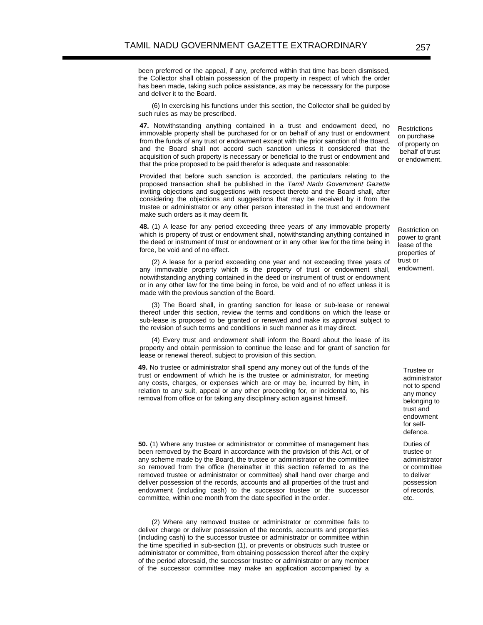been preferred or the appeal, if any, preferred within that time has been dismissed, the Collector shall obtain possession of the property in respect of which the order has been made, taking such police assistance, as may be necessary for the purpose and deliver it to the Board.

(6) In exercising his functions under this section, the Collector shall be guided by such rules as may be prescribed.

**47.** Notwithstanding anything contained in a trust and endowment deed, no immovable property shall be purchased for or on behalf of any trust or endowment from the funds of any trust or endowment except with the prior sanction of the Board, and the Board shall not accord such sanction unless it considered that the acquisition of such property is necessary or beneficial to the trust or endowment and that the price proposed to be paid therefor is adequate and reasonable:

Provided that before such sanction is accorded, the particulars relating to the proposed transaction shall be published in the *Tamil Nadu Government Gazette* inviting objections and suggestions with respect thereto and the Board shall, after considering the objections and suggestions that may be received by it from the trustee or administrator or any other person interested in the trust and endowment make such orders as it may deem fit.

 **48.** (1) A lease for any period exceeding three years of any immovable property which is property of trust or endowment shall, notwithstanding anything contained in the deed or instrument of trust or endowment or in any other law for the time being in force, be void and of no effect.

(2) A lease for a period exceeding one year and not exceeding three years of any immovable property which is the property of trust or endowment shall, notwithstanding anything contained in the deed or instrument of trust or endowment or in any other law for the time being in force, be void and of no effect unless it is made with the previous sanction of the Board.

(3) The Board shall, in granting sanction for lease or sub-lease or renewal thereof under this section, review the terms and conditions on which the lease or sub-lease is proposed to be granted or renewed and make its approval subject to the revision of such terms and conditions in such manner as it may direct.

(4) Every trust and endowment shall inform the Board about the lease of its property and obtain permission to continue the lease and for grant of sanction for lease or renewal thereof, subject to provision of this section.

**49.** No trustee or administrator shall spend any money out of the funds of the trust or endowment of which he is the trustee or administrator, for meeting any costs, charges, or expenses which are or may be, incurred by him, in relation to any suit, appeal or any other proceeding for, or incidental to, his removal from office or for taking any disciplinary action against himself.

 **50.** (1) Where any trustee or administrator or committee of management has been removed by the Board in accordance with the provision of this Act, or of any scheme made by the Board, the trustee or administrator or the committee so removed from the office (hereinafter in this section referred to as the removed trustee or administrator or committee) shall hand over charge and deliver possession of the records, accounts and all properties of the trust and endowment (including cash) to the successor trustee or the successor committee, within one month from the date specified in the order.

(2) Where any removed trustee or administrator or committee fails to deliver charge or deliver possession of the records, accounts and properties (including cash) to the successor trustee or administrator or committee within the time specified in sub-section (1), or prevents or obstructs such trustee or administrator or committee, from obtaining possession thereof after the expiry of the period aforesaid, the successor trustee or administrator or any member of the successor committee may make an application accompanied by a

Restrictions on purchase of property on behalf of trust or endowment.

Restriction on power to grant lease of the properties of trust or endowment.

> Trustee or administrator not to spend any money belonging to trust and endowment for selfdefence.

> Duties of trustee or administrator or committee to deliver possession of records, etc.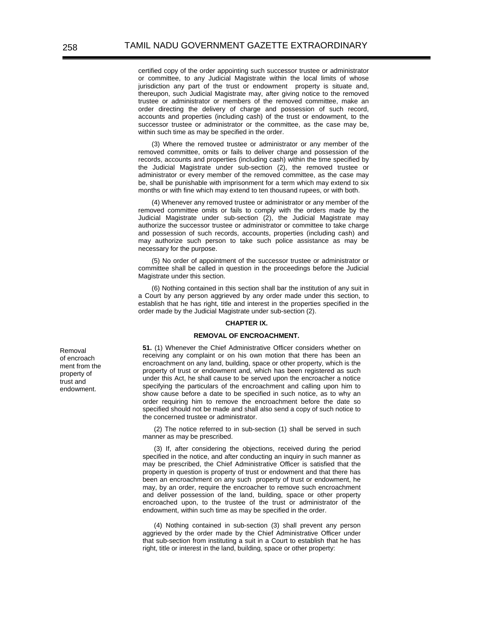certified copy of the order appointing such successor trustee or administrator or committee, to any Judicial Magistrate within the local limits of whose jurisdiction any part of the trust or endowment property is situate and, thereupon, such Judicial Magistrate may, after giving notice to the removed trustee or administrator or members of the removed committee, make an order directing the delivery of charge and possession of such record, accounts and properties (including cash) of the trust or endowment, to the successor trustee or administrator or the committee, as the case may be, within such time as may be specified in the order.

(3) Where the removed trustee or administrator or any member of the removed committee, omits or fails to deliver charge and possession of the records, accounts and properties (including cash) within the time specified by the Judicial Magistrate under sub-section (2), the removed trustee or administrator or every member of the removed committee, as the case may be, shall be punishable with imprisonment for a term which may extend to six months or with fine which may extend to ten thousand rupees, or with both.

(4) Whenever any removed trustee or administrator or any member of the removed committee omits or fails to comply with the orders made by the Judicial Magistrate under sub-section (2), the Judicial Magistrate may authorize the successor trustee or administrator or committee to take charge and possession of such records, accounts, properties (including cash) and may authorize such person to take such police assistance as may be necessary for the purpose.

(5) No order of appointment of the successor trustee or administrator or committee shall be called in question in the proceedings before the Judicial Magistrate under this section.

(6) Nothing contained in this section shall bar the institution of any suit in a Court by any person aggrieved by any order made under this section, to establish that he has right, title and interest in the properties specified in the order made by the Judicial Magistrate under sub-section (2).

## **CHAPTER IX.**

#### **REMOVAL OF ENCROACHMENT.**

**51.** (1) Whenever the Chief Administrative Officer considers whether on receiving any complaint or on his own motion that there has been an encroachment on any land, building, space or other property, which is the property of trust or endowment and, which has been registered as such under this Act, he shall cause to be served upon the encroacher a notice specifying the particulars of the encroachment and calling upon him to show cause before a date to be specified in such notice, as to why an order requiring him to remove the encroachment before the date so specified should not be made and shall also send a copy of such notice to the concerned trustee or administrator.

(2) The notice referred to in sub-section (1) shall be served in such manner as may be prescribed.

(3) If, after considering the objections, received during the period specified in the notice, and after conducting an inquiry in such manner as may be prescribed, the Chief Administrative Officer is satisfied that the property in question is property of trust or endowment and that there has been an encroachment on any such property of trust or endowment, he may, by an order, require the encroacher to remove such encroachment and deliver possession of the land, building, space or other property encroached upon, to the trustee of the trust or administrator of the endowment, within such time as may be specified in the order.

(4) Nothing contained in sub-section (3) shall prevent any person aggrieved by the order made by the Chief Administrative Officer under that sub-section from instituting a suit in a Court to establish that he has right, title or interest in the land, building, space or other property:

Removal of encroach ment from the property of trust and endowment.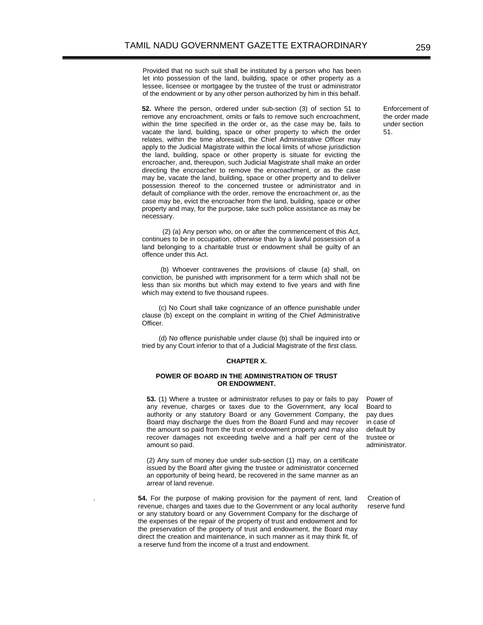Provided that no such suit shall be instituted by a person who has been let into possession of the land, building, space or other property as a lessee, licensee or mortgagee by the trustee of the trust or administrator of the endowment or by any other person authorized by him in this behalf.

**52.** Where the person, ordered under sub-section (3) of section 51 to remove any encroachment, omits or fails to remove such encroachment, within the time specified in the order or, as the case may be, fails to vacate the land, building, space or other property to which the order relates, within the time aforesaid, the Chief Administrative Officer may apply to the Judicial Magistrate within the local limits of whose jurisdiction the land, building, space or other property is situate for evicting the encroacher, and, thereupon, such Judicial Magistrate shall make an order directing the encroacher to remove the encroachment, or as the case may be, vacate the land, building, space or other property and to deliver possession thereof to the concerned trustee or administrator and in default of compliance with the order, remove the encroachment or, as the case may be, evict the encroacher from the land, building, space or other property and may, for the purpose, take such police assistance as may be necessary.

 (2) (a) Any person who, on or after the commencement of this Act, continues to be in occupation, otherwise than by a lawful possession of a land belonging to a charitable trust or endowment shall be guilty of an offence under this Act.

 (b) Whoever contravenes the provisions of clause (a) shall, on conviction, be punished with imprisonment for a term which shall not be less than six months but which may extend to five years and with fine which may extend to five thousand rupees.

 (c) No Court shall take cognizance of an offence punishable under clause (b) except on the complaint in writing of the Chief Administrative Officer.

 (d) No offence punishable under clause (b) shall be inquired into or tried by any Court inferior to that of a Judicial Magistrate of the first class.

## **CHAPTER X.**

# **POWER OF BOARD IN THE ADMINISTRATION OF TRUST OR ENDOWMENT.**

**53.** (1) Where a trustee or administrator refuses to pay or fails to pay any revenue, charges or taxes due to the Government, any local authority or any statutory Board or any Government Company, the Board may discharge the dues from the Board Fund and may recover the amount so paid from the trust or endowment property and may also recover damages not exceeding twelve and a half per cent of the amount so paid.

(2) Any sum of money due under sub-section (1) may, on a certificate issued by the Board after giving the trustee or administrator concerned an opportunity of being heard, be recovered in the same manner as an arrear of land revenue.

. **54.** For the purpose of making provision for the payment of rent, land revenue, charges and taxes due to the Government or any local authority or any statutory board or any Government Company for the discharge of the expenses of the repair of the property of trust and endowment and for the preservation of the property of trust and endowment, the Board may direct the creation and maintenance, in such manner as it may think fit, of a reserve fund from the income of a trust and endowment.

Power of Board to pay dues in case of default by trustee or administrator.

Creation of reserve fund

Enforcement of the order made under section 51.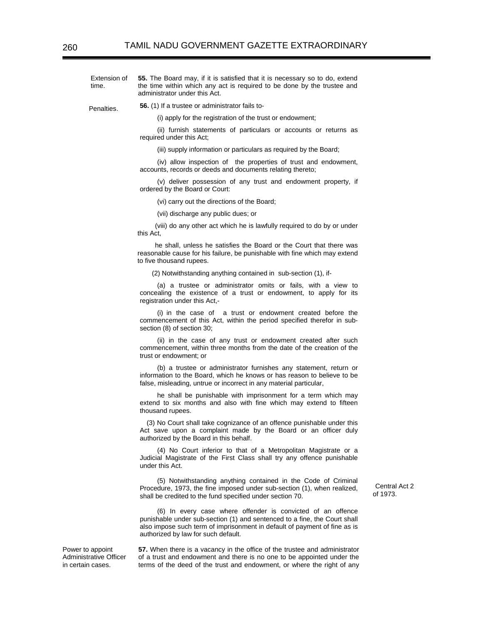Extension of time. **55.** The Board may, if it is satisfied that it is necessary so to do, extend the time within which any act is required to be done by the trustee and administrator under this Act.

Penalties. **56.** (1) If a trustee or administrator fails to-

(i) apply for the registration of the trust or endowment;

(ii) furnish statements of particulars or accounts or returns as required under this Act;

(iii) supply information or particulars as required by the Board;

(iv) allow inspection of the properties of trust and endowment, accounts, records or deeds and documents relating thereto;

(v) deliver possession of any trust and endowment property, if ordered by the Board or Court:

(vi) carry out the directions of the Board;

(vii) discharge any public dues; or

(viii) do any other act which he is lawfully required to do by or under this Act,

he shall, unless he satisfies the Board or the Court that there was reasonable cause for his failure, be punishable with fine which may extend to five thousand rupees.

(2) Notwithstanding anything contained in sub-section (1), if-

(a) a trustee or administrator omits or fails, with a view to concealing the existence of a trust or endowment, to apply for its registration under this Act,-

(i) in the case of a trust or endowment created before the commencement of this Act, within the period specified therefor in subsection (8) of section 30;

(ii) in the case of any trust or endowment created after such commencement, within three months from the date of the creation of the trust or endowment; or

(b) a trustee or administrator furnishes any statement, return or information to the Board, which he knows or has reason to believe to be false, misleading, untrue or incorrect in any material particular,

he shall be punishable with imprisonment for a term which may extend to six months and also with fine which may extend to fifteen thousand rupees.

(3) No Court shall take cognizance of an offence punishable under this Act save upon a complaint made by the Board or an officer duly authorized by the Board in this behalf.

(4) No Court inferior to that of a Metropolitan Magistrate or a Judicial Magistrate of the First Class shall try any offence punishable under this Act.

(5) Notwithstanding anything contained in the Code of Criminal Procedure, 1973, the fine imposed under sub-section (1), when realized, shall be credited to the fund specified under section 70.

(6) In every case where offender is convicted of an offence punishable under sub-section (1) and sentenced to a fine, the Court shall also impose such term of imprisonment in default of payment of fine as is authorized by law for such default.

Power to appoint Administrative Officer in certain cases.

**57.** When there is a vacancy in the office of the trustee and administrator of a trust and endowment and there is no one to be appointed under the terms of the deed of the trust and endowment, or where the right of any

Central Act 2 of 1973.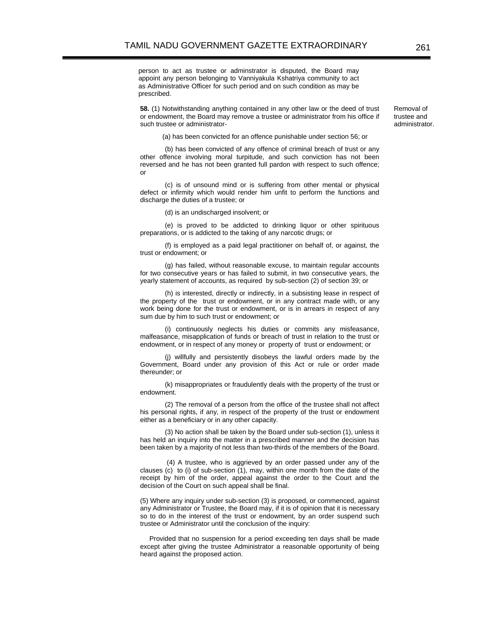person to act as trustee or adminstrator is disputed, the Board may appoint any person belonging to Vanniyakula Kshatriya community to act as Administrative Officer for such period and on such condition as may be prescribed.

**58.** (1) Notwithstanding anything contained in any other law or the deed of trust or endowment, the Board may remove a trustee or administrator from his office if such trustee or administrator-

(a) has been convicted for an offence punishable under section 56; or

(b) has been convicted of any offence of criminal breach of trust or any other offence involving moral turpitude, and such conviction has not been reversed and he has not been granted full pardon with respect to such offence; or

(c) is of unsound mind or is suffering from other mental or physical defect or infirmity which would render him unfit to perform the functions and discharge the duties of a trustee; or

(d) is an undischarged insolvent; or

(e) is proved to be addicted to drinking liquor or other spirituous preparations, or is addicted to the taking of any narcotic drugs; or

(f) is employed as a paid legal practitioner on behalf of, or against, the trust or endowment; or

(g) has failed, without reasonable excuse, to maintain regular accounts for two consecutive years or has failed to submit, in two consecutive years, the yearly statement of accounts, as required by sub-section (2) of section 39; or

(h) is interested, directly or indirectly, in a subsisting lease in respect of the property of the trust or endowment, or in any contract made with, or any work being done for the trust or endowment, or is in arrears in respect of any sum due by him to such trust or endowment; or

(i) continuously neglects his duties or commits any misfeasance, malfeasance, misapplication of funds or breach of trust in relation to the trust or endowment, or in respect of any money or property of trust or endowment; or

(j) willfully and persistently disobeys the lawful orders made by the Government, Board under any provision of this Act or rule or order made thereunder; or

(k) misappropriates or fraudulently deals with the property of the trust or endowment.

(2) The removal of a person from the office of the trustee shall not affect his personal rights, if any, in respect of the property of the trust or endowment either as a beneficiary or in any other capacity.

(3) No action shall be taken by the Board under sub-section (1), unless it has held an inquiry into the matter in a prescribed manner and the decision has been taken by a majority of not less than two-thirds of the members of the Board.

 (4) A trustee, who is aggrieved by an order passed under any of the clauses (c) to (i) of sub-section (1), may, within one month from the date of the receipt by him of the order, appeal against the order to the Court and the decision of the Court on such appeal shall be final.

(5) Where any inquiry under sub-section (3) is proposed, or commenced, against any Administrator or Trustee, the Board may, if it is of opinion that it is necessary so to do in the interest of the trust or endowment, by an order suspend such trustee or Administrator until the conclusion of the inquiry:

 Provided that no suspension for a period exceeding ten days shall be made except after giving the trustee Administrator a reasonable opportunity of being heard against the proposed action.

Removal of trustee and administrator.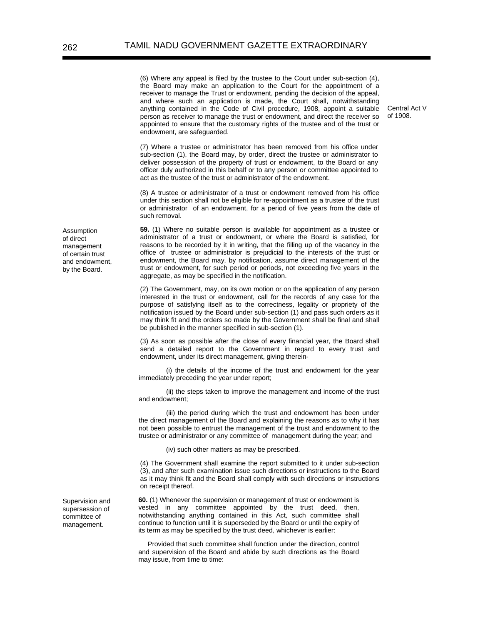(6) Where any appeal is filed by the trustee to the Court under sub-section (4), the Board may make an application to the Court for the appointment of a receiver to manage the Trust or endowment, pending the decision of the appeal, and where such an application is made, the Court shall, notwithstanding anything contained in the Code of Civil procedure, 1908, appoint a suitable person as receiver to manage the trust or endowment, and direct the receiver so appointed to ensure that the customary rights of the trustee and of the trust or endowment, are safeguarded.

Central Act V of 1908.

(7) Where a trustee or administrator has been removed from his office under sub-section (1), the Board may, by order, direct the trustee or administrator to deliver possession of the property of trust or endowment, to the Board or any officer duly authorized in this behalf or to any person or committee appointed to act as the trustee of the trust or administrator of the endowment.

(8) A trustee or administrator of a trust or endowment removed from his office under this section shall not be eligible for re-appointment as a trustee of the trust or administrator of an endowment, for a period of five years from the date of such removal.

**59.** (1) Where no suitable person is available for appointment as a trustee or administrator of a trust or endowment, or where the Board is satisfied, for reasons to be recorded by it in writing, that the filling up of the vacancy in the office of trustee or administrator is prejudicial to the interests of the trust or endowment, the Board may, by notification, assume direct management of the trust or endowment, for such period or periods, not exceeding five years in the aggregate, as may be specified in the notification.

(2) The Government, may, on its own motion or on the application of any person interested in the trust or endowment, call for the records of any case for the purpose of satisfying itself as to the correctness, legality or propriety of the notification issued by the Board under sub-section (1) and pass such orders as it may think fit and the orders so made by the Government shall be final and shall be published in the manner specified in sub-section (1).

(3) As soon as possible after the close of every financial year, the Board shall send a detailed report to the Government in regard to every trust and endowment, under its direct management, giving therein-

 (i) the details of the income of the trust and endowment for the year immediately preceding the year under report;

 (ii) the steps taken to improve the management and income of the trust and endowment;

 (iii) the period during which the trust and endowment has been under the direct management of the Board and explaining the reasons as to why it has not been possible to entrust the management of the trust and endowment to the trustee or administrator or any committee of management during the year; and

(iv) such other matters as may be prescribed.

(4) The Government shall examine the report submitted to it under sub-section (3), and after such examination issue such directions or instructions to the Board as it may think fit and the Board shall comply with such directions or instructions on receipt thereof.

**60.** (1) Whenever the supervision or management of trust or endowment is vested in any committee appointed by the trust deed, then, notwithstanding anything contained in this Act, such committee shall continue to function until it is superseded by the Board or until the expiry of its term as may be specified by the trust deed, whichever is earlier:

 Provided that such committee shall function under the direction, control and supervision of the Board and abide by such directions as the Board may issue, from time to time:

Assumption of direct management of certain trust and endowment, by the Board.

Supervision and supersession of committee of management.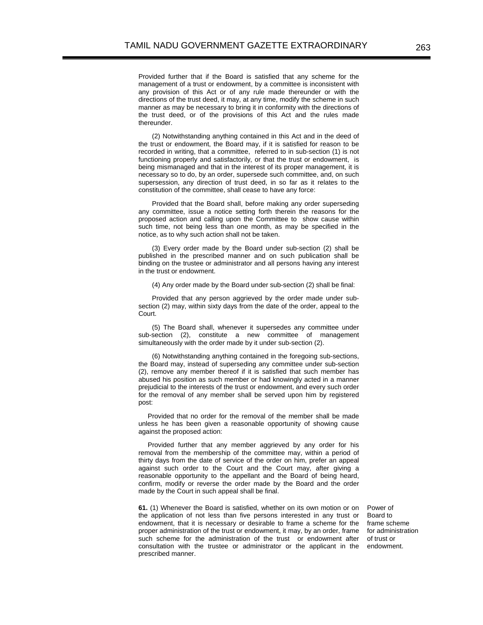Provided further that if the Board is satisfied that any scheme for the management of a trust or endowment, by a committee is inconsistent with any provision of this Act or of any rule made thereunder or with the directions of the trust deed, it may, at any time, modify the scheme in such manner as may be necessary to bring it in conformity with the directions of the trust deed, or of the provisions of this Act and the rules made thereunder.

(2) Notwithstanding anything contained in this Act and in the deed of the trust or endowment, the Board may, if it is satisfied for reason to be recorded in writing, that a committee, referred to in sub-section (1) is not functioning properly and satisfactorily, or that the trust or endowment, is being mismanaged and that in the interest of its proper management, it is necessary so to do, by an order, supersede such committee, and, on such supersession, any direction of trust deed, in so far as it relates to the constitution of the committee, shall cease to have any force:

Provided that the Board shall, before making any order superseding any committee, issue a notice setting forth therein the reasons for the proposed action and calling upon the Committee to show cause within such time, not being less than one month, as may be specified in the notice, as to why such action shall not be taken.

(3) Every order made by the Board under sub-section (2) shall be published in the prescribed manner and on such publication shall be binding on the trustee or administrator and all persons having any interest in the trust or endowment.

(4) Any order made by the Board under sub-section (2) shall be final:

Provided that any person aggrieved by the order made under subsection (2) may, within sixty days from the date of the order, appeal to the Court.

(5) The Board shall, whenever it supersedes any committee under sub-section (2), constitute a new committee of management simultaneously with the order made by it under sub-section (2).

(6) Notwithstanding anything contained in the foregoing sub-sections, the Board may, instead of superseding any committee under sub-section (2), remove any member thereof if it is satisfied that such member has abused his position as such member or had knowingly acted in a manner prejudicial to the interests of the trust or endowment, and every such order for the removal of any member shall be served upon him by registered post:

 Provided that no order for the removal of the member shall be made unless he has been given a reasonable opportunity of showing cause against the proposed action:

 Provided further that any member aggrieved by any order for his removal from the membership of the committee may, within a period of thirty days from the date of service of the order on him, prefer an appeal against such order to the Court and the Court may, after giving a reasonable opportunity to the appellant and the Board of being heard, confirm, modify or reverse the order made by the Board and the order made by the Court in such appeal shall be final.

**61.** (1) Whenever the Board is satisfied, whether on its own motion or on the application of not less than five persons interested in any trust or endowment, that it is necessary or desirable to frame a scheme for the proper administration of the trust or endowment, it may, by an order, frame such scheme for the administration of the trust or endowment after consultation with the trustee or administrator or the applicant in the prescribed manner.

Power of Board to frame scheme for administration of trust or endowment.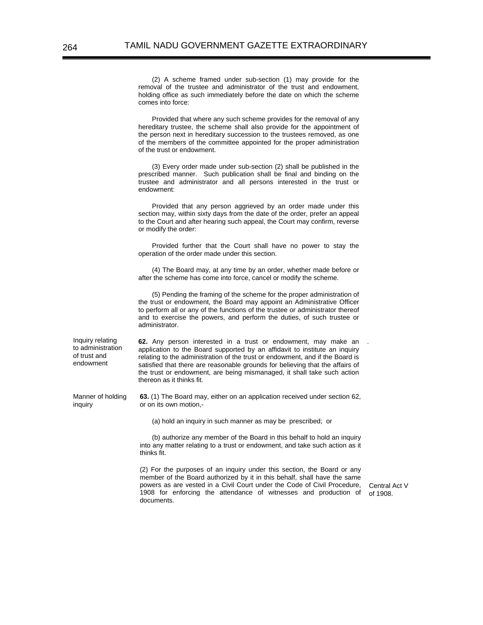(2) A scheme framed under sub-section (1) may provide for the removal of the trustee and administrator of the trust and endowment, holding office as such immediately before the date on which the scheme comes into force:

Provided that where any such scheme provides for the removal of any hereditary trustee, the scheme shall also provide for the appointment of the person next in hereditary succession to the trustees removed, as one of the members of the committee appointed for the proper administration of the trust or endowment.

(3) Every order made under sub-section (2) shall be published in the prescribed manner. Such publication shall be final and binding on the trustee and administrator and all persons interested in the trust or endowment:

Provided that any person aggrieved by an order made under this section may, within sixty days from the date of the order, prefer an appeal to the Court and after hearing such appeal, the Court may confirm, reverse or modify the order:

Provided further that the Court shall have no power to stay the operation of the order made under this section.

(4) The Board may, at any time by an order, whether made before or after the scheme has come into force, cancel or modify the scheme.

(5) Pending the framing of the scheme for the proper administration of the trust or endowment, the Board may appoint an Administrative Officer to perform all or any of the functions of the trustee or administrator thereof and to exercise the powers, and perform the duties, of such trustee or administrator.

Inquiry relating to administration of trust and endowment

inquiry

**62.** Any person interested in a trust or endowment, may make an application to the Board supported by an affidavit to institute an inquiry relating to the administration of the trust or endowment, and if the Board is satisfied that there are reasonable grounds for believing that the affairs of the trust or endowment, are being mismanaged, it shall take such action thereon as it thinks fit.

 Manner of holding **63.** (1) The Board may, either on an application received under section 62, or on its own motion,-

(a) hold an inquiry in such manner as may be prescribed; or

(b) authorize any member of the Board in this behalf to hold an inquiry into any matter relating to a trust or endowment, and take such action as it thinks fit.

(2) For the purposes of an inquiry under this section, the Board or any member of the Board authorized by it in this behalf, shall have the same powers as are vested in a Civil Court under the Code of Civil Procedure, 1908 for enforcing the attendance of witnesses and production of documents.

Central Act V of 1908.

.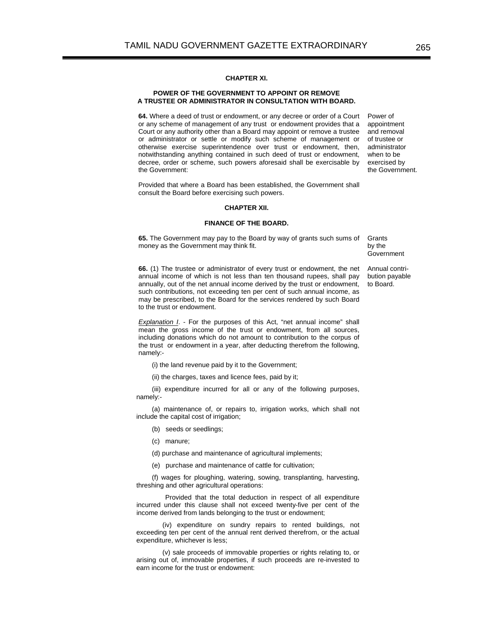# **CHAPTER XI.**

### **POWER OF THE GOVERNMENT TO APPOINT OR REMOVE A TRUSTEE OR ADMINISTRATOR IN CONSULTATION WITH BOARD.**

**64.** Where a deed of trust or endowment, or any decree or order of a Court or any scheme of management of any trust or endowment provides that a Court or any authority other than a Board may appoint or remove a trustee or administrator or settle or modify such scheme of management or otherwise exercise superintendence over trust or endowment, then, notwithstanding anything contained in such deed of trust or endowment, decree, order or scheme, such powers aforesaid shall be exercisable by the Government:

Power of appointment and removal of trustee or administrator when to be exercised by the Government.

Provided that where a Board has been established, the Government shall consult the Board before exercising such powers.

#### **CHAPTER XII.**

#### **FINANCE OF THE BOARD.**

**65.** The Government may pay to the Board by way of grants such sums of money as the Government may think fit.

**Grants** by the Government

Annual contribution payable to Board.

**66.** (1) The trustee or administrator of every trust or endowment, the net annual income of which is not less than ten thousand rupees, shall pay annually, out of the net annual income derived by the trust or endowment, such contributions, not exceeding ten per cent of such annual income, as may be prescribed, to the Board for the services rendered by such Board to the trust or endowment.

**Explanation I.** - For the purposes of this Act, "net annual income" shall mean the gross income of the trust or endowment, from all sources, including donations which do not amount to contribution to the corpus of the trust or endowment in a year, after deducting therefrom the following,

(i) the land revenue paid by it to the Government;

(ii) the charges, taxes and licence fees, paid by it;

(iii) expenditure incurred for all or any of the following purposes, namely:-

(a) maintenance of, or repairs to, irrigation works, which shall not include the capital cost of irrigation;

- (b) seeds or seedlings;
- (c) manure;

namely:-

- (d) purchase and maintenance of agricultural implements;
- (e) purchase and maintenance of cattle for cultivation;

(f) wages for ploughing, watering, sowing, transplanting, harvesting, threshing and other agricultural operations:

 Provided that the total deduction in respect of all expenditure incurred under this clause shall not exceed twenty-five per cent of the income derived from lands belonging to the trust or endowment;

(iv) expenditure on sundry repairs to rented buildings, not exceeding ten per cent of the annual rent derived therefrom, or the actual expenditure, whichever is less;

(v) sale proceeds of immovable properties or rights relating to, or arising out of, immovable properties, if such proceeds are re-invested to earn income for the trust or endowment: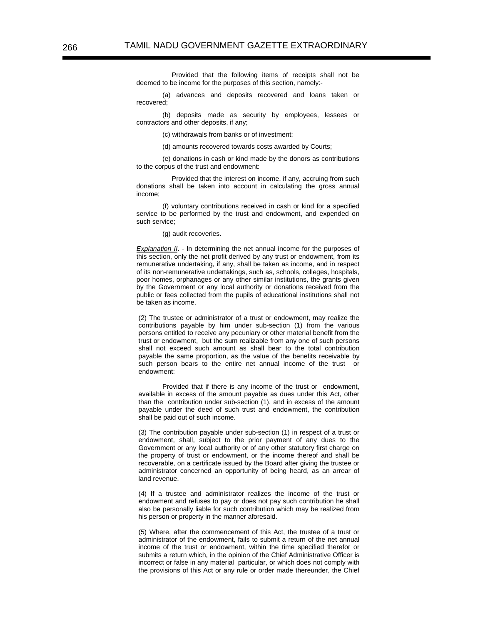Provided that the following items of receipts shall not be deemed to be income for the purposes of this section, namely:-

(a) advances and deposits recovered and loans taken or recovered;

(b) deposits made as security by employees, lessees or contractors and other deposits, if any;

(c) withdrawals from banks or of investment;

(d) amounts recovered towards costs awarded by Courts;

(e) donations in cash or kind made by the donors as contributions to the corpus of the trust and endowment:

 Provided that the interest on income, if any, accruing from such donations shall be taken into account in calculating the gross annual income;

(f) voluntary contributions received in cash or kind for a specified service to be performed by the trust and endowment, and expended on such service;

#### (g) audit recoveries.

*Explanation II*. - In determining the net annual income for the purposes of this section, only the net profit derived by any trust or endowment, from its remunerative undertaking, if any, shall be taken as income, and in respect of its non-remunerative undertakings, such as, schools, colleges, hospitals, poor homes, orphanages or any other similar institutions, the grants given by the Government or any local authority or donations received from the public or fees collected from the pupils of educational institutions shall not be taken as income.

(2) The trustee or administrator of a trust or endowment, may realize the contributions payable by him under sub-section (1) from the various persons entitled to receive any pecuniary or other material benefit from the trust or endowment, but the sum realizable from any one of such persons shall not exceed such amount as shall bear to the total contribution payable the same proportion, as the value of the benefits receivable by such person bears to the entire net annual income of the trust or endowment:

Provided that if there is any income of the trust or endowment, available in excess of the amount payable as dues under this Act, other than the contribution under sub-section (1), and in excess of the amount payable under the deed of such trust and endowment, the contribution shall be paid out of such income.

(3) The contribution payable under sub-section (1) in respect of a trust or endowment, shall, subject to the prior payment of any dues to the Government or any local authority or of any other statutory first charge on the property of trust or endowment, or the income thereof and shall be recoverable, on a certificate issued by the Board after giving the trustee or administrator concerned an opportunity of being heard, as an arrear of land revenue.

(4) If a trustee and administrator realizes the income of the trust or endowment and refuses to pay or does not pay such contribution he shall also be personally liable for such contribution which may be realized from his person or property in the manner aforesaid.

(5) Where, after the commencement of this Act, the trustee of a trust or administrator of the endowment, fails to submit a return of the net annual income of the trust or endowment, within the time specified therefor or submits a return which, in the opinion of the Chief Administrative Officer is incorrect or false in any material particular, or which does not comply with the provisions of this Act or any rule or order made thereunder, the Chief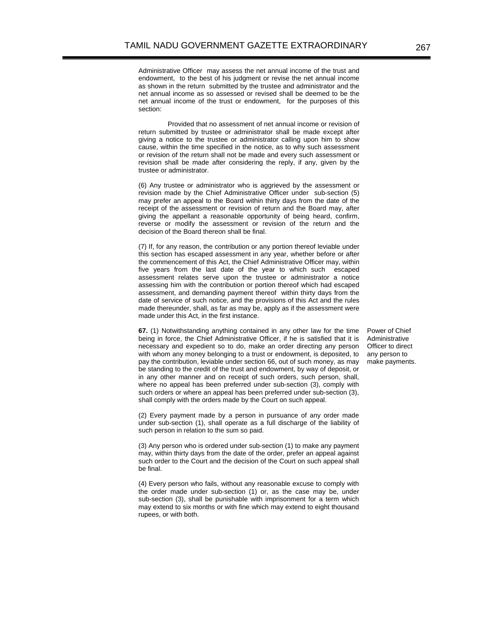Administrative Officer may assess the net annual income of the trust and endowment, to the best of his judgment or revise the net annual income as shown in the return submitted by the trustee and administrator and the net annual income as so assessed or revised shall be deemed to be the net annual income of the trust or endowment, for the purposes of this section:

Provided that no assessment of net annual income or revision of return submitted by trustee or administrator shall be made except after giving a notice to the trustee or administrator calling upon him to show cause, within the time specified in the notice, as to why such assessment or revision of the return shall not be made and every such assessment or revision shall be made after considering the reply, if any, given by the trustee or administrator.

(6) Any trustee or administrator who is aggrieved by the assessment or revision made by the Chief Administrative Officer under sub-section (5) may prefer an appeal to the Board within thirty days from the date of the receipt of the assessment or revision of return and the Board may, after giving the appellant a reasonable opportunity of being heard, confirm, reverse or modify the assessment or revision of the return and the decision of the Board thereon shall be final.

(7) If, for any reason, the contribution or any portion thereof leviable under this section has escaped assessment in any year, whether before or after the commencement of this Act, the Chief Administrative Officer may, within five years from the last date of the year to which such escaped assessment relates serve upon the trustee or administrator a notice assessing him with the contribution or portion thereof which had escaped assessment, and demanding payment thereof within thirty days from the date of service of such notice, and the provisions of this Act and the rules made thereunder, shall, as far as may be, apply as if the assessment were made under this Act, in the first instance.

**67.** (1) Notwithstanding anything contained in any other law for the time being in force, the Chief Administrative Officer, if he is satisfied that it is necessary and expedient so to do, make an order directing any person with whom any money belonging to a trust or endowment, is deposited, to pay the contribution, leviable under section 66, out of such money, as may be standing to the credit of the trust and endowment, by way of deposit, or in any other manner and on receipt of such orders, such person, shall, where no appeal has been preferred under sub-section (3), comply with such orders or where an appeal has been preferred under sub-section (3), shall comply with the orders made by the Court on such appeal.

Power of Chief Administrative Officer to direct any person to make payments.

(2) Every payment made by a person in pursuance of any order made under sub-section (1), shall operate as a full discharge of the liability of such person in relation to the sum so paid.

(3) Any person who is ordered under sub-section (1) to make any payment may, within thirty days from the date of the order, prefer an appeal against such order to the Court and the decision of the Court on such appeal shall be final.

(4) Every person who fails, without any reasonable excuse to comply with the order made under sub-section (1) or, as the case may be, under sub-section (3), shall be punishable with imprisonment for a term which may extend to six months or with fine which may extend to eight thousand rupees, or with both.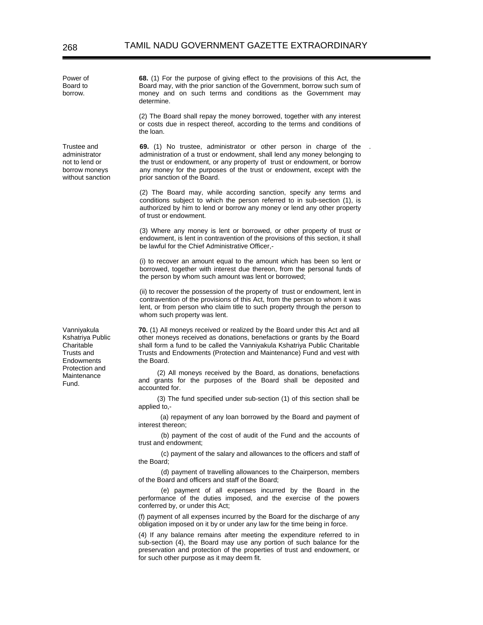Trustee and administrator not to lend or borrow moneys without sanction

Vanniyakula Kshatriya Public **Charitable** Trusts and **Endowments** Protection and Maintenance Fund.

**68.** (1) For the purpose of giving effect to the provisions of this Act, the Board may, with the prior sanction of the Government, borrow such sum of money and on such terms and conditions as the Government may determine.

(2) The Board shall repay the money borrowed, together with any interest or costs due in respect thereof, according to the terms and conditions of the loan.

**69.** (1) No trustee, administrator or other person in charge of the administration of a trust or endowment, shall lend any money belonging to the trust or endowment, or any property of trust or endowment, or borrow any money for the purposes of the trust or endowment, except with the prior sanction of the Board.

.

(2) The Board may, while according sanction, specify any terms and conditions subject to which the person referred to in sub-section (1), is authorized by him to lend or borrow any money or lend any other property of trust or endowment.

(3) Where any money is lent or borrowed, or other property of trust or endowment, is lent in contravention of the provisions of this section, it shall be lawful for the Chief Administrative Officer,-

(i) to recover an amount equal to the amount which has been so lent or borrowed, together with interest due thereon, from the personal funds of the person by whom such amount was lent or borrowed;

(ii) to recover the possession of the property of trust or endowment, lent in contravention of the provisions of this Act, from the person to whom it was lent, or from person who claim title to such property through the person to whom such property was lent.

**70.** (1) All moneys received or realized by the Board under this Act and all other moneys received as donations, benefactions or grants by the Board shall form a fund to be called the Vanniyakula Kshatriya Public Charitable Trusts and Endowments (Protection and Maintenance) Fund and vest with the Board.

(2) All moneys received by the Board, as donations, benefactions and grants for the purposes of the Board shall be deposited and accounted for.

(3) The fund specified under sub-section (1) of this section shall be applied to,-

(a) repayment of any loan borrowed by the Board and payment of interest thereon;

 (b) payment of the cost of audit of the Fund and the accounts of trust and endowment;

 (c) payment of the salary and allowances to the officers and staff of the Board;

 (d) payment of travelling allowances to the Chairperson, members of the Board and officers and staff of the Board;

 (e) payment of all expenses incurred by the Board in the performance of the duties imposed, and the exercise of the powers conferred by, or under this Act;

(f) payment of all expenses incurred by the Board for the discharge of any obligation imposed on it by or under any law for the time being in force.

(4) If any balance remains after meeting the expenditure referred to in sub-section (4), the Board may use any portion of such balance for the preservation and protection of the properties of trust and endowment, or for such other purpose as it may deem fit.

Power of Board to borrow.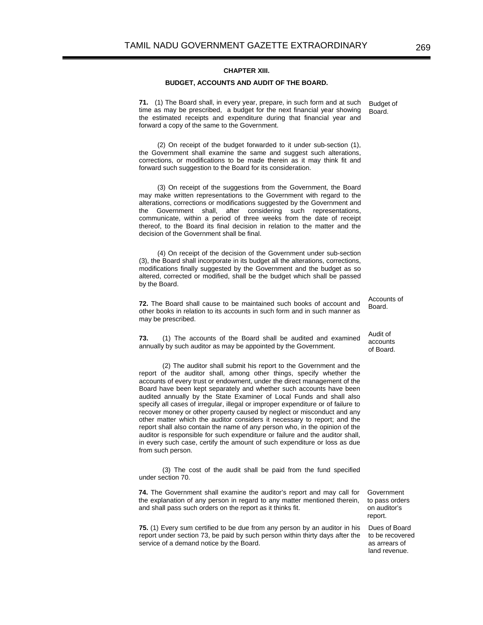### **CHAPTER XIII.**

# **BUDGET, ACCOUNTS AND AUDIT OF THE BOARD.**

**71.** (1) The Board shall, in every year, prepare, in such form and at such time as may be prescribed, a budget for the next financial year showing the estimated receipts and expenditure during that financial year and forward a copy of the same to the Government. Budget of Board.

(2) On receipt of the budget forwarded to it under sub-section (1), the Government shall examine the same and suggest such alterations, corrections, or modifications to be made therein as it may think fit and forward such suggestion to the Board for its consideration.

(3) On receipt of the suggestions from the Government, the Board may make written representations to the Government with regard to the alterations, corrections or modifications suggested by the Government and the Government shall, after considering such representations, communicate, within a period of three weeks from the date of receipt thereof, to the Board its final decision in relation to the matter and the decision of the Government shall be final.

(4) On receipt of the decision of the Government under sub-section (3), the Board shall incorporate in its budget all the alterations, corrections, modifications finally suggested by the Government and the budget as so altered, corrected or modified, shall be the budget which shall be passed by the Board.

**72.** The Board shall cause to be maintained such books of account and other books in relation to its accounts in such form and in such manner as may be prescribed.

 **73.** (1) The accounts of the Board shall be audited and examined annually by such auditor as may be appointed by the Government.

(2) The auditor shall submit his report to the Government and the report of the auditor shall, among other things, specify whether the accounts of every trust or endowment, under the direct management of the Board have been kept separately and whether such accounts have been audited annually by the State Examiner of Local Funds and shall also specify all cases of irregular, illegal or improper expenditure or of failure to recover money or other property caused by neglect or misconduct and any other matter which the auditor considers it necessary to report; and the report shall also contain the name of any person who, in the opinion of the auditor is responsible for such expenditure or failure and the auditor shall, in every such case, certify the amount of such expenditure or loss as due from such person.

(3) The cost of the audit shall be paid from the fund specified under section 70.

**74.** The Government shall examine the auditor's report and may call for the explanation of any person in regard to any matter mentioned therein, and shall pass such orders on the report as it thinks fit.

**75.** (1) Every sum certified to be due from any person by an auditor in his report under section 73, be paid by such person within thirty days after the service of a demand notice by the Board.

Government to pass orders on auditor's report.

Dues of Board to be recovered as arrears of land revenue.

Board.

Audit of accounts of Board.

Accounts of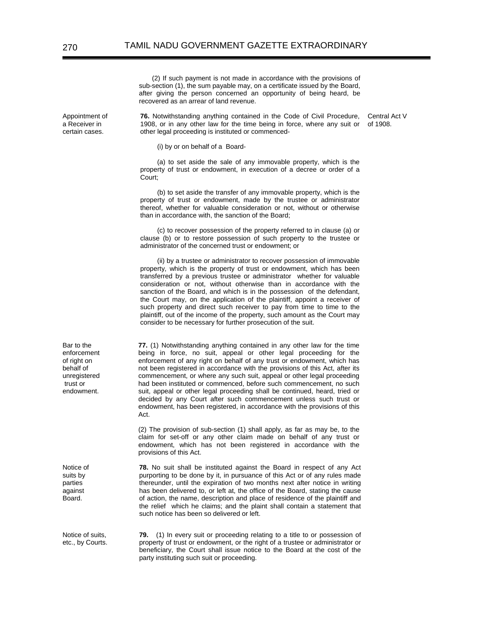(2) If such payment is not made in accordance with the provisions of sub-section (1), the sum payable may, on a certificate issued by the Board, after giving the person concerned an opportunity of being heard, be recovered as an arrear of land revenue.

**76.** Notwithstanding anything contained in the Code of Civil Procedure, 1908, or in any other law for the time being in force, where any suit or other legal proceeding is instituted or commenced-

Central Act V of 1908.

(i) by or on behalf of a Board-

(a) to set aside the sale of any immovable property, which is the property of trust or endowment, in execution of a decree or order of a Court;

(b) to set aside the transfer of any immovable property, which is the property of trust or endowment, made by the trustee or administrator thereof, whether for valuable consideration or not, without or otherwise than in accordance with, the sanction of the Board;

(c) to recover possession of the property referred to in clause (a) or clause (b) or to restore possession of such property to the trustee or administrator of the concerned trust or endowment; or

(ii) by a trustee or administrator to recover possession of immovable property, which is the property of trust or endowment, which has been transferred by a previous trustee or administrator whether for valuable consideration or not, without otherwise than in accordance with the sanction of the Board, and which is in the possession of the defendant, the Court may, on the application of the plaintiff, appoint a receiver of such property and direct such receiver to pay from time to time to the plaintiff, out of the income of the property, such amount as the Court may consider to be necessary for further prosecution of the suit.

**77.** (1) Notwithstanding anything contained in any other law for the time being in force, no suit, appeal or other legal proceeding for the enforcement of any right on behalf of any trust or endowment, which has not been registered in accordance with the provisions of this Act, after its commencement, or where any such suit, appeal or other legal proceeding had been instituted or commenced, before such commencement, no such suit, appeal or other legal proceeding shall be continued, heard, tried or decided by any Court after such commencement unless such trust or endowment, has been registered, in accordance with the provisions of this Act.

(2) The provision of sub-section (1) shall apply, as far as may be, to the claim for set-off or any other claim made on behalf of any trust or endowment, which has not been registered in accordance with the provisions of this Act.

**78.** No suit shall be instituted against the Board in respect of any Act purporting to be done by it, in pursuance of this Act or of any rules made thereunder, until the expiration of two months next after notice in writing has been delivered to, or left at, the office of the Board, stating the cause of action, the name, description and place of residence of the plaintiff and the relief which he claims; and the plaint shall contain a statement that such notice has been so delivered or left.

Notice of suits, etc., by Courts. **79.** (1) In every suit or proceeding relating to a title to or possession of property of trust or endowment, or the right of a trustee or administrator or beneficiary, the Court shall issue notice to the Board at the cost of the party instituting such suit or proceeding.

Appointment of a Receiver in certain cases.

Bar to the enforcement of right on behalf of unregistered trust or endowment.

Notice of suits by parties against Board.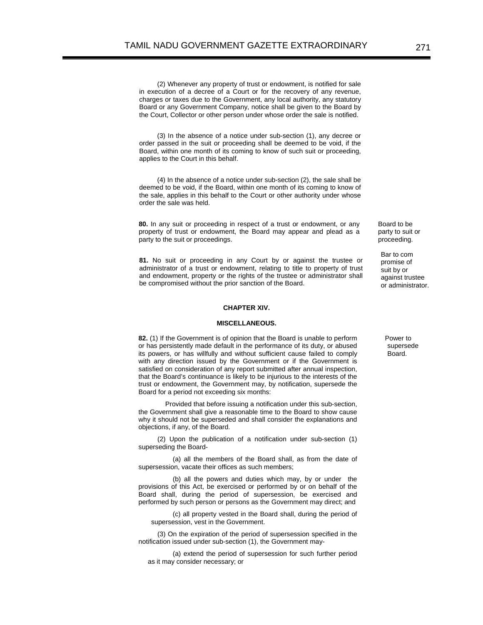(2) Whenever any property of trust or endowment, is notified for sale in execution of a decree of a Court or for the recovery of any revenue, charges or taxes due to the Government, any local authority, any statutory Board or any Government Company, notice shall be given to the Board by the Court, Collector or other person under whose order the sale is notified.

(3) In the absence of a notice under sub-section (1), any decree or order passed in the suit or proceeding shall be deemed to be void, if the Board, within one month of its coming to know of such suit or proceeding, applies to the Court in this behalf.

(4) In the absence of a notice under sub-section (2), the sale shall be deemed to be void, if the Board, within one month of its coming to know of the sale, applies in this behalf to the Court or other authority under whose order the sale was held.

**80.** In any suit or proceeding in respect of a trust or endowment, or any property of trust or endowment, the Board may appear and plead as a party to the suit or proceedings.

**81.** No suit or proceeding in any Court by or against the trustee or administrator of a trust or endowment, relating to title to property of trust and endowment, property or the rights of the trustee or administrator shall be compromised without the prior sanction of the Board.

#### **CHAPTER XIV.**

#### **MISCELLANEOUS.**

**82.** (1) If the Government is of opinion that the Board is unable to perform or has persistently made default in the performance of its duty, or abused its powers, or has willfully and without sufficient cause failed to comply with any direction issued by the Government or if the Government is satisfied on consideration of any report submitted after annual inspection, that the Board's continuance is likely to be injurious to the interests of the trust or endowment, the Government may, by notification, supersede the Board for a period not exceeding six months:

 Provided that before issuing a notification under this sub-section, the Government shall give a reasonable time to the Board to show cause why it should not be superseded and shall consider the explanations and objections, if any, of the Board.

(2) Upon the publication of a notification under sub-section (1) superseding the Board-

(a) all the members of the Board shall, as from the date of supersession, vacate their offices as such members;

(b) all the powers and duties which may, by or under the provisions of this Act, be exercised or performed by or on behalf of the Board shall, during the period of supersession, be exercised and performed by such person or persons as the Government may direct; and

(c) all property vested in the Board shall, during the period of supersession, vest in the Government.

(3) On the expiration of the period of supersession specified in the notification issued under sub-section (1), the Government may-

(a) extend the period of supersession for such further period as it may consider necessary; or

Board to be party to suit or proceeding.

Bar to com promise of suit by or against trustee or administrator.

Power to supersede **Board**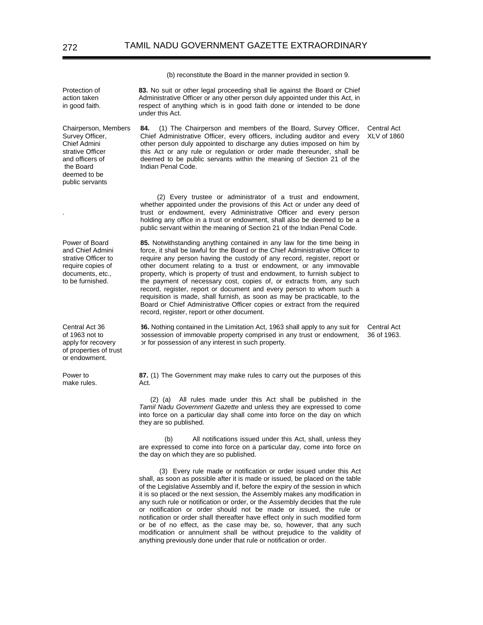(b) reconstitute the Board in the manner provided in section 9.

**83.** No suit or other legal proceeding shall lie against the Board or Chief Administrative Officer or any other person duly appointed under this Act, in respect of anything which is in good faith done or intended to be done under this Act.

Chairperson, Members Survey Officer, **84.** (1) The Chairperson and members of the Board, Survey Officer, Chief Administrative Officer, every officers, including auditor and every other person duly appointed to discharge any duties imposed on him by this Act or any rule or regulation or order made thereunder, shall be deemed to be public servants within the meaning of Section 21 of the Indian Penal Code.

> (2) Every trustee or administrator of a trust and endowment, whether appointed under the provisions of this Act or under any deed of trust or endowment, every Administrative Officer and every person holding any office in a trust or endowment, shall also be deemed to be a public servant within the meaning of Section 21 of the Indian Penal Code.

> **85.** Notwithstanding anything contained in any law for the time being in force, it shall be lawful for the Board or the Chief Administrative Officer to require any person having the custody of any record, register, report or other document relating to a trust or endowment, or any immovable property, which is property of trust and endowment, to furnish subject to the payment of necessary cost, copies of, or extracts from, any such record, register, report or document and every person to whom such a requisition is made, shall furnish, as soon as may be practicable, to the Board or Chief Administrative Officer copies or extract from the required record, register, report or other document.

**86.** Nothing contained in the Limitation Act, 1963 shall apply to any suit for Central Act possession of immovable property comprised in any trust or endowment, or for possession of any interest in such property.

**87.** (1) The Government may make rules to carry out the purposes of this Act.

(2) (a) All rules made under this Act shall be published in the *Tamil Nadu Government Gazette* and unless they are expressed to come into force on a particular day shall come into force on the day on which they are so published.

 (b) All notifications issued under this Act, shall, unless they are expressed to come into force on a particular day, come into force on the day on which they are so published.

 (3) Every rule made or notification or order issued under this Act shall, as soon as possible after it is made or issued, be placed on the table of the Legislative Assembly and if, before the expiry of the session in which it is so placed or the next session, the Assembly makes any modification in any such rule or notification or order, or the Assembly decides that the rule or notification or order should not be made or issued, the rule or notification or order shall thereafter have effect only in such modified form or be of no effect, as the case may be, so, however, that any such modification or annulment shall be without prejudice to the validity of anything previously done under that rule or notification or order.

Protection of action taken in good faith.

Chief Admini strative Officer and officers of the Board deemed to be public servants

.

Power of Board and Chief Admini strative Officer to require copies of documents, etc., to be furnished.

Central Act 36 of 1963 not to apply for recovery of properties of trust or endowment.

Power to make rules. Central Act XLV of 1860

36 of 1963.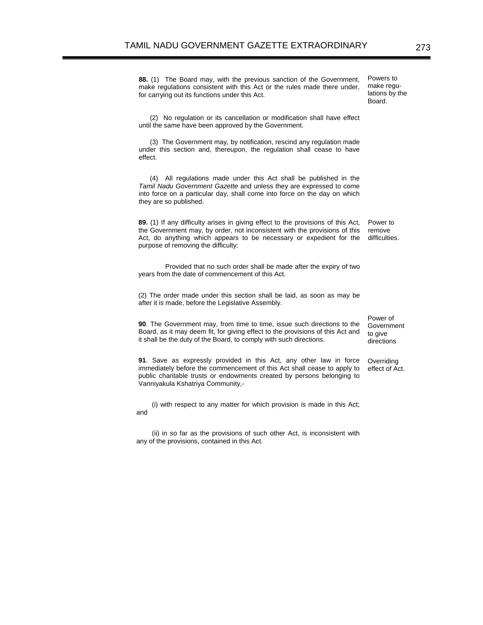**88.** (1) The Board may, with the previous sanction of the Government, make regulations consistent with this Act or the rules made there under, for carrying out its functions under this Act. Board.

 (2) No regulation or its cancellation or modification shall have effect until the same have been approved by the Government.

 (3) The Government may, by notification, rescind any regulation made under this section and, thereupon, the regulation shall cease to have effect.

 (4) All regulations made under this Act shall be published in the *Tamil Nadu Government Gazette* and unless they are expressed to come into force on a particular day, shall come into force on the day on which they are so published.

**89.** (1) If any difficulty arises in giving effect to the provisions of this Act, the Government may, by order, not inconsistent with the provisions of this Act, do anything which appears to be necessary or expedient for the purpose of removing the difficulty: Power to remove difficulties.

 Provided that no such order shall be made after the expiry of two years from the date of commencement of this Act.

(2) The order made under this section shall be laid, as soon as may be after it is made, before the Legislative Assembly.

**90**. The Government may, from time to time, issue such directions to the Board, as it may deem fit, for giving effect to the provisions of this Act and it shall be the duty of the Board, to comply with such directions.

**91**. Save as expressly provided in this Act, any other law in force immediately before the commencement of this Act shall cease to apply to public charitable trusts or endowments created by persons belonging to Vanniyakula Kshatriya Community,-

(i) with respect to any matter for which provision is made in this Act; and

(ii) in so far as the provisions of such other Act, is inconsistent with any of the provisions, contained in this Act.

Power of **Government** to give directions

**Overriding** effect of Act.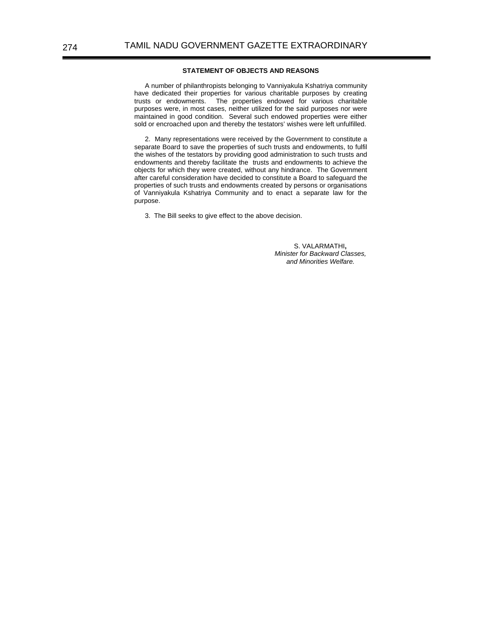## **STATEMENT OF OBJECTS AND REASONS**

A number of philanthropists belonging to Vanniyakula Kshatriya community have dedicated their properties for various charitable purposes by creating trusts or endowments. The properties endowed for various charitable purposes were, in most cases, neither utilized for the said purposes nor were maintained in good condition. Several such endowed properties were either sold or encroached upon and thereby the testators' wishes were left unfulfilled.

2. Many representations were received by the Government to constitute a separate Board to save the properties of such trusts and endowments, to fulfil the wishes of the testators by providing good administration to such trusts and endowments and thereby facilitate the trusts and endowments to achieve the objects for which they were created, without any hindrance. The Government after careful consideration have decided to constitute a Board to safeguard the properties of such trusts and endowments created by persons or organisations of Vanniyakula Kshatriya Community and to enact a separate law for the purpose.

3. The Bill seeks to give effect to the above decision.

S. VALARMATHI**,**  *Minister for Backward Classes, and Minorities Welfare.*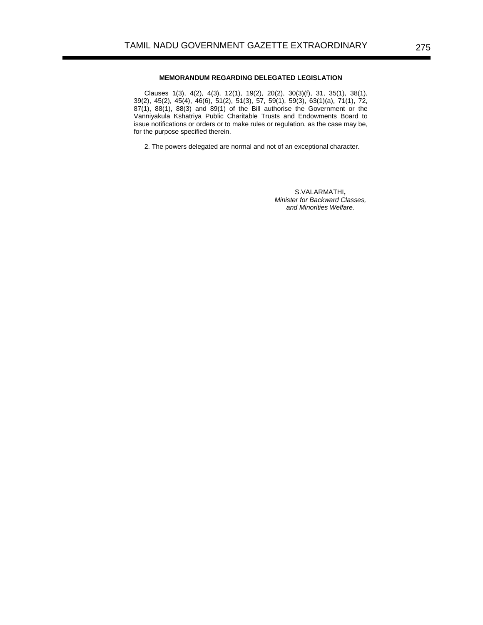# **MEMORANDUM REGARDING DELEGATED LEGISLATION**

Clauses 1(3), 4(2), 4(3), 12(1), 19(2), 20(2), 30(3)(f), 31, 35(1), 38(1), 39(2), 45(2), 45(4), 46(6), 51(2), 51(3), 57, 59(1), 59(3), 63(1)(a), 71(1), 72,  $87(1)$ ,  $88(1)$ ,  $88(3)$  and  $89(1)$  of the Bill authorise the Government or the Vanniyakula Kshatriya Public Charitable Trusts and Endowments Board to issue notifications or orders or to make rules or regulation, as the case may be, for the purpose specified therein.

2. The powers delegated are normal and not of an exceptional character.

S.VALARMATHI**,**  *Minister for Backward Classes, and Minorities Welfare.*